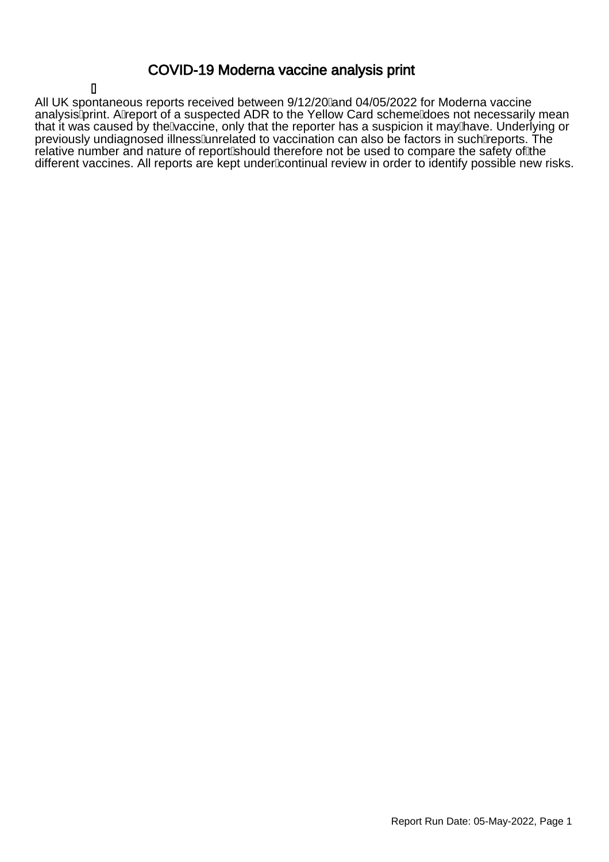### COVID-19 Moderna vaccine analysis print

### Á

All UK spontaneous reports received between 9/12/20 $\hat{A}$ and 04/05/2022 for Moderna vaccine analysisAprint. AAeport of a suspected ADR to the Yellow Card schemeAloes not necessarily mean that it was caused by theÀaccine, only that the reporter has a suspicion it mayÀave. Underlying or previously undiagnosed illness Ainrelated to vaccination can also be factors in such Aeports. The relative number and nature of report/should therefore not be used to compare the safety of the different vaccines. All reports are kept under kontinual review in order to identify possible new risks.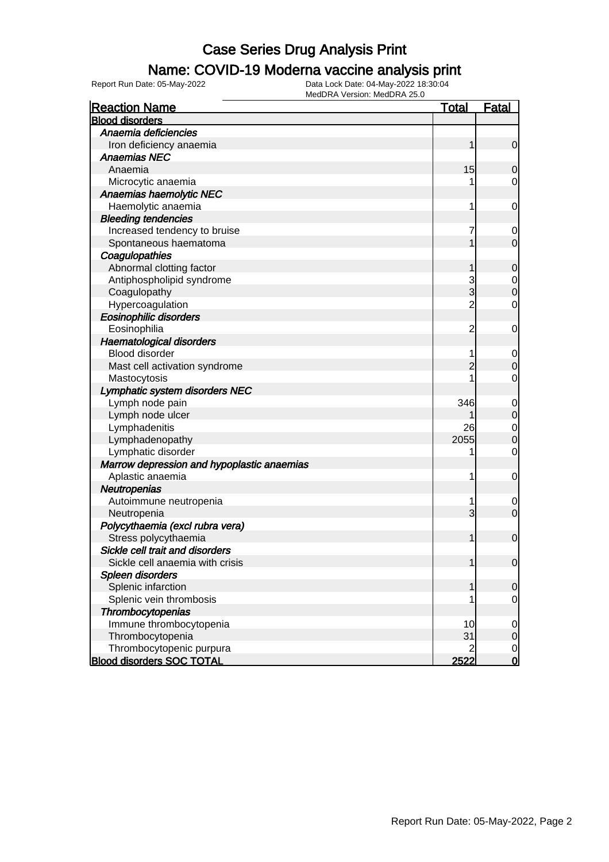### Name: COVID-19 Moderna vaccine analysis print

Report Run Date: 05-May-2022 Data Lock Date: 04-May-2022 18:30:04

| <b>Reaction Name</b>                       | <u>Total</u>   | <b>Fatal</b>   |
|--------------------------------------------|----------------|----------------|
| <b>Blood disorders</b>                     |                |                |
| Anaemia deficiencies                       |                |                |
| Iron deficiency anaemia                    | 1              | $\mathbf 0$    |
| <b>Anaemias NEC</b>                        |                |                |
| Anaemia                                    | 15             | 0              |
| Microcytic anaemia                         |                | 0              |
| Anaemias haemolytic NEC                    |                |                |
| Haemolytic anaemia                         | 1              | $\mathbf 0$    |
| <b>Bleeding tendencies</b>                 |                |                |
| Increased tendency to bruise               | 7              | $\mathbf 0$    |
| Spontaneous haematoma                      |                | $\overline{0}$ |
| Coagulopathies                             |                |                |
| Abnormal clotting factor                   |                | $\mathbf 0$    |
| Antiphospholipid syndrome                  | 3              | $\mathbf 0$    |
| Coagulopathy                               | 3              | 0              |
| Hypercoagulation                           | $\overline{c}$ | 0              |
| Eosinophilic disorders                     |                |                |
| Eosinophilia                               | $\overline{c}$ | $\mathbf 0$    |
| <b>Haematological disorders</b>            |                |                |
| Blood disorder                             | 1              | $\mathbf 0$    |
| Mast cell activation syndrome              |                | 0              |
| Mastocytosis                               |                | 0              |
| Lymphatic system disorders NEC             |                |                |
| Lymph node pain                            | 346            | $\mathbf 0$    |
| Lymph node ulcer                           |                | $\mathbf 0$    |
| Lymphadenitis                              | 26             | 0              |
| Lymphadenopathy                            | 2055           | 0              |
| Lymphatic disorder                         | 1              | 0              |
| Marrow depression and hypoplastic anaemias |                |                |
| Aplastic anaemia                           | 1              | $\mathbf 0$    |
| Neutropenias                               |                |                |
| Autoimmune neutropenia                     | 1              | 0              |
| Neutropenia                                | 3              | $\mathbf 0$    |
| Polycythaemia (excl rubra vera)            |                |                |
| Stress polycythaemia                       | 1              | $\mathbf 0$    |
| Sickle cell trait and disorders            |                |                |
| Sickle cell anaemia with crisis            |                | 0              |
| Spleen disorders                           |                |                |
| Splenic infarction                         | 1              | $\mathbf 0$    |
| Splenic vein thrombosis                    |                | $\mathbf 0$    |
| Thrombocytopenias                          |                |                |
| Immune thrombocytopenia                    | 10             | $\mathbf 0$    |
| Thrombocytopenia                           | 31             | $\mathbf 0$    |
| Thrombocytopenic purpura                   |                | $\mathbf 0$    |
| <b>Blood disorders SOC TOTAL</b>           | 2522           | $\overline{0}$ |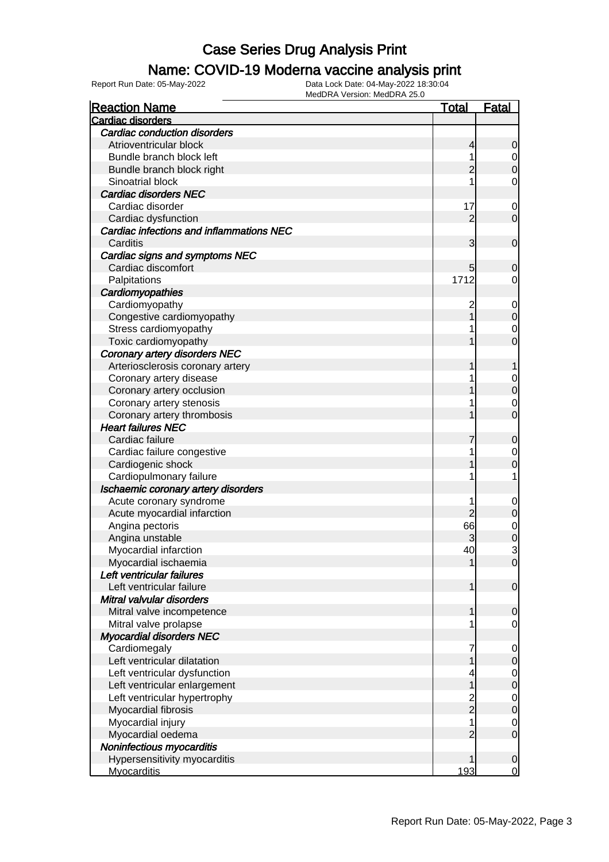### Name: COVID-19 Moderna vaccine analysis print

Report Run Date: 05-May-2022 Data Lock Date: 04-May-2022 18:30:04

| <b>Reaction Name</b>                     | <u>Total</u>                     | <u>Fatal</u>                         |
|------------------------------------------|----------------------------------|--------------------------------------|
| Cardiac disorders                        |                                  |                                      |
| <b>Cardiac conduction disorders</b>      |                                  |                                      |
| Atrioventricular block                   | 4                                | 0                                    |
| Bundle branch block left                 | 1                                |                                      |
| Bundle branch block right                |                                  | $\begin{matrix} 0 \\ 0 \end{matrix}$ |
| Sinoatrial block                         |                                  | 0                                    |
| <b>Cardiac disorders NEC</b>             |                                  |                                      |
| Cardiac disorder                         | 17                               | $\mathbf 0$                          |
| Cardiac dysfunction                      | 2                                | $\overline{0}$                       |
| Cardiac infections and inflammations NEC |                                  |                                      |
| Carditis                                 | 3                                | $\mathbf 0$                          |
| Cardiac signs and symptoms NEC           |                                  |                                      |
| Cardiac discomfort                       | 5                                | $\overline{0}$                       |
| Palpitations                             | 1712                             | 0                                    |
| Cardiomyopathies                         |                                  |                                      |
| Cardiomyopathy                           | 2                                | $\mathbf 0$                          |
| Congestive cardiomyopathy                |                                  | $\mathbf 0$                          |
| Stress cardiomyopathy                    |                                  | $\mathbf 0$                          |
| Toxic cardiomyopathy                     |                                  | $\overline{0}$                       |
| <b>Coronary artery disorders NEC</b>     |                                  |                                      |
| Arteriosclerosis coronary artery         |                                  | 1                                    |
| Coronary artery disease                  |                                  | $\mathbf{0}$                         |
| Coronary artery occlusion                |                                  | $\mathbf{0}$                         |
| Coronary artery stenosis                 |                                  | $\mathbf 0$                          |
| Coronary artery thrombosis               |                                  | $\overline{0}$                       |
| <b>Heart failures NEC</b>                |                                  |                                      |
| Cardiac failure                          |                                  | $\mathbf 0$                          |
| Cardiac failure congestive               |                                  | $\mathbf 0$                          |
| Cardiogenic shock                        |                                  | 0                                    |
| Cardiopulmonary failure                  |                                  | 1                                    |
| Ischaemic coronary artery disorders      |                                  |                                      |
| Acute coronary syndrome                  | 1                                |                                      |
| Acute myocardial infarction              |                                  | $\mathbf 0$<br>$\mathbf 0$           |
| Angina pectoris                          | 66                               |                                      |
|                                          | 3                                | 0<br>0                               |
| Angina unstable<br>Myocardial infarction | 40                               | 3                                    |
|                                          |                                  |                                      |
| Myocardial ischaemia                     |                                  | 0                                    |
| Left ventricular failures                |                                  |                                      |
| Left ventricular failure                 | 1                                | $\overline{0}$                       |
| Mitral valvular disorders                |                                  |                                      |
| Mitral valve incompetence                | 1                                | 0                                    |
| Mitral valve prolapse                    | 1                                | $\mathbf 0$                          |
| <b>Myocardial disorders NEC</b>          |                                  |                                      |
| Cardiomegaly                             | 7                                | $\mathbf 0$                          |
| Left ventricular dilatation              |                                  | $\mathbf 0$                          |
| Left ventricular dysfunction             | 4                                | $\mathbf 0$                          |
| Left ventricular enlargement             | 1                                | $\mathbf 0$                          |
| Left ventricular hypertrophy             | $\overline{c}$<br>$\overline{2}$ | $\mathbf 0$                          |
| Myocardial fibrosis                      |                                  | $\overline{0}$                       |
| Myocardial injury                        | 1                                | $\mathbf 0$                          |
| Myocardial oedema                        | $\overline{2}$                   | $\mathbf 0$                          |
| Noninfectious myocarditis                |                                  |                                      |
| Hypersensitivity myocarditis             | 1                                | $\mathbf 0$                          |
| <b>Myocarditis</b>                       | 193                              | $\mathbf 0$                          |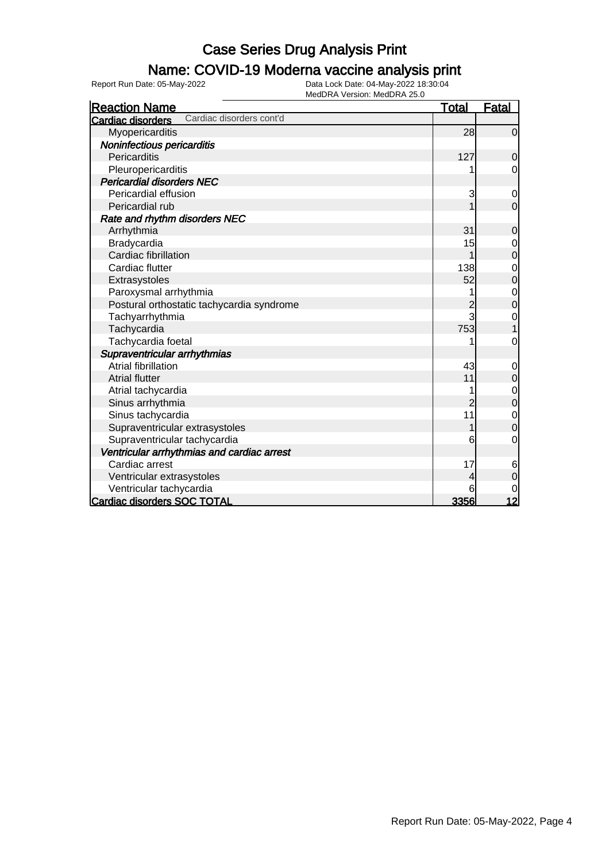### Name: COVID-19 Moderna vaccine analysis print

Report Run Date: 05-May-2022 Data Lock Date: 04-May-2022 18:30:04

| <b>Reaction Name</b>                          | <b>Total</b> | <b>Fatal</b>   |
|-----------------------------------------------|--------------|----------------|
| Cardiac disorders cont'd<br>Cardiac disorders |              |                |
| Myopericarditis                               | 28           | $\mathbf 0$    |
| Noninfectious pericarditis                    |              |                |
| Pericarditis                                  | 127          | $\mathbf 0$    |
| Pleuropericarditis                            |              | $\mathbf 0$    |
| <b>Pericardial disorders NEC</b>              |              |                |
| Pericardial effusion                          | 3            | $\mathbf 0$    |
| Pericardial rub                               |              | $\mathbf 0$    |
| Rate and rhythm disorders NEC                 |              |                |
| Arrhythmia                                    | 31           | 0              |
| Bradycardia                                   | 15           | $\mathbf 0$    |
| Cardiac fibrillation                          | 1            | $\mathbf 0$    |
| Cardiac flutter                               | 138          | $\mathbf 0$    |
| Extrasystoles                                 | 52           | $\overline{0}$ |
| Paroxysmal arrhythmia                         |              | 0              |
| Postural orthostatic tachycardia syndrome     | 2            | 0              |
| Tachyarrhythmia                               | 3            | 0              |
| Tachycardia                                   | 753          |                |
| Tachycardia foetal                            |              | 0              |
| Supraventricular arrhythmias                  |              |                |
| <b>Atrial fibrillation</b>                    | 43           | 0              |
| <b>Atrial flutter</b>                         | 11           | $\mathbf 0$    |
| Atrial tachycardia                            |              | $\mathbf 0$    |
| Sinus arrhythmia                              | 2            | $\mathbf 0$    |
| Sinus tachycardia                             | 11           | $\mathbf 0$    |
| Supraventricular extrasystoles                |              | $\overline{0}$ |
| Supraventricular tachycardia                  | 6            | 0              |
| Ventricular arrhythmias and cardiac arrest    |              |                |
| Cardiac arrest                                | 17           | 6              |
| Ventricular extrasystoles                     | 4            | $\mathbf 0$    |
| Ventricular tachycardia                       | 6            | 0              |
| Cardiac disorders SOC TOTAL                   | 3356         | 12             |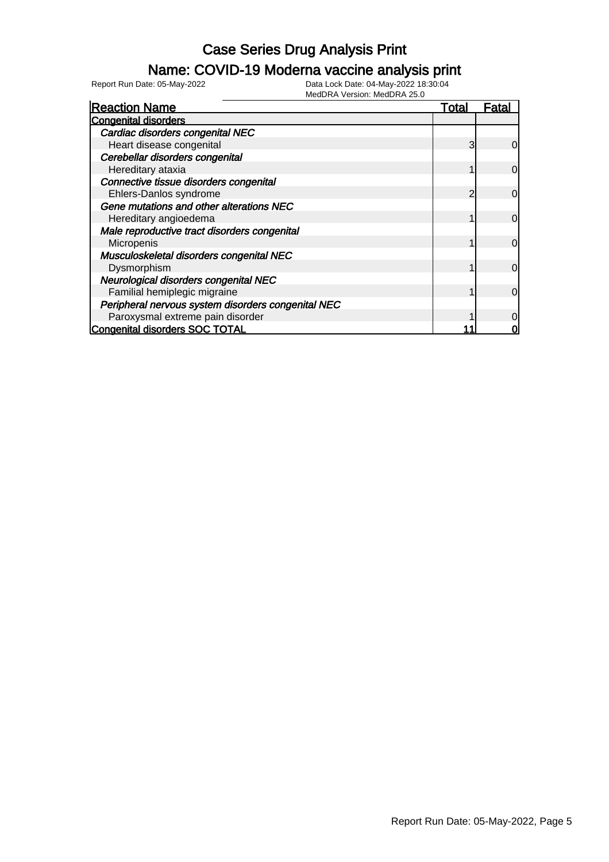### Name: COVID-19 Moderna vaccine analysis print

Report Run Date: 05-May-2022 Data Lock Date: 04-May-2022 18:30:04

| <b>Reaction Name</b>                               | Total | <b>Fatal</b> |
|----------------------------------------------------|-------|--------------|
| <b>Congenital disorders</b>                        |       |              |
| Cardiac disorders congenital NEC                   |       |              |
| Heart disease congenital                           | 3     | 0            |
| Cerebellar disorders congenital                    |       |              |
| Hereditary ataxia                                  |       | $\mathbf 0$  |
| Connective tissue disorders congenital             |       |              |
| Ehlers-Danlos syndrome                             |       | 0            |
| Gene mutations and other alterations NEC           |       |              |
| Hereditary angioedema                              |       | 0            |
| Male reproductive tract disorders congenital       |       |              |
| Micropenis                                         |       | $\mathbf 0$  |
| Musculoskeletal disorders congenital NEC           |       |              |
| Dysmorphism                                        |       | $\mathbf 0$  |
| Neurological disorders congenital NEC              |       |              |
| Familial hemiplegic migraine                       |       | 0            |
| Peripheral nervous system disorders congenital NEC |       |              |
| Paroxysmal extreme pain disorder                   |       |              |
| <b>Congenital disorders SOC TOTAL</b>              |       |              |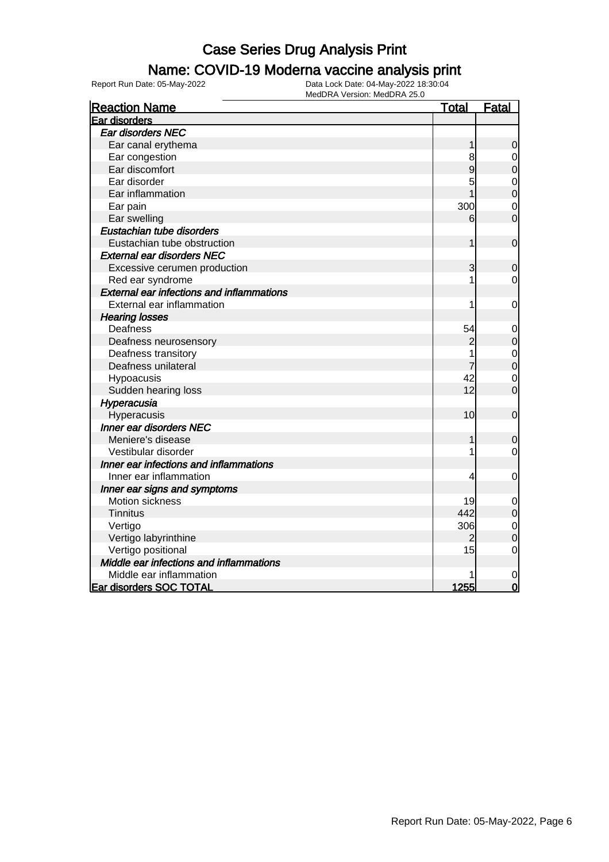### Name: COVID-19 Moderna vaccine analysis print

| <b>Reaction Name</b>                             | <b>Total</b>   | <b>Fatal</b>                     |
|--------------------------------------------------|----------------|----------------------------------|
| Ear disorders                                    |                |                                  |
| Ear disorders NEC                                |                |                                  |
| Ear canal erythema                               | $\mathbf 1$    | $\boldsymbol{0}$                 |
| Ear congestion                                   | 8              | $\mathbf 0$                      |
| Ear discomfort                                   | 9              | $\mathbf 0$                      |
| Ear disorder                                     | 5              | $\mathbf 0$                      |
| Ear inflammation                                 |                | $\overline{0}$                   |
| Ear pain                                         | 300            | $\overline{0}$                   |
| Ear swelling                                     | 6              | $\overline{0}$                   |
| Eustachian tube disorders                        |                |                                  |
| Eustachian tube obstruction                      | 1              | $\mathbf 0$                      |
| <b>External ear disorders NEC</b>                |                |                                  |
| Excessive cerumen production                     | 3              | $\mathbf 0$                      |
| Red ear syndrome                                 | 1              | 0                                |
| <b>External ear infections and inflammations</b> |                |                                  |
| External ear inflammation                        |                | $\mathbf 0$                      |
| <b>Hearing losses</b>                            |                |                                  |
| Deafness                                         | 54             | $\mathbf 0$                      |
| Deafness neurosensory                            | $\overline{c}$ | $\mathbf 0$                      |
| Deafness transitory                              | 1              | $\begin{matrix}0\\0\end{matrix}$ |
| Deafness unilateral                              | 7              |                                  |
| Hypoacusis                                       | 42             | $\mathbf 0$                      |
| Sudden hearing loss                              | 12             | $\overline{0}$                   |
| Hyperacusia                                      |                |                                  |
| Hyperacusis                                      | 10             | $\mathbf 0$                      |
| <b>Inner ear disorders NEC</b>                   |                |                                  |
| Meniere's disease                                |                | $\mathbf 0$                      |
| Vestibular disorder                              |                | $\mathbf 0$                      |
| Inner ear infections and inflammations           |                |                                  |
| Inner ear inflammation                           | 4              | $\mathbf 0$                      |
| Inner ear signs and symptoms                     |                |                                  |
| Motion sickness                                  | 19             | $\mathbf 0$                      |
| <b>Tinnitus</b>                                  | 442            | $\mathbf 0$                      |
| Vertigo                                          | 306            | $\mathbf 0$                      |
| Vertigo labyrinthine                             | 2              | $\overline{0}$                   |
| Vertigo positional                               | 15             | $\mathbf 0$                      |
| Middle ear infections and inflammations          |                |                                  |
| Middle ear inflammation                          |                | 0                                |
| <b>Ear disorders SOC TOTAL</b>                   | 1255           | $\overline{0}$                   |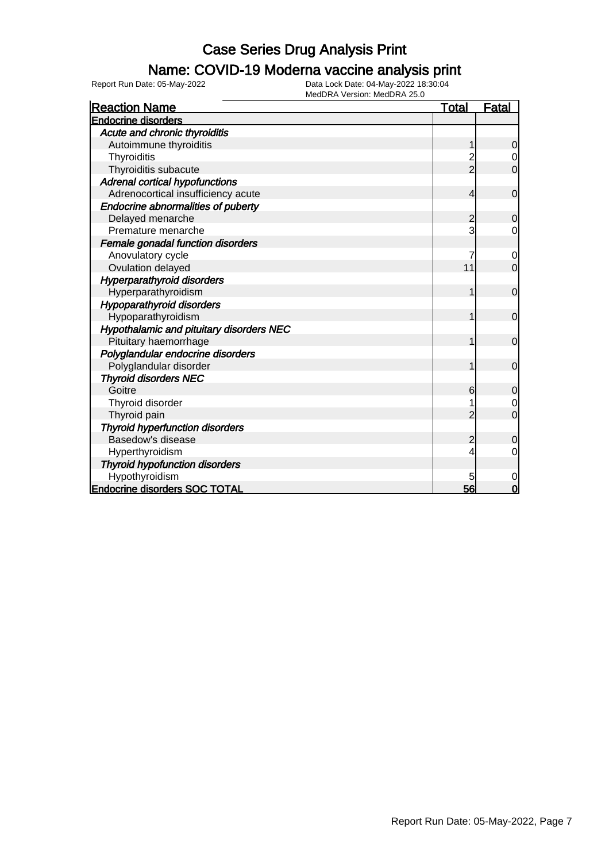### Name: COVID-19 Moderna vaccine analysis print

| <b>Reaction Name</b>                            | <u>Total</u>   | <b>Fatal</b>   |
|-------------------------------------------------|----------------|----------------|
| <b>Endocrine disorders</b>                      |                |                |
| Acute and chronic thyroiditis                   |                |                |
| Autoimmune thyroiditis                          | 1              | $\mathbf 0$    |
| Thyroiditis                                     |                | $\overline{0}$ |
| Thyroiditis subacute                            | $\overline{2}$ | $\overline{0}$ |
| Adrenal cortical hypofunctions                  |                |                |
| Adrenocortical insufficiency acute              | 4              | $\overline{0}$ |
| <b>Endocrine abnormalities of puberty</b>       |                |                |
| Delayed menarche                                | 2              | $\overline{0}$ |
| Premature menarche                              | 3              | 0              |
| Female gonadal function disorders               |                |                |
| Anovulatory cycle                               | 7              | 0              |
| Ovulation delayed                               | 11             | $\overline{0}$ |
| <b>Hyperparathyroid disorders</b>               |                |                |
| Hyperparathyroidism                             |                | $\mathbf 0$    |
| <b>Hypoparathyroid disorders</b>                |                |                |
| Hypoparathyroidism                              | 1              | $\overline{0}$ |
| <b>Hypothalamic and pituitary disorders NEC</b> |                |                |
| Pituitary haemorrhage                           | 1              | $\overline{0}$ |
| Polyglandular endocrine disorders               |                |                |
| Polyglandular disorder                          |                | $\overline{0}$ |
| <b>Thyroid disorders NEC</b>                    |                |                |
| Goitre                                          | 6              | $\mathbf 0$    |
| Thyroid disorder                                |                | $\overline{0}$ |
| Thyroid pain                                    |                | $\overline{0}$ |
| <b>Thyroid hyperfunction disorders</b>          |                |                |
| Basedow's disease                               | $\overline{c}$ | 0              |
| Hyperthyroidism                                 | 4              | $\Omega$       |
| <b>Thyroid hypofunction disorders</b>           |                |                |
| Hypothyroidism                                  | 5              | 0              |
| <b>Endocrine disorders SOC TOTAL</b>            | 56             | $\mathbf 0$    |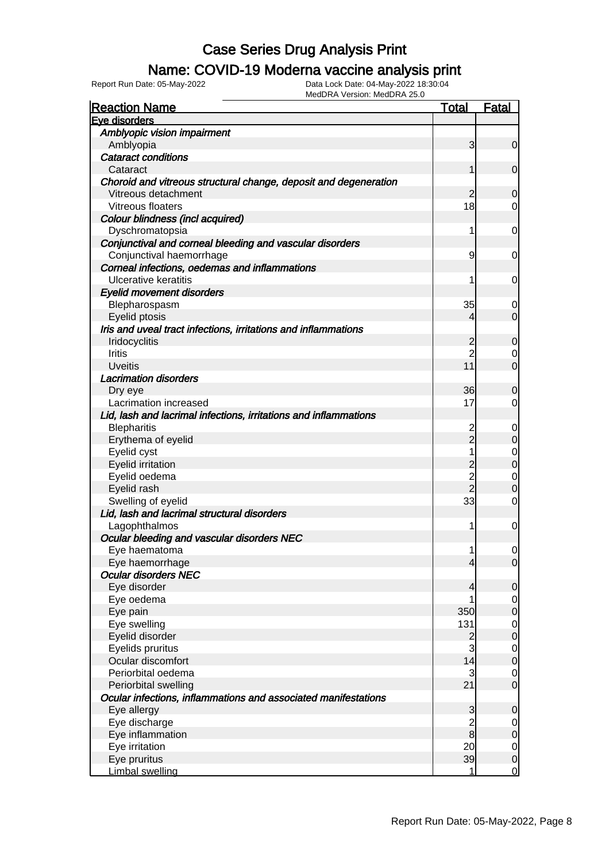### Name: COVID-19 Moderna vaccine analysis print

Report Run Date: 05-May-2022 Data Lock Date: 04-May-2022 18:30:04

| <b>Reaction Name</b>                                             | <u>Total</u>        | <u>Fatal</u>                     |
|------------------------------------------------------------------|---------------------|----------------------------------|
| Eve disorders                                                    |                     |                                  |
| Amblyopic vision impairment                                      |                     |                                  |
| Amblyopia                                                        | 3                   | $\overline{0}$                   |
| <b>Cataract conditions</b>                                       |                     |                                  |
| Cataract                                                         | 1                   | $\overline{0}$                   |
| Choroid and vitreous structural change, deposit and degeneration |                     |                                  |
| Vitreous detachment                                              | 2                   | $\overline{0}$                   |
| Vitreous floaters                                                | 18                  | $\overline{0}$                   |
| Colour blindness (incl acquired)                                 |                     |                                  |
| Dyschromatopsia                                                  | 1                   | $\overline{0}$                   |
| Conjunctival and corneal bleeding and vascular disorders         |                     |                                  |
| Conjunctival haemorrhage                                         | 9                   | $\overline{0}$                   |
| Corneal infections, oedemas and inflammations                    |                     |                                  |
| <b>Ulcerative keratitis</b>                                      | 1                   | $\overline{0}$                   |
| <b>Eyelid movement disorders</b>                                 |                     |                                  |
| Blepharospasm                                                    | 35                  | $\overline{0}$                   |
| Eyelid ptosis                                                    | 4                   | $\overline{0}$                   |
| Iris and uveal tract infections, irritations and inflammations   |                     |                                  |
|                                                                  |                     |                                  |
| Iridocyclitis                                                    | 2<br>$\overline{2}$ | $\overline{0}$                   |
| <b>Iritis</b>                                                    | 11                  | $\overline{0}$<br>$\overline{0}$ |
| <b>Uveitis</b>                                                   |                     |                                  |
| <b>Lacrimation disorders</b>                                     |                     |                                  |
| Dry eye                                                          | 36                  | $\overline{0}$                   |
| Lacrimation increased                                            | 17                  | $\overline{0}$                   |
| Lid, lash and lacrimal infections, irritations and inflammations |                     |                                  |
| <b>Blepharitis</b>                                               | 2                   | $\mathbf 0$                      |
| Erythema of eyelid                                               | $\overline{2}$      | $\mathbf 0$                      |
| Eyelid cyst                                                      | 1                   | $\mathbf 0$                      |
| <b>Eyelid irritation</b>                                         | $\overline{2}$      | $\mathbf 0$                      |
| Eyelid oedema                                                    | $\overline{c}$      | $\mathbf 0$                      |
| Eyelid rash                                                      | $\overline{2}$      | 0                                |
| Swelling of eyelid                                               | 33                  | $\mathbf 0$                      |
| Lid, lash and lacrimal structural disorders                      |                     |                                  |
| Lagophthalmos                                                    | 1                   | 0                                |
| Ocular bleeding and vascular disorders NEC                       |                     |                                  |
| Eye haematoma                                                    | 1                   | $\mathbf 0$                      |
| Eye haemorrhage                                                  | $\overline{4}$      | 0                                |
| <b>Ocular disorders NEC</b>                                      |                     |                                  |
| Eye disorder                                                     | 4                   | $\overline{0}$                   |
| Eye oedema                                                       |                     | $\overline{0}$                   |
| Eye pain                                                         | 350                 | $\mathbf 0$                      |
| Eye swelling                                                     | 131                 | $\overline{0}$                   |
| Eyelid disorder                                                  | 2                   | $\mathbf 0$                      |
| Eyelids pruritus                                                 | $\overline{3}$      | $\overline{0}$                   |
| Ocular discomfort                                                | 14                  | $\mathbf 0$                      |
| Periorbital oedema                                               | $\mathbf{3}$        | $\overline{0}$                   |
| Periorbital swelling                                             | 21                  | $\overline{0}$                   |
| Ocular infections, inflammations and associated manifestations   |                     |                                  |
| Eye allergy                                                      | 3                   | 0                                |
| Eye discharge                                                    | $\overline{c}$      | $\overline{0}$                   |
| Eye inflammation                                                 | $\bf{8}$            | $\mathbf 0$                      |
| Eye irritation                                                   | 20                  | $\overline{0}$                   |
| Eye pruritus                                                     | 39                  | $\mathbf 0$                      |
| Limbal swelling                                                  | 1                   | $\mathbf 0$                      |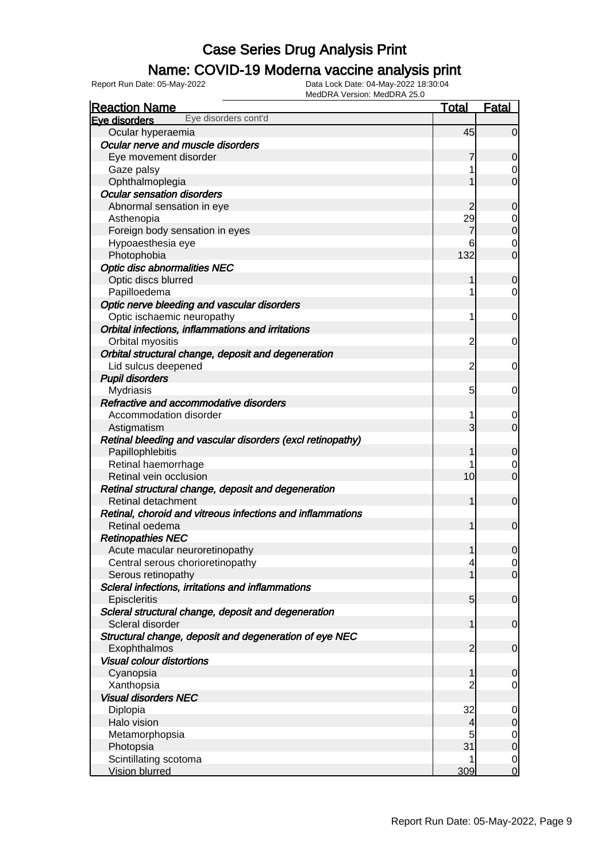### Name: COVID-19 Moderna vaccine analysis print

| $1.7.$ version. Inequally 20.0<br><b>Reaction Name</b>     | <u>Total</u>    | <b>Fatal</b>        |
|------------------------------------------------------------|-----------------|---------------------|
| Eye disorders cont'd<br>Eye disorders                      |                 |                     |
| Ocular hyperaemia                                          | 45              | $\overline{0}$      |
| Ocular nerve and muscle disorders                          |                 |                     |
| Eye movement disorder                                      | 7               | $\overline{0}$      |
| Gaze palsy                                                 |                 | 0                   |
| Ophthalmoplegia                                            |                 | $\overline{0}$      |
| <b>Ocular sensation disorders</b>                          |                 |                     |
| Abnormal sensation in eye                                  | 2               | $\overline{0}$      |
| Asthenopia                                                 | 29              | $\overline{0}$      |
| Foreign body sensation in eyes                             |                 | $\overline{0}$      |
| Hypoaesthesia eye                                          | 6               | $\mathbf 0$         |
| Photophobia                                                | 132             | $\overline{0}$      |
| <b>Optic disc abnormalities NEC</b>                        |                 |                     |
| Optic discs blurred                                        |                 | $\overline{0}$      |
| Papilloedema                                               |                 | $\mathbf 0$         |
| Optic nerve bleeding and vascular disorders                |                 |                     |
| Optic ischaemic neuropathy                                 |                 | $\overline{0}$      |
| Orbital infections, inflammations and irritations          |                 |                     |
| Orbital myositis                                           | $\overline{c}$  | $\overline{0}$      |
| Orbital structural change, deposit and degeneration        |                 |                     |
| Lid sulcus deepened                                        | $\overline{c}$  | $\overline{0}$      |
| <b>Pupil disorders</b>                                     |                 |                     |
| <b>Mydriasis</b>                                           | 5               | $\overline{0}$      |
| Refractive and accommodative disorders                     |                 |                     |
| Accommodation disorder                                     |                 | 0                   |
| Astigmatism                                                | 3               | $\overline{0}$      |
| Retinal bleeding and vascular disorders (excl retinopathy) |                 |                     |
|                                                            |                 | $\mathbf 0$         |
| Papillophlebitis<br>Retinal haemorrhage                    |                 |                     |
|                                                            | 10              | 0<br>$\overline{0}$ |
| Retinal vein occlusion                                     |                 |                     |
| Retinal structural change, deposit and degeneration        |                 |                     |
| Retinal detachment                                         | 1               | $\overline{0}$      |
| Retinal, choroid and vitreous infections and inflammations |                 |                     |
| Retinal oedema                                             |                 | $\overline{0}$      |
| <b>Retinopathies NEC</b>                                   |                 |                     |
| Acute macular neuroretinopathy                             | 1               | $\overline{0}$      |
| Central serous chorioretinopathy                           | 4               | $\overline{0}$      |
| Serous retinopathy                                         |                 | $\overline{0}$      |
| Scleral infections, irritations and inflammations          |                 |                     |
| Episcleritis                                               | $5\overline{)}$ | $\overline{0}$      |
| Scleral structural change, deposit and degeneration        |                 |                     |
| Scleral disorder                                           |                 | $\overline{0}$      |
| Structural change, deposit and degeneration of eye NEC     |                 |                     |
| Exophthalmos                                               | 2               | $\overline{0}$      |
| <b>Visual colour distortions</b>                           |                 |                     |
| Cyanopsia                                                  | 1               | $\overline{0}$      |
| Xanthopsia                                                 |                 | $\overline{0}$      |
| <b>Visual disorders NEC</b>                                |                 |                     |
| Diplopia                                                   | 32              | $\overline{0}$      |
| Halo vision                                                | 4               | $\overline{O}$      |
| Metamorphopsia                                             | 5               | $\overline{O}$      |
| Photopsia                                                  | 31              | $\overline{0}$      |
| Scintillating scotoma                                      |                 | $\mathbf 0$         |
| <b>Vision blurred</b>                                      | 309             | $\overline{0}$      |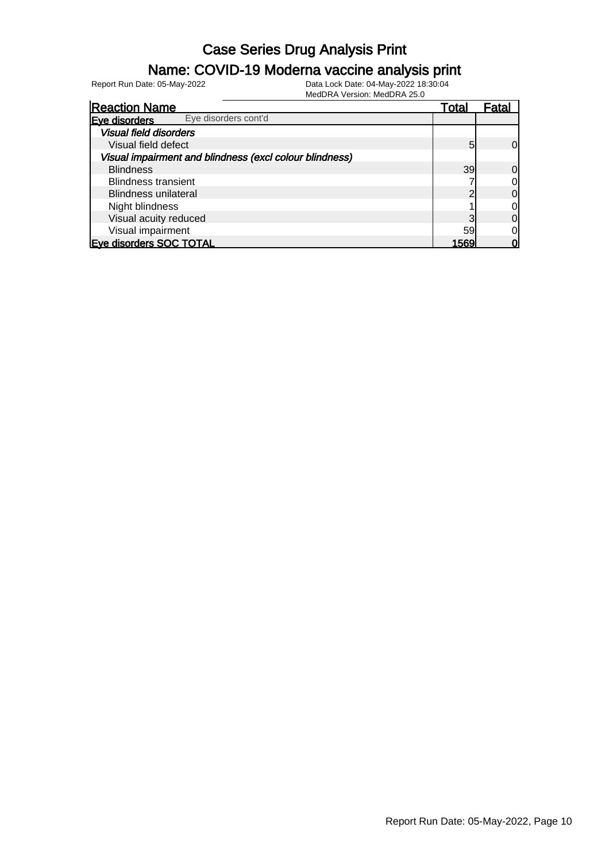#### Name: COVID-19 Moderna vaccine analysis print

Report Run Date: 05-May-2022 Data Lock Date: 04-May-2022 18:30:04

| <b>Reaction Name</b>                                    | Total | Fatal        |
|---------------------------------------------------------|-------|--------------|
| Eye disorders cont'd<br>Eve disorders                   |       |              |
| <b>Visual field disorders</b>                           |       |              |
| Visual field defect                                     | 5     | 0l           |
| Visual impairment and blindness (excl colour blindness) |       |              |
| <b>Blindness</b>                                        | 39    | Οl           |
| <b>Blindness transient</b>                              |       | 0l           |
| Blindness unilateral                                    |       | 0l           |
| Night blindness                                         |       | 0            |
| Visual acuity reduced                                   |       | <sub>0</sub> |
| Visual impairment                                       | 59    | 0l           |
| <b>Eve disorders SOC TOTAL</b>                          | 1569  |              |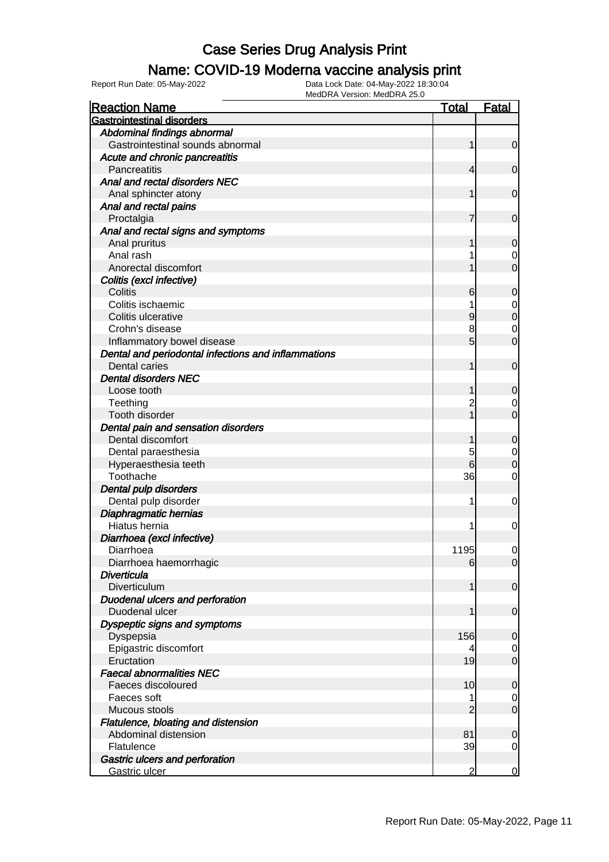### Name: COVID-19 Moderna vaccine analysis print

| <b>Reaction Name</b>                                | <b>Total</b>   | <b>Fatal</b>   |
|-----------------------------------------------------|----------------|----------------|
| <b>Gastrointestinal disorders</b>                   |                |                |
| Abdominal findings abnormal                         |                |                |
| Gastrointestinal sounds abnormal                    | 1              | $\mathbf 0$    |
| Acute and chronic pancreatitis                      |                |                |
| Pancreatitis                                        | 4              | $\mathbf 0$    |
| Anal and rectal disorders NEC                       |                |                |
| Anal sphincter atony                                | 1              | $\mathbf 0$    |
| Anal and rectal pains                               |                |                |
| Proctalgia                                          | 7              | $\mathbf 0$    |
| Anal and rectal signs and symptoms                  |                |                |
| Anal pruritus                                       | 1              | $\mathbf 0$    |
| Anal rash                                           |                | 0              |
| Anorectal discomfort                                |                | $\overline{0}$ |
| Colitis (excl infective)                            |                |                |
| Colitis                                             | 6              | $\mathbf 0$    |
| Colitis ischaemic                                   | 1              | 0              |
| Colitis ulcerative                                  | 9              | $\overline{0}$ |
| Crohn's disease                                     | 8              | $\mathbf 0$    |
| Inflammatory bowel disease                          | 5              | $\overline{0}$ |
| Dental and periodontal infections and inflammations |                |                |
| Dental caries                                       | 1              | $\mathbf 0$    |
| <b>Dental disorders NEC</b>                         |                |                |
| Loose tooth                                         | 1              | $\mathbf 0$    |
| Teething                                            | 2              | 0              |
| Tooth disorder                                      |                | $\overline{0}$ |
| Dental pain and sensation disorders                 |                |                |
| Dental discomfort                                   | 1              | $\mathbf 0$    |
| Dental paraesthesia                                 | 5              | 0              |
| Hyperaesthesia teeth                                | 6              | $\mathbf{0}$   |
| Toothache                                           | 36             | 0              |
| Dental pulp disorders                               |                |                |
|                                                     | 1              | 0              |
| Dental pulp disorder                                |                |                |
| Diaphragmatic hernias<br>Hiatus hernia              | 1              |                |
|                                                     |                | $\mathbf 0$    |
| Diarrhoea (excl infective)                          |                |                |
| Diarrhoea                                           | 1195           | 0              |
| Diarrhoea haemorrhagic                              | 6              | $\overline{0}$ |
| Diverticula                                         |                |                |
| Diverticulum                                        | 1              | $\mathbf 0$    |
| Duodenal ulcers and perforation                     |                |                |
| Duodenal ulcer                                      | 1              | $\mathbf 0$    |
| Dyspeptic signs and symptoms                        |                |                |
| Dyspepsia                                           | 156            | $\mathbf 0$    |
| Epigastric discomfort                               | 4              | 0              |
| Eructation                                          | 19             | $\mathbf 0$    |
| <b>Faecal abnormalities NEC</b>                     |                |                |
| Faeces discoloured                                  | 10             | $\mathbf 0$    |
| Faeces soft                                         | 1              | 0              |
| Mucous stools                                       | $\overline{2}$ | $\mathbf 0$    |
| Flatulence, bloating and distension                 |                |                |
| Abdominal distension                                | 81             | $\mathbf 0$    |
| Flatulence                                          | 39             | 0              |
| Gastric ulcers and perforation                      |                |                |
| Gastric ulcer                                       | 2              | 0              |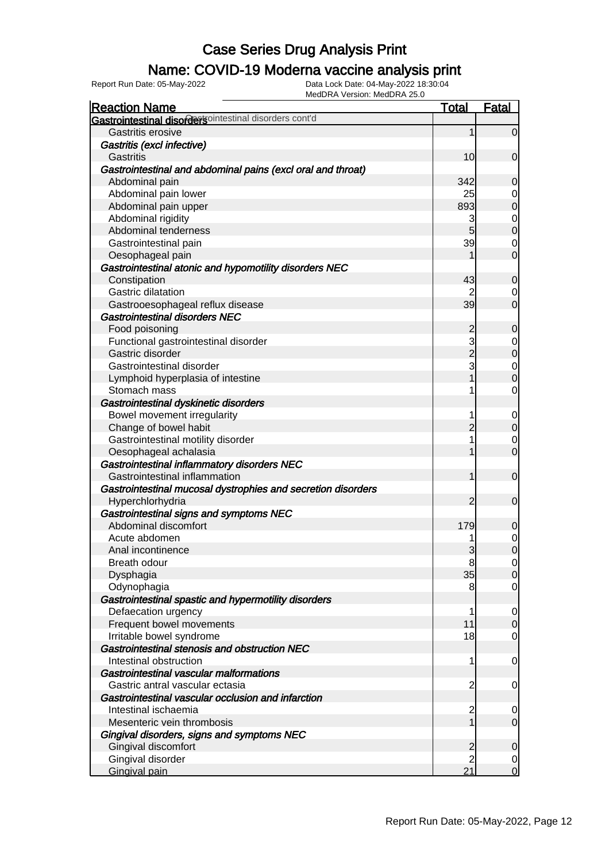### Name: COVID-19 Moderna vaccine analysis print

Report Run Date: 05-May-2022 Data Lock Date: 04-May-2022 18:30:04

| <b>Reaction Name</b>                                         | Total                                      | <b>Fatal</b>                     |
|--------------------------------------------------------------|--------------------------------------------|----------------------------------|
| Gastrointestinal disordersointestinal disorders cont'd       |                                            |                                  |
| Gastritis erosive                                            | $\mathbf{1}$                               | $\overline{0}$                   |
| Gastritis (excl infective)                                   |                                            |                                  |
| Gastritis                                                    | 10                                         | $\boldsymbol{0}$                 |
| Gastrointestinal and abdominal pains (excl oral and throat)  |                                            |                                  |
| Abdominal pain                                               | 342                                        | $\mathbf 0$                      |
| Abdominal pain lower                                         | 25                                         | $\overline{0}$                   |
| Abdominal pain upper                                         | 893                                        | $\overline{0}$                   |
| Abdominal rigidity                                           | 3                                          | $\overline{0}$                   |
| Abdominal tenderness                                         | 5                                          | $\overline{0}$                   |
| Gastrointestinal pain                                        | 39                                         | $\mathbf 0$                      |
| Oesophageal pain                                             | 1                                          | $\overline{O}$                   |
| Gastrointestinal atonic and hypomotility disorders NEC       |                                            |                                  |
| Constipation                                                 | 43                                         | $\mathbf 0$                      |
| Gastric dilatation                                           | 2                                          | $\mathbf 0$                      |
| Gastrooesophageal reflux disease                             | 39                                         | $\overline{0}$                   |
| <b>Gastrointestinal disorders NEC</b>                        |                                            |                                  |
| Food poisoning                                               | $\overline{c}$                             | $\mathbf 0$                      |
| Functional gastrointestinal disorder                         |                                            | $\overline{0}$                   |
| Gastric disorder                                             |                                            | $\overline{0}$                   |
| Gastrointestinal disorder                                    | $\begin{array}{c} 3 \\ 2 \\ 3 \end{array}$ |                                  |
| Lymphoid hyperplasia of intestine                            | $\overline{1}$                             | $\begin{matrix}0\\0\end{matrix}$ |
| Stomach mass                                                 | 1                                          | $\mathbf 0$                      |
| Gastrointestinal dyskinetic disorders                        |                                            |                                  |
| Bowel movement irregularity                                  | 1                                          | $\mathbf 0$                      |
| Change of bowel habit                                        | $\overline{2}$                             | $\pmb{0}$                        |
| Gastrointestinal motility disorder                           | 1                                          | $\mathbf 0$                      |
| Oesophageal achalasia                                        | 1                                          | $\mathbf 0$                      |
| Gastrointestinal inflammatory disorders NEC                  |                                            |                                  |
| Gastrointestinal inflammation                                | 1                                          | $\boldsymbol{0}$                 |
| Gastrointestinal mucosal dystrophies and secretion disorders |                                            |                                  |
| Hyperchlorhydria                                             | $\overline{2}$                             | $\boldsymbol{0}$                 |
| Gastrointestinal signs and symptoms NEC                      |                                            |                                  |
| Abdominal discomfort                                         | 179                                        | $\mathbf 0$                      |
| Acute abdomen                                                |                                            | $\mathbf{0}$                     |
| Anal incontinence                                            | 3                                          | $\overline{0}$                   |
| Breath odour                                                 | 8                                          | 0                                |
| Dysphagia                                                    | 35                                         | 0                                |
| Odynophagia                                                  | 8                                          | $\mathbf 0$                      |
| Gastrointestinal spastic and hypermotility disorders         |                                            |                                  |
| Defaecation urgency                                          | 1                                          | $\overline{0}$                   |
| Frequent bowel movements                                     | 11                                         | $\mathbf 0$                      |
| Irritable bowel syndrome                                     | 18                                         | $\mathbf 0$                      |
| Gastrointestinal stenosis and obstruction NEC                |                                            |                                  |
| Intestinal obstruction                                       | 1                                          | $\overline{0}$                   |
| Gastrointestinal vascular malformations                      |                                            |                                  |
| Gastric antral vascular ectasia                              | $\overline{c}$                             | $\overline{0}$                   |
| Gastrointestinal vascular occlusion and infarction           |                                            |                                  |
| Intestinal ischaemia                                         | $\overline{c}$                             | $\mathbf 0$                      |
| Mesenteric vein thrombosis                                   | $\mathbf{1}$                               | $\mathbf 0$                      |
| Gingival disorders, signs and symptoms NEC                   |                                            |                                  |
| Gingival discomfort                                          | $\overline{c}$                             | $\mathbf 0$                      |
| Gingival disorder                                            | $\overline{2}$                             | $\overline{0}$                   |
| <b>Gingival pain</b>                                         | 21                                         | $\overline{O}$                   |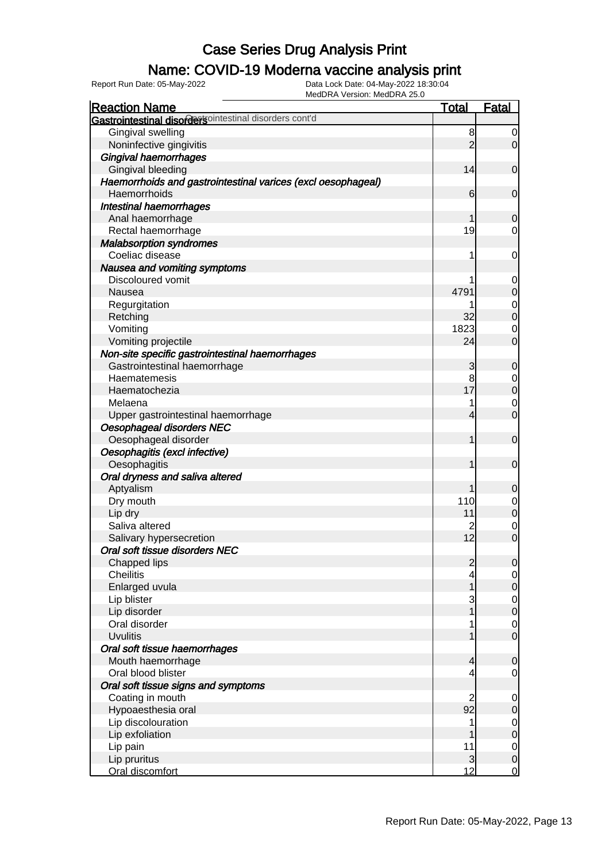### Name: COVID-19 Moderna vaccine analysis print

| <b>Reaction Name</b>                                         | <b>Total</b>   | <b>Fatal</b>                         |
|--------------------------------------------------------------|----------------|--------------------------------------|
| Gastrointestinal disordersointestinal disorders cont'd       |                |                                      |
| Gingival swelling                                            | 8              | $\overline{0}$                       |
| Noninfective gingivitis                                      | $\overline{2}$ | $\overline{0}$                       |
| Gingival haemorrhages                                        |                |                                      |
| Gingival bleeding                                            | 14             | $\mathbf 0$                          |
| Haemorrhoids and gastrointestinal varices (excl oesophageal) |                |                                      |
| Haemorrhoids                                                 | 6              | $\mathbf 0$                          |
| Intestinal haemorrhages                                      |                |                                      |
| Anal haemorrhage                                             | 1              | $\mathbf 0$                          |
| Rectal haemorrhage                                           | 19             | $\overline{0}$                       |
| <b>Malabsorption syndromes</b>                               |                |                                      |
| Coeliac disease                                              | 1              | $\mathbf 0$                          |
| Nausea and vomiting symptoms                                 |                |                                      |
| Discoloured vomit                                            |                | $\mathbf 0$                          |
| Nausea                                                       | 4791           | $\pmb{0}$                            |
| Regurgitation                                                |                | $\begin{matrix} 0 \\ 0 \end{matrix}$ |
| Retching                                                     | 32             |                                      |
| Vomiting                                                     | 1823           | $\mathbf 0$                          |
| Vomiting projectile                                          | 24             | $\mathbf 0$                          |
| Non-site specific gastrointestinal haemorrhages              |                |                                      |
| Gastrointestinal haemorrhage                                 | 3              | $\mathbf 0$                          |
| Haematemesis                                                 | 8              | $\mathbf 0$                          |
| Haematochezia                                                | 17             | $\overline{0}$                       |
| Melaena                                                      |                | $\mathbf 0$                          |
| Upper gastrointestinal haemorrhage                           | 4              | $\mathbf 0$                          |
| Oesophageal disorders NEC                                    |                |                                      |
| Oesophageal disorder                                         | 1              | $\mathbf 0$                          |
| Oesophagitis (excl infective)                                |                |                                      |
| Oesophagitis                                                 | 1              | $\mathbf 0$                          |
| Oral dryness and saliva altered                              |                |                                      |
| Aptyalism                                                    | 1              | $\mathbf 0$                          |
| Dry mouth                                                    | 110            | $\mathbf 0$                          |
| Lip dry                                                      | 11             | $\pmb{0}$                            |
| Saliva altered                                               | 2              | $\mathbf 0$                          |
| Salivary hypersecretion                                      | 12             | $\overline{0}$                       |
| Oral soft tissue disorders NEC                               |                |                                      |
| Chapped lips                                                 | $\overline{2}$ | $\overline{0}$                       |
| <b>Cheilitis</b>                                             | 4              | $\overline{0}$                       |
| Enlarged uvula                                               | 1              | $\mathbf 0$                          |
| Lip blister                                                  | 3              | $\overline{0}$                       |
| Lip disorder                                                 | 1              | $\overline{0}$                       |
| Oral disorder                                                |                | $\mathbf 0$                          |
| <b>Uvulitis</b>                                              | 1              | $\overline{0}$                       |
| Oral soft tissue haemorrhages                                |                |                                      |
| Mouth haemorrhage                                            | 4              | $\mathbf 0$                          |
| Oral blood blister                                           | 4              | $\overline{0}$                       |
| Oral soft tissue signs and symptoms                          |                |                                      |
| Coating in mouth                                             | $\overline{2}$ | $\mathbf 0$                          |
| Hypoaesthesia oral                                           | 92             | $\pmb{0}$                            |
| Lip discolouration                                           | 1              | $\overline{0}$                       |
| Lip exfoliation                                              | 1              | $\mathbf 0$                          |
| Lip pain                                                     | 11             | $\overline{0}$                       |
| Lip pruritus                                                 | 3              | $\boldsymbol{0}$                     |
| Oral discomfort                                              | 12             | $\overline{0}$                       |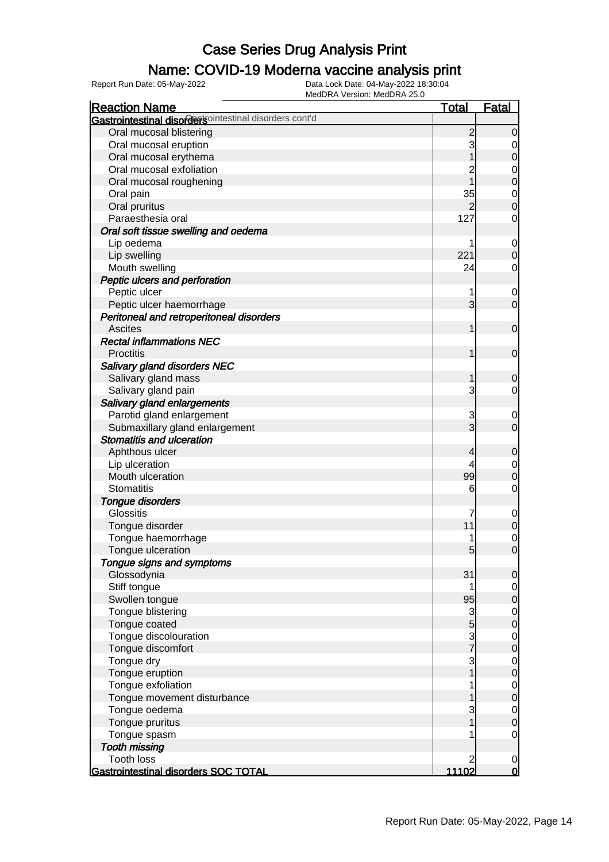### Name: COVID-19 Moderna vaccine analysis print

| <b>Reaction Name</b>                                   | <b>Total</b>   | <b>Fatal</b>   |
|--------------------------------------------------------|----------------|----------------|
| Gastrointestinal disordersointestinal disorders cont'd |                |                |
| Oral mucosal blistering                                | $\overline{c}$ | $\overline{0}$ |
| Oral mucosal eruption                                  | 3              | 0              |
| Oral mucosal erythema                                  |                | 0              |
| Oral mucosal exfoliation                               |                | 0              |
| Oral mucosal roughening                                |                | $\mathbf 0$    |
| Oral pain                                              | 35             | 0              |
| Oral pruritus                                          |                | $\overline{0}$ |
| Paraesthesia oral                                      | 127            | 0              |
| Oral soft tissue swelling and oedema                   |                |                |
| Lip oedema                                             |                | $\mathbf 0$    |
| Lip swelling                                           | 221            | $\mathbf 0$    |
| Mouth swelling                                         | 24             | 0              |
| Peptic ulcers and perforation                          |                |                |
| Peptic ulcer                                           |                | 0              |
| Peptic ulcer haemorrhage                               | 3              | $\overline{0}$ |
| Peritoneal and retroperitoneal disorders               |                |                |
| <b>Ascites</b>                                         |                | $\mathbf 0$    |
| <b>Rectal inflammations NEC</b>                        |                |                |
| <b>Proctitis</b>                                       |                | $\mathbf 0$    |
| Salivary gland disorders NEC                           |                |                |
| Salivary gland mass                                    |                | 0              |
| Salivary gland pain                                    | 3              | 0              |
| Salivary gland enlargements                            |                |                |
| Parotid gland enlargement                              | 3              | 0              |
| Submaxillary gland enlargement                         | 3              | $\overline{0}$ |
| <b>Stomatitis and ulceration</b>                       |                |                |
| Aphthous ulcer                                         | 4              | 0              |
| Lip ulceration                                         |                | 0              |
| Mouth ulceration                                       | 99             | $\mathbf 0$    |
| <b>Stomatitis</b>                                      | 6              | 0              |
| <b>Tongue disorders</b>                                |                |                |
| <b>Glossitis</b>                                       |                | $\mathbf 0$    |
| Tongue disorder                                        | 11             | $\mathbf 0$    |
| Tongue haemorrhage                                     |                | 0              |
| Tongue ulceration                                      | 5              | $\overline{0}$ |
| Tongue signs and symptoms                              |                |                |
| Glossodynia                                            | 31             | $\overline{0}$ |
| Stiff tongue                                           |                | $\overline{0}$ |
| Swollen tongue                                         | 95             | $\overline{0}$ |
| Tongue blistering                                      | 3              | $\mathbf 0$    |
| Tongue coated                                          | 5              | $\mathbf 0$    |
| Tongue discolouration                                  | 3              | $\mathbf 0$    |
| Tongue discomfort                                      |                | $\mathbf 0$    |
| Tongue dry                                             | 3              | $\mathbf 0$    |
| Tongue eruption                                        |                | $\mathbf 0$    |
| Tongue exfoliation                                     |                | $\mathbf 0$    |
| Tongue movement disturbance                            |                | $\mathbf 0$    |
| Tongue oedema                                          |                | $\mathbf 0$    |
| Tongue pruritus                                        |                | $\mathbf 0$    |
| Tongue spasm                                           |                | 0              |
| <b>Tooth missing</b>                                   |                |                |
| <b>Tooth loss</b>                                      |                | $\overline{0}$ |
| Gastrointestinal disorders SOC TOTAL                   | 11102          | $\overline{0}$ |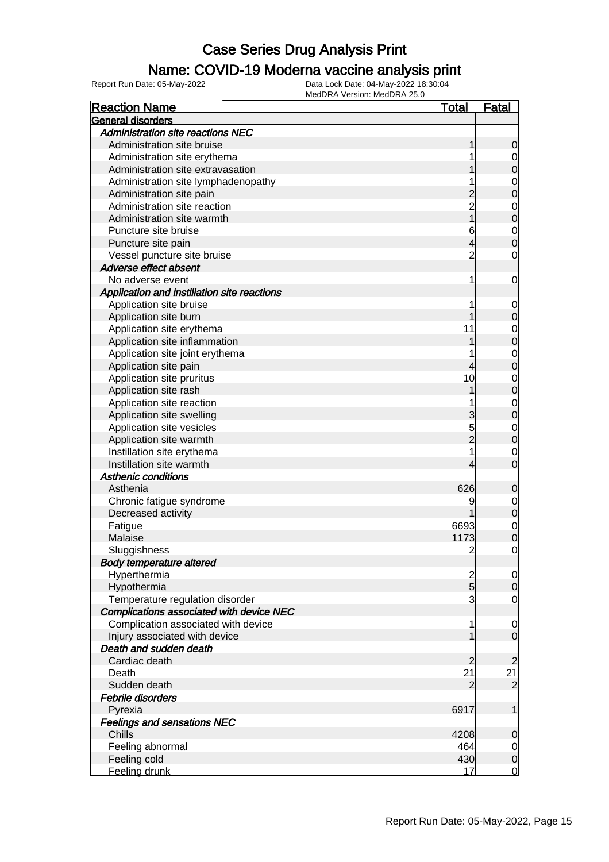### Name: COVID-19 Moderna vaccine analysis print

| <b>Reaction Name</b>                            | <b>Total</b>   | <b>Fatal</b>     |
|-------------------------------------------------|----------------|------------------|
| General disorders                               |                |                  |
| <b>Administration site reactions NEC</b>        |                |                  |
| Administration site bruise                      | 1              | $\mathbf 0$      |
| Administration site erythema                    |                | $\overline{0}$   |
| Administration site extravasation               |                | $\mathbf 0$      |
| Administration site lymphadenopathy             |                | $\mathbf{0}$     |
| Administration site pain                        | $\overline{c}$ | $\overline{0}$   |
| Administration site reaction                    | $\overline{2}$ | $\mathbf{0}$     |
| Administration site warmth                      | $\overline{1}$ | $\overline{0}$   |
| Puncture site bruise                            | 6              | $\mathbf{0}$     |
| Puncture site pain                              | 4              | $\overline{0}$   |
| Vessel puncture site bruise                     | $\overline{2}$ | $\mathbf 0$      |
| Adverse effect absent                           |                |                  |
| No adverse event                                | 1              | $\mathbf 0$      |
| Application and instillation site reactions     |                |                  |
| Application site bruise                         |                | $\mathbf 0$      |
| Application site burn                           |                | $\mathbf 0$      |
| Application site erythema                       | 11             | $\mathbf{0}$     |
| Application site inflammation                   |                | $\mathbf 0$      |
| Application site joint erythema                 |                | $\mathbf{0}$     |
| Application site pain                           | 4              | $\overline{0}$   |
| Application site pruritus                       | 10             | $\mathbf{0}$     |
| Application site rash                           |                | $\overline{0}$   |
| Application site reaction                       |                | $\mathbf{0}$     |
| Application site swelling                       | 3              | $\overline{0}$   |
| Application site vesicles                       | 5              | $\mathbf{0}$     |
| Application site warmth                         | $\overline{2}$ | $\overline{0}$   |
| Instillation site erythema                      |                | $\mathbf 0$      |
| Instillation site warmth                        | 4              | $\overline{0}$   |
| <b>Asthenic conditions</b>                      |                |                  |
| Asthenia                                        | 626            | $\boldsymbol{0}$ |
| Chronic fatigue syndrome                        | 9              | $\mathbf 0$      |
| Decreased activity                              |                | $\mathbf 0$      |
| Fatigue                                         | 6693           | $\mathbf{0}$     |
| Malaise                                         | 1173           | $\overline{0}$   |
| Sluggishness                                    | $\overline{2}$ | $\mathbf 0$      |
| <b>Body temperature altered</b>                 |                |                  |
| Hyperthermia                                    | $\overline{c}$ | $\overline{0}$   |
| Hypothermia                                     | $\overline{5}$ | $\overline{0}$   |
| Temperature regulation disorder                 | 3              | $\mathbf 0$      |
| <b>Complications associated with device NEC</b> |                |                  |
| Complication associated with device             | 1              | $\mathbf 0$      |
| Injury associated with device                   |                | $\mathbf 0$      |
| Death and sudden death                          |                |                  |
| Cardiac death                                   | $\overline{2}$ | $\overline{2}$   |
| Death                                           | 21             | 2F               |
| Sudden death                                    | $\overline{2}$ | $\overline{2}$   |
| Febrile disorders                               |                |                  |
| Pyrexia                                         | 6917           | 1                |
| <b>Feelings and sensations NEC</b>              |                |                  |
| Chills                                          | 4208           | $\mathbf 0$      |
| Feeling abnormal                                | 464            | $\overline{0}$   |
| Feeling cold                                    | 430            | $\mathsf{O}$     |
| Feeling drunk                                   | 17             | $\overline{0}$   |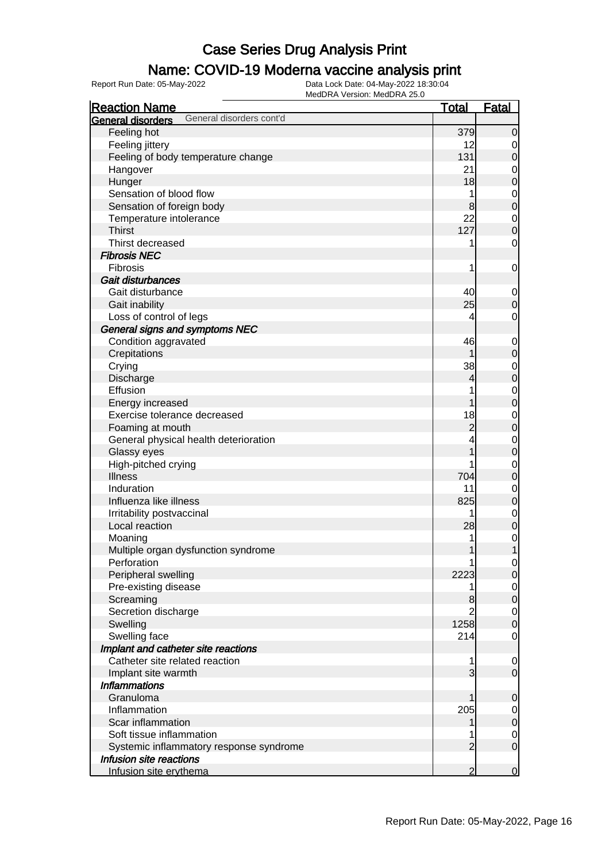### Name: COVID-19 Moderna vaccine analysis print

| <b>Reaction Name</b>                                 | <u>Total</u>   | Fatal                           |
|------------------------------------------------------|----------------|---------------------------------|
| General disorders cont'd<br><b>General disorders</b> |                |                                 |
| Feeling hot                                          | 379            | $\overline{0}$                  |
| Feeling jittery                                      | 12             | $\overline{0}$                  |
| Feeling of body temperature change                   | 131            | $\mathbf 0$                     |
| Hangover                                             | 21             | $\mathbf 0$                     |
| Hunger                                               | 18             | $\mathbf 0$                     |
| Sensation of blood flow                              | 1              | $\mathbf 0$                     |
| Sensation of foreign body                            | 8              | $\mathbf 0$                     |
| Temperature intolerance                              | 22             | $\overline{0}$                  |
| <b>Thirst</b>                                        | 127            | $\boldsymbol{0}$                |
| Thirst decreased                                     | 1              | $\mathbf 0$                     |
| <b>Fibrosis NEC</b>                                  |                |                                 |
| <b>Fibrosis</b>                                      | 1              | $\mathbf 0$                     |
| Gait disturbances                                    |                |                                 |
| Gait disturbance                                     | 40             | $\mathbf 0$                     |
| Gait inability                                       | 25             | $\mathbf 0$                     |
| Loss of control of legs                              | 4              | $\mathbf 0$                     |
| General signs and symptoms NEC                       |                |                                 |
| Condition aggravated                                 | 46             | $\mathbf 0$                     |
| Crepitations                                         | 1              | $\boldsymbol{0}$                |
| Crying                                               | 38             | $\mathbf 0$                     |
| Discharge                                            | 4              | $\overline{0}$                  |
| Effusion                                             |                | $\mathbf 0$                     |
| Energy increased                                     | 1              | $\mathbf 0$                     |
| Exercise tolerance decreased                         | 18             |                                 |
|                                                      | $\overline{c}$ | $\mathbf 0$<br>$\mathbf 0$      |
| Foaming at mouth                                     |                |                                 |
| General physical health deterioration                |                | $\mathbf 0$<br>$\boldsymbol{0}$ |
| Glassy eyes                                          |                |                                 |
| High-pitched crying<br><b>Illness</b>                | 704            | $\mathbf 0$<br>$\mathbf 0$      |
| Induration                                           |                |                                 |
| Influenza like illness                               | 11             | $\mathbf 0$                     |
|                                                      | 825            | $\boldsymbol{0}$                |
| Irritability postvaccinal                            | 1              | $\mathbf 0$                     |
| Local reaction                                       | 28             | $\overline{0}$                  |
| Moaning                                              |                | $\mathbf 0$                     |
| Multiple organ dysfunction syndrome                  | $\mathbf{1}$   | $\overline{1}$                  |
| Perforation                                          |                | $\overline{0}$                  |
| Peripheral swelling                                  | 2223           | $\overline{O}$                  |
| Pre-existing disease                                 |                | $\overline{0}$                  |
| Screaming                                            | 8              | $\overline{0}$                  |
| Secretion discharge                                  |                | $\mathbf 0$                     |
| Swelling                                             | 1258           | $\mathbf 0$                     |
| Swelling face                                        | 214            | 0                               |
| Implant and catheter site reactions                  |                |                                 |
| Catheter site related reaction                       |                | $\overline{0}$                  |
| Implant site warmth                                  | 3              | $\overline{O}$                  |
| <b>Inflammations</b>                                 |                |                                 |
| Granuloma                                            |                | $\mathbf 0$                     |
| Inflammation                                         | 205            | $\overline{0}$                  |
| Scar inflammation                                    |                | $\mathbf 0$                     |
| Soft tissue inflammation                             |                | $\overline{0}$                  |
| Systemic inflammatory response syndrome              | $\overline{2}$ | $\overline{O}$                  |
| Infusion site reactions                              |                |                                 |
| Infusion site erythema                               | $\overline{2}$ | $\mathbf 0$                     |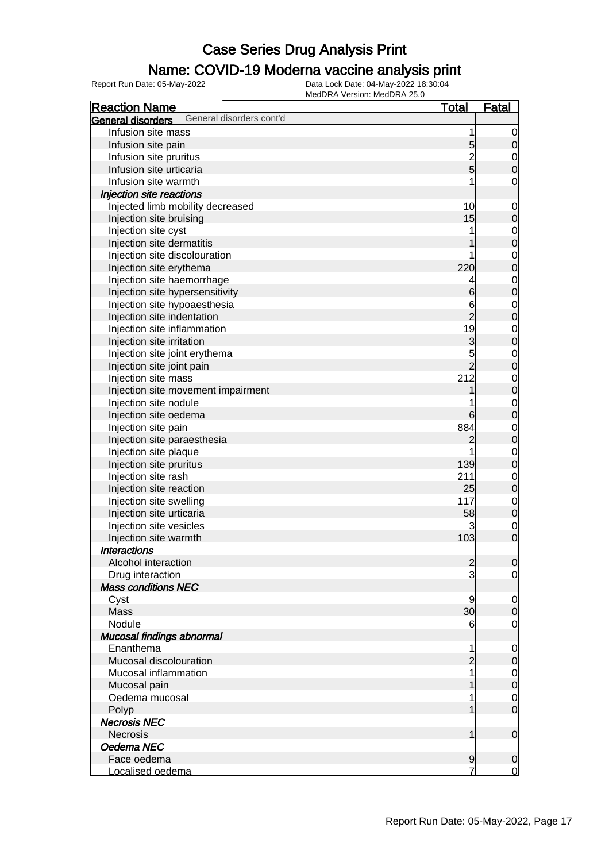### Name: COVID-19 Moderna vaccine analysis print

| <b>Reaction Name</b>                          | <b>Total</b>    | <b>Fatal</b>     |
|-----------------------------------------------|-----------------|------------------|
| General disorders cont'd<br>General disorders |                 |                  |
| Infusion site mass                            | 1               | $\mathbf 0$      |
| Infusion site pain                            | 5               | $\boldsymbol{0}$ |
| Infusion site pruritus                        |                 | $\mathbf 0$      |
| Infusion site urticaria                       | 2<br>5          | $\overline{0}$   |
| Infusion site warmth                          |                 | 0                |
| Injection site reactions                      |                 |                  |
| Injected limb mobility decreased              | 10              | 0                |
| Injection site bruising                       | 15              | $\mathbf 0$      |
| Injection site cyst                           |                 | $\mathbf 0$      |
| Injection site dermatitis                     |                 | $\mathbf 0$      |
| Injection site discolouration                 |                 | $\mathbf 0$      |
| Injection site erythema                       | 220             | $\mathbf 0$      |
| Injection site haemorrhage                    |                 | $\mathbf 0$      |
| Injection site hypersensitivity               | 6               | $\mathbf 0$      |
| Injection site hypoaesthesia                  | 6               | $\mathbf 0$      |
| Injection site indentation                    | $\overline{2}$  | $\mathbf 0$      |
| Injection site inflammation                   | 19              | $\mathbf 0$      |
| Injection site irritation                     | 3               | $\mathbf 0$      |
| Injection site joint erythema                 | 5               | $\mathbf 0$      |
| Injection site joint pain                     | $\overline{2}$  | $\mathbf 0$      |
| Injection site mass                           | 212             | $\mathbf 0$      |
| Injection site movement impairment            |                 | $\mathbf 0$      |
| Injection site nodule                         |                 | $\mathbf 0$      |
| Injection site oedema                         | 6               | $\mathbf 0$      |
|                                               | 884             |                  |
| Injection site pain                           |                 | $\mathbf 0$      |
| Injection site paraesthesia                   | 2               | $\mathbf 0$      |
| Injection site plaque                         | 139             | $\mathbf 0$      |
| Injection site pruritus                       | 211             | $\mathbf 0$      |
| Injection site rash                           | 25              | $\mathbf 0$      |
| Injection site reaction                       | 117             | $\mathbf 0$      |
| Injection site swelling                       |                 | $\mathbf 0$      |
| Injection site urticaria                      | 58              | $\mathbf 0$      |
| Injection site vesicles                       | 3               | $\mathbf 0$      |
| Injection site warmth                         | 103             | $\mathbf 0$      |
| <b>Interactions</b>                           |                 |                  |
| Alcohol interaction                           | $\mathbf{2}$    | $\mathbf 0$      |
| Drug interaction                              | 3               | $\overline{0}$   |
| <b>Mass conditions NEC</b>                    |                 |                  |
| Cyst                                          | 9               | 0                |
| Mass                                          | 30 <sup>2</sup> | $\boldsymbol{0}$ |
| Nodule                                        | 6               | 0                |
| Mucosal findings abnormal                     |                 |                  |
| Enanthema                                     | 1               | 0                |
| Mucosal discolouration                        | $\overline{c}$  | $\boldsymbol{0}$ |
| Mucosal inflammation                          |                 | $\mathbf 0$      |
| Mucosal pain                                  |                 | $\mathbf 0$      |
| Oedema mucosal                                |                 | $\mathbf 0$      |
| Polyp                                         |                 | $\overline{0}$   |
| <b>Necrosis NEC</b>                           |                 |                  |
| <b>Necrosis</b>                               | 1               | $\mathbf 0$      |
| Oedema NEC                                    |                 |                  |
| Face oedema                                   | $\overline{9}$  | 0                |
| Localised oedema                              |                 | $\mathbf 0$      |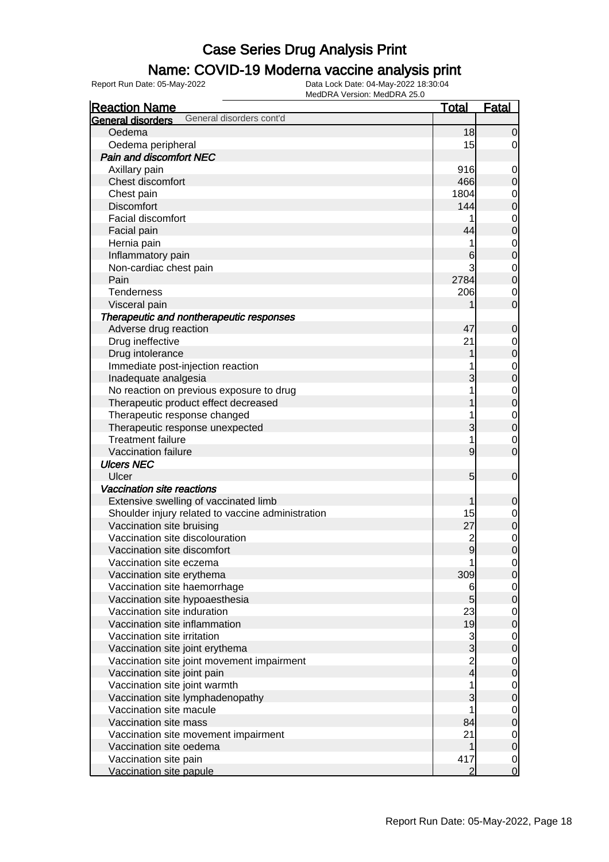### Name: COVID-19 Moderna vaccine analysis print

| <b>Reaction Name</b>                                 | <b>Total</b>   | <b>Fatal</b>               |
|------------------------------------------------------|----------------|----------------------------|
| General disorders cont'd<br><b>General disorders</b> |                |                            |
| Oedema                                               | 18             | $\mathbf 0$                |
| Oedema peripheral                                    | 15             | $\overline{0}$             |
| Pain and discomfort NEC                              |                |                            |
| Axillary pain                                        | 916            | $\mathbf 0$                |
| Chest discomfort                                     | 466            | $\mathbf 0$                |
| Chest pain                                           | 1804           | $\mathbf 0$                |
| <b>Discomfort</b>                                    | 144            | $\mathbf 0$                |
| Facial discomfort                                    |                | $\mathbf 0$                |
| Facial pain                                          | 44             | $\mathbf 0$                |
| Hernia pain                                          |                | $\mathbf 0$                |
| Inflammatory pain                                    | 6              | $\mathbf 0$                |
| Non-cardiac chest pain                               | 3              | $\mathbf 0$                |
| Pain                                                 | 2784           | $\mathbf 0$                |
| Tenderness                                           | 206            | $\mathbf 0$                |
| Visceral pain                                        |                | $\mathbf 0$                |
| Therapeutic and nontherapeutic responses             |                |                            |
| Adverse drug reaction                                | 47             | $\mathbf 0$                |
| Drug ineffective                                     | 21             | $\mathbf 0$                |
| Drug intolerance                                     |                | $\pmb{0}$                  |
| Immediate post-injection reaction                    |                |                            |
| Inadequate analgesia                                 | 3              | $\mathbf 0$<br>$\mathbf 0$ |
|                                                      |                |                            |
| No reaction on previous exposure to drug             |                | $\mathbf 0$                |
| Therapeutic product effect decreased                 |                | $\mathbf 0$                |
| Therapeutic response changed                         |                | $\mathbf 0$                |
| Therapeutic response unexpected                      | 3              | $\mathbf 0$                |
| <b>Treatment failure</b>                             | 1              | $\mathbf 0$                |
| Vaccination failure                                  | 9              | $\mathbf 0$                |
| <b>Ulcers NEC</b>                                    |                |                            |
| Ulcer                                                | 5              | $\mathbf 0$                |
| Vaccination site reactions                           |                |                            |
| Extensive swelling of vaccinated limb                | 1              | 0                          |
| Shoulder injury related to vaccine administration    | 15             | $\mathbf 0$                |
| Vaccination site bruising                            | 27             | $\pmb{0}$                  |
| Vaccination site discolouration                      | $\overline{c}$ | $\mathbf 0$                |
| Vaccination site discomfort                          | $\overline{9}$ | $\overline{0}$             |
| Vaccination site eczema                              | 1              | $\overline{0}$             |
| Vaccination site erythema                            | 309            | $\mathbf 0$                |
| Vaccination site haemorrhage                         | 6              | $\mathbf 0$                |
| Vaccination site hypoaesthesia                       | 5              | $\pmb{0}$                  |
| Vaccination site induration                          | 23             | $\mathbf 0$                |
| Vaccination site inflammation                        | 19             | $\mathbf 0$                |
| Vaccination site irritation                          | $\frac{3}{3}$  | $\mathbf 0$                |
| Vaccination site joint erythema                      |                | $\mathbf 0$                |
| Vaccination site joint movement impairment           | $\overline{c}$ | $\mathbf 0$                |
| Vaccination site joint pain                          | $\overline{4}$ | $\mathbf 0$                |
| Vaccination site joint warmth                        |                | $\mathbf 0$                |
| Vaccination site lymphadenopathy                     | 3              | $\mathbf 0$                |
| Vaccination site macule                              |                | $\mathbf 0$                |
| Vaccination site mass                                | 84             | $\pmb{0}$                  |
| Vaccination site movement impairment                 | 21             | $\mathbf 0$                |
| Vaccination site oedema                              | 1              | $\pmb{0}$                  |
| Vaccination site pain                                | 417            | $\overline{0}$             |
| Vaccination site papule                              | $\overline{2}$ | $\overline{0}$             |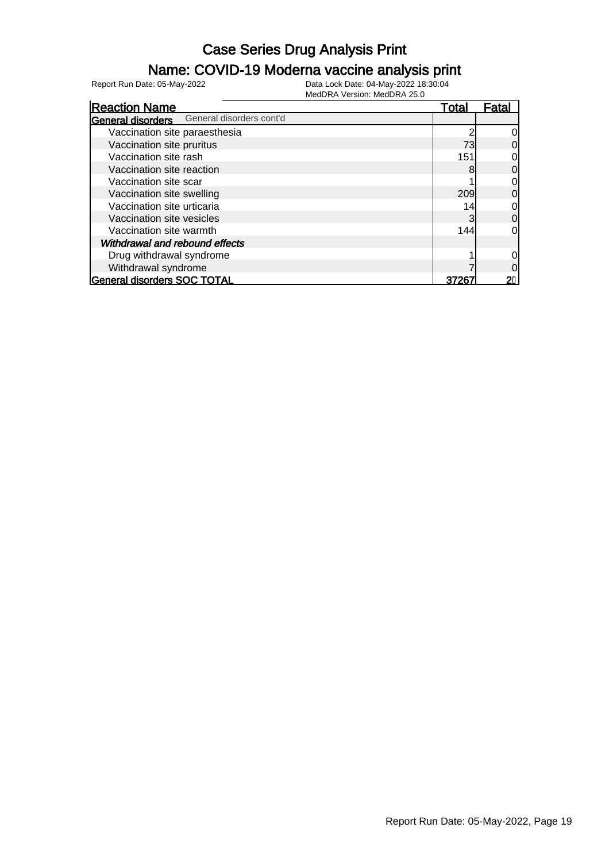#### Name: COVID-19 Moderna vaccine analysis print

| <b>Reaction Name</b>                              | Total | Fatal          |
|---------------------------------------------------|-------|----------------|
| <b>General disorders</b> General disorders cont'd |       |                |
| Vaccination site paraesthesia                     |       | 0l             |
| Vaccination site pruritus                         | 73    | 0              |
| Vaccination site rash                             | 151   | 0              |
| Vaccination site reaction                         | 8     | $\overline{0}$ |
| Vaccination site scar                             |       | 0l             |
| Vaccination site swelling                         | 209   | $\Omega$       |
| Vaccination site urticaria                        | 14    | 0l             |
| Vaccination site vesicles                         | 3     | $\Omega$       |
| Vaccination site warmth                           | 144   | 0l             |
| Withdrawal and rebound effects                    |       |                |
| Drug withdrawal syndrome                          |       |                |
| Withdrawal syndrome                               |       | ი              |
| <b>General disorders SOC TOTAL</b>                | 3726  |                |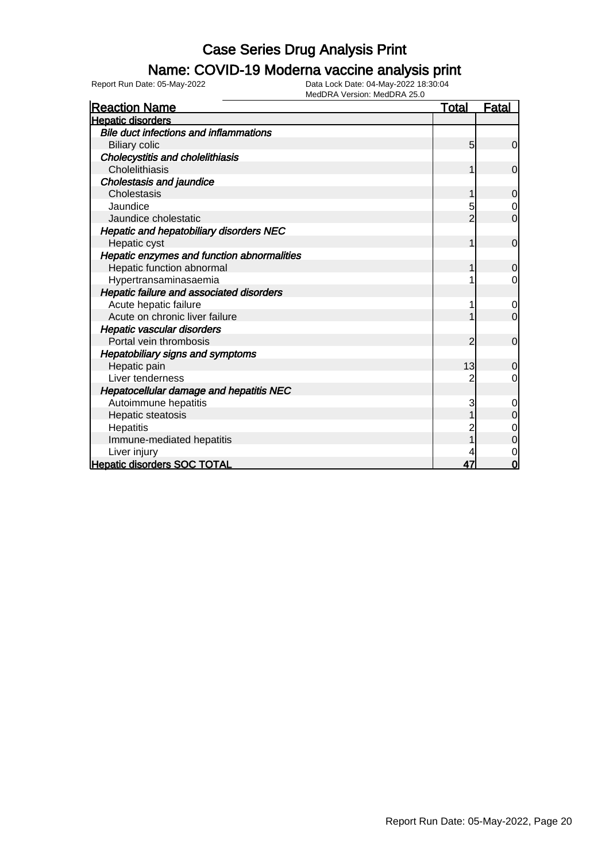### Name: COVID-19 Moderna vaccine analysis print

Report Run Date: 05-May-2022 Data Lock Date: 04-May-2022 18:30:04

| <b>Reaction Name</b>                          | <b>Total</b> | <u>Fatal</u>   |
|-----------------------------------------------|--------------|----------------|
| <b>Hepatic disorders</b>                      |              |                |
| <b>Bile duct infections and inflammations</b> |              |                |
| <b>Biliary colic</b>                          | 5            | $\mathbf 0$    |
| Cholecystitis and cholelithiasis              |              |                |
| Cholelithiasis                                |              | $\mathbf 0$    |
| <b>Cholestasis and jaundice</b>               |              |                |
| Cholestasis                                   |              | $\mathbf 0$    |
| Jaundice                                      | 5            | $\mathbf 0$    |
| Jaundice cholestatic                          | 2            | $\overline{0}$ |
| Hepatic and hepatobiliary disorders NEC       |              |                |
| Hepatic cyst                                  | 1            | $\mathbf 0$    |
| Hepatic enzymes and function abnormalities    |              |                |
| Hepatic function abnormal                     |              | $\overline{0}$ |
| Hypertransaminasaemia                         |              | 0              |
| Hepatic failure and associated disorders      |              |                |
| Acute hepatic failure                         |              | $\mathbf 0$    |
| Acute on chronic liver failure                |              | $\overline{0}$ |
| Hepatic vascular disorders                    |              |                |
| Portal vein thrombosis                        | 2            | $\mathbf 0$    |
| Hepatobiliary signs and symptoms              |              |                |
| Hepatic pain                                  | 13           | $\overline{0}$ |
| Liver tenderness                              |              | $\overline{0}$ |
| Hepatocellular damage and hepatitis NEC       |              |                |
| Autoimmune hepatitis                          | 3            | $\mathbf 0$    |
| Hepatic steatosis                             |              | $\mathbf 0$    |
| Hepatitis                                     |              | $\mathbf 0$    |
| Immune-mediated hepatitis                     |              | $\mathbf 0$    |
| Liver injury                                  |              | $\mathbf 0$    |
| <b>Hepatic disorders SOC TOTAL</b>            | 47           | $\bf{0}$       |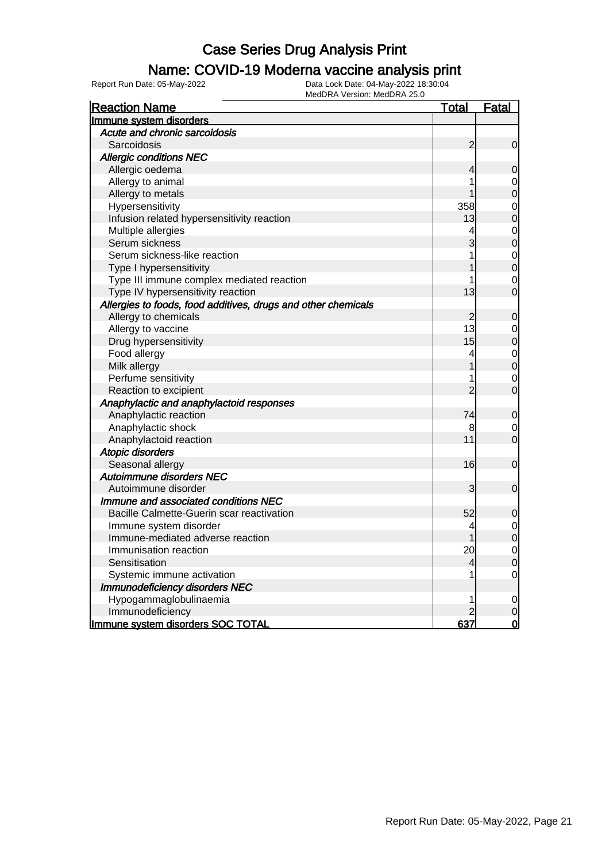#### Name: COVID-19 Moderna vaccine analysis print

| <b>Reaction Name</b>                                          | <u>Total</u>   | <b>Fatal</b>   |
|---------------------------------------------------------------|----------------|----------------|
| Immune system disorders                                       |                |                |
| Acute and chronic sarcoidosis                                 |                |                |
| Sarcoidosis                                                   | $\overline{c}$ | $\mathbf 0$    |
| <b>Allergic conditions NEC</b>                                |                |                |
| Allergic oedema                                               | 4              | 0              |
| Allergy to animal                                             |                | 0              |
| Allergy to metals                                             |                | $\overline{0}$ |
| Hypersensitivity                                              | 358            | $\mathbf 0$    |
| Infusion related hypersensitivity reaction                    | 13             | $\overline{0}$ |
| Multiple allergies                                            | 4              | $\mathbf 0$    |
| Serum sickness                                                | 3              | $\overline{0}$ |
| Serum sickness-like reaction                                  | 1              | $\overline{0}$ |
| Type I hypersensitivity                                       |                | $\overline{0}$ |
| Type III immune complex mediated reaction                     | 1              | $\mathbf 0$    |
| Type IV hypersensitivity reaction                             | 13             | $\overline{0}$ |
| Allergies to foods, food additives, drugs and other chemicals |                |                |
| Allergy to chemicals                                          | $\overline{c}$ | $\mathbf 0$    |
| Allergy to vaccine                                            | 13             | $\mathbf 0$    |
| Drug hypersensitivity                                         | 15             | $\overline{0}$ |
| Food allergy                                                  | 4              | $\mathbf 0$    |
| Milk allergy                                                  |                | $\mathbf 0$    |
| Perfume sensitivity                                           | 1              | $\mathbf 0$    |
| Reaction to excipient                                         | $\overline{2}$ | $\overline{0}$ |
| Anaphylactic and anaphylactoid responses                      |                |                |
| Anaphylactic reaction                                         | 74             | $\mathbf 0$    |
| Anaphylactic shock                                            | 8              | 0              |
| Anaphylactoid reaction                                        | 11             | $\overline{0}$ |
| Atopic disorders                                              |                |                |
| Seasonal allergy                                              | 16             | $\mathbf 0$    |
| Autoimmune disorders NEC                                      |                |                |
| Autoimmune disorder                                           | 3              | $\overline{0}$ |
| Immune and associated conditions NEC                          |                |                |
| Bacille Calmette-Guerin scar reactivation                     | 52             | $\mathbf 0$    |
| Immune system disorder                                        | 4              | $\mathbf 0$    |
| Immune-mediated adverse reaction                              |                | $\mathbf 0$    |
| Immunisation reaction                                         | 20             | $\mathbf 0$    |
| Sensitisation                                                 | 4              | $\mathbf 0$    |
| Systemic immune activation                                    | 1              | $\mathbf 0$    |
| <b>Immunodeficiency disorders NEC</b>                         |                |                |
| Hypogammaglobulinaemia                                        | 1              | 0              |
| Immunodeficiency                                              |                | 0              |
| Immune system disorders SOC TOTAL                             | 637            | $\overline{0}$ |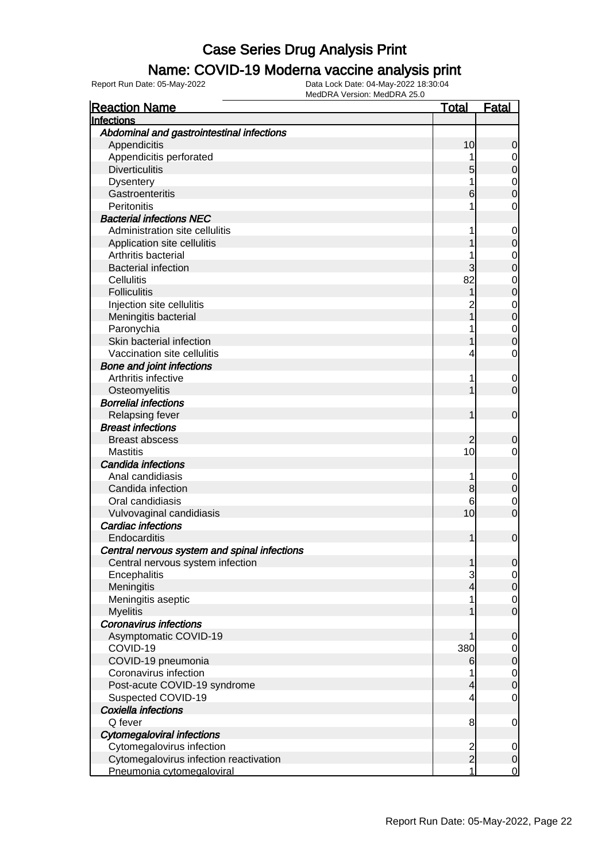### Name: COVID-19 Moderna vaccine analysis print

| <b>Reaction Name</b>                         | <u>Total</u>  | <b>Fatal</b>     |
|----------------------------------------------|---------------|------------------|
| Infections                                   |               |                  |
| Abdominal and gastrointestinal infections    |               |                  |
| Appendicitis                                 | 10            | 0                |
| Appendicitis perforated                      |               | 0                |
| <b>Diverticulitis</b>                        | 5             | 0                |
| <b>Dysentery</b>                             |               | 0                |
| Gastroenteritis                              | 6             | 0                |
| Peritonitis                                  |               | 0                |
| <b>Bacterial infections NEC</b>              |               |                  |
| Administration site cellulitis               |               | 0                |
| Application site cellulitis                  |               | 0                |
| Arthritis bacterial                          |               | 0                |
| <b>Bacterial infection</b>                   |               | 0                |
| Cellulitis                                   | 82            | 0                |
| <b>Folliculitis</b>                          |               | 0                |
| Injection site cellulitis                    |               | 0                |
| Meningitis bacterial                         |               | 0                |
| Paronychia                                   |               | 0                |
| Skin bacterial infection                     |               | 0                |
| Vaccination site cellulitis                  | 4             | 0                |
| <b>Bone and joint infections</b>             |               |                  |
| Arthritis infective                          | 1             | 0                |
| Osteomyelitis                                |               | 0                |
| <b>Borrelial infections</b>                  |               |                  |
| Relapsing fever                              |               | $\mathbf 0$      |
| <b>Breast infections</b>                     |               |                  |
| <b>Breast abscess</b>                        | 2             | 0                |
| <b>Mastitis</b>                              | 10            | 0                |
| Candida infections                           |               |                  |
| Anal candidiasis                             | 1             | $\boldsymbol{0}$ |
| Candida infection<br>Oral candidiasis        | 8<br>6        | 0                |
| Vulvovaginal candidiasis                     | 10            | 0<br>0           |
| <b>Cardiac infections</b>                    |               |                  |
| Endocarditis                                 |               | $\mathbf 0$      |
| Central nervous system and spinal infections |               |                  |
| Central nervous system infection             |               | $\Omega$         |
| Encephalitis                                 | 3             | $\overline{0}$   |
| Meningitis                                   | 4             | $\mathbf 0$      |
| Meningitis aseptic                           |               | 0                |
| <b>Myelitis</b>                              |               | $\overline{0}$   |
| <b>Coronavirus infections</b>                |               |                  |
| Asymptomatic COVID-19                        |               | 0                |
| COVID-19                                     | 380           | $\mathbf 0$      |
| COVID-19 pneumonia                           | 6             | 0                |
| Coronavirus infection                        |               | $\mathbf 0$      |
| Post-acute COVID-19 syndrome                 | 4             | 0                |
| Suspected COVID-19                           | 4             | $\mathbf 0$      |
| Coxiella infections                          |               |                  |
| Q fever                                      | 8             | 0                |
| <b>Cytomegaloviral infections</b>            |               |                  |
| Cytomegalovirus infection                    | $\frac{2}{2}$ | 0                |
| Cytomegalovirus infection reactivation       |               | $\mathbf 0$      |
| Pneumonia cytomegaloviral                    | 1             | $\overline{0}$   |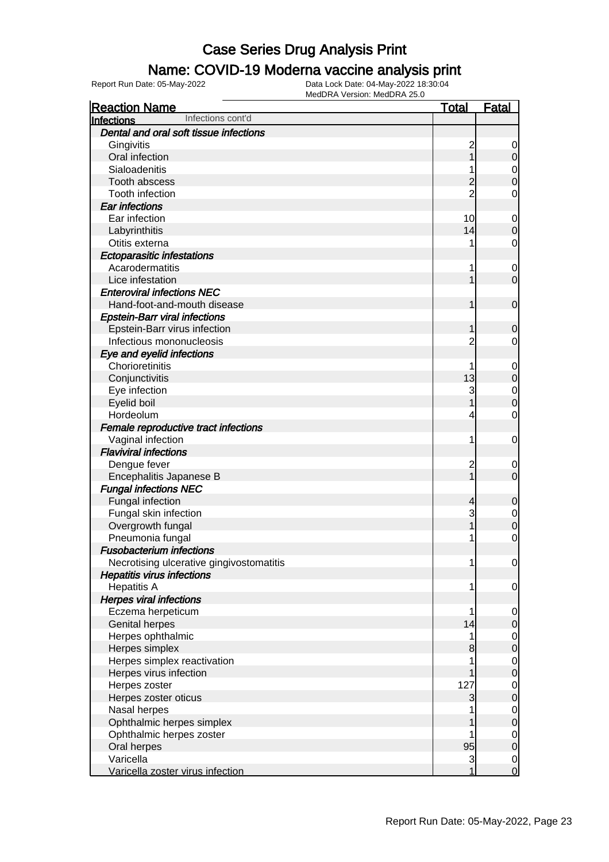### Name: COVID-19 Moderna vaccine analysis print

| <b>Reaction Name</b>                     | <b>Total</b>   | <u>Fatal</u>                         |
|------------------------------------------|----------------|--------------------------------------|
| Infections cont'd<br><b>Infections</b>   |                |                                      |
| Dental and oral soft tissue infections   |                |                                      |
| Gingivitis                               | 2              | 0                                    |
| Oral infection                           |                | $\mathbf 0$                          |
| Sialoadenitis                            |                | $\mathbf 0$                          |
| Tooth abscess                            |                | $\overline{0}$                       |
| Tooth infection                          | $\overline{2}$ | $\mathbf 0$                          |
| <b>Ear infections</b>                    |                |                                      |
| Ear infection                            | 10             | $\mathbf 0$                          |
| Labyrinthitis                            | 14             | 0                                    |
| Otitis externa                           | 1              | $\mathbf 0$                          |
| <b>Ectoparasitic infestations</b>        |                |                                      |
| Acarodermatitis                          | 1              | $\mathbf 0$                          |
| Lice infestation                         |                | $\overline{0}$                       |
| <b>Enteroviral infections NEC</b>        |                |                                      |
| Hand-foot-and-mouth disease              |                | $\mathbf 0$                          |
| <b>Epstein-Barr viral infections</b>     |                |                                      |
| Epstein-Barr virus infection             |                | 0                                    |
| Infectious mononucleosis                 | 2              | 0                                    |
| Eye and eyelid infections                |                |                                      |
| Chorioretinitis                          | 1              | $\mathbf{0}$                         |
| Conjunctivitis                           | 13             | $\mathbf 0$                          |
| Eye infection                            | 3              | $\mathbf 0$                          |
| Eyelid boil                              |                | $\overline{0}$                       |
| Hordeolum                                | 4              | $\mathbf 0$                          |
| Female reproductive tract infections     |                |                                      |
| Vaginal infection                        | 1              | 0                                    |
| <b>Flaviviral infections</b>             |                |                                      |
| Dengue fever                             | 2              | 0                                    |
| Encephalitis Japanese B                  | 1              | $\overline{0}$                       |
| <b>Fungal infections NEC</b>             |                |                                      |
| Fungal infection                         | 4              | $\mathbf 0$                          |
| Fungal skin infection                    | 3              | $\mathbf 0$                          |
| Overgrowth fungal                        |                | 0                                    |
| Pneumonia fungal                         | 1              | $\mathbf 0$                          |
| <b>Fusobacterium infections</b>          |                |                                      |
| Necrotising ulcerative gingivostomatitis | 1              | $\overline{0}$                       |
| <b>Hepatitis virus infections</b>        |                |                                      |
| <b>Hepatitis A</b>                       | 1              | $\overline{0}$                       |
| <b>Herpes viral infections</b>           |                |                                      |
| Eczema herpeticum                        | 1              | $\mathbf 0$                          |
| <b>Genital herpes</b>                    | 14             | 0                                    |
| Herpes ophthalmic                        | 1              | $\overline{0}$                       |
| Herpes simplex                           | 8              | $\mathbf 0$                          |
| Herpes simplex reactivation              |                | $\mathbf 0$                          |
| Herpes virus infection                   |                | $\mathbf 0$                          |
| Herpes zoster                            | 127            | $\mathbf 0$                          |
| Herpes zoster oticus                     | 3              | $\mathbf 0$                          |
| Nasal herpes                             |                | $\mathbf 0$                          |
| Ophthalmic herpes simplex                |                | $\boldsymbol{0}$                     |
| Ophthalmic herpes zoster                 |                | $\mathbf 0$                          |
| Oral herpes                              | 95             | $\mathbf 0$                          |
| Varicella                                | 3              | $\begin{matrix} 0 \\ 0 \end{matrix}$ |
| Varicella zoster virus infection         | 1              |                                      |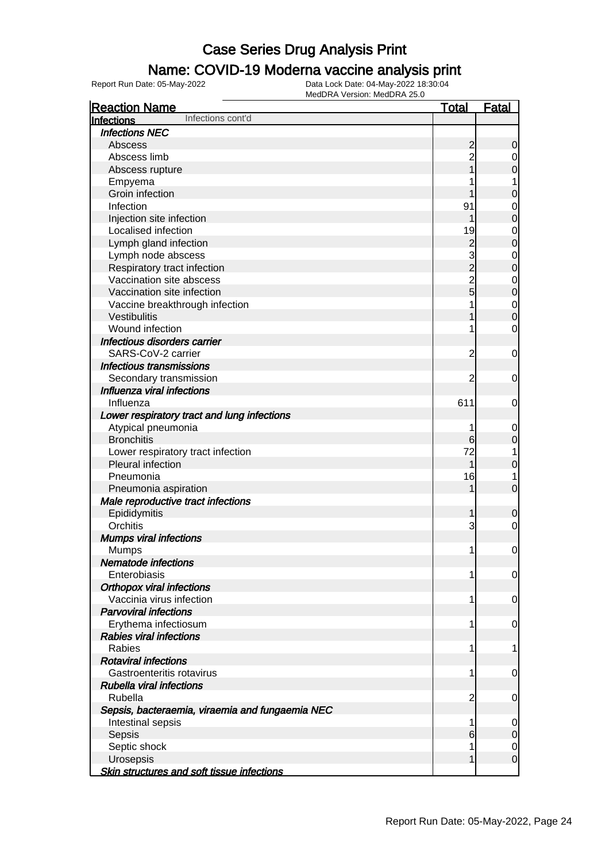### Name: COVID-19 Moderna vaccine analysis print

| <b>Reaction Name</b>                              | <u>Total</u>   | <u>Fatal</u>   |
|---------------------------------------------------|----------------|----------------|
| Infections cont'd<br>Infections                   |                |                |
| <b>Infections NEC</b>                             |                |                |
| Abscess                                           | $\overline{c}$ | 0              |
| Abscess limb                                      | $\overline{c}$ | 0              |
| Abscess rupture                                   |                | 0              |
| Empyema                                           |                | 1              |
| Groin infection                                   |                | 0              |
| Infection                                         | 91             | 0              |
| Injection site infection                          |                | 0              |
| Localised infection                               | 19             | 0              |
| Lymph gland infection                             | $\overline{c}$ | 0              |
| Lymph node abscess                                | 3              | 0              |
| Respiratory tract infection                       | $\overline{c}$ | 0              |
| Vaccination site abscess                          | $\overline{c}$ | 0              |
| Vaccination site infection                        | 5              | 0              |
| Vaccine breakthrough infection                    |                | $\mathbf 0$    |
| Vestibulitis                                      |                | 0              |
| Wound infection                                   | 1              | 0              |
| Infectious disorders carrier                      |                |                |
| SARS-CoV-2 carrier                                | $\overline{c}$ | 0              |
| <b>Infectious transmissions</b>                   |                |                |
| Secondary transmission                            | 2              | 0              |
| Influenza viral infections                        |                |                |
| Influenza                                         | 611            | 0              |
| Lower respiratory tract and lung infections       |                |                |
| Atypical pneumonia                                | 1              | $\overline{0}$ |
| <b>Bronchitis</b>                                 | 6              | 0              |
| Lower respiratory tract infection                 | 72             | 1              |
| Pleural infection                                 | 1              | 0              |
| Pneumonia                                         | 16             | 1              |
| Pneumonia aspiration                              |                | 0              |
| Male reproductive tract infections                |                |                |
| Epididymitis                                      |                | 0              |
| Orchitis                                          | 3              | 0              |
| <b>Mumps viral infections</b>                     |                |                |
| <b>Mumps</b>                                      | 1              | 0              |
| <b>Nematode infections</b>                        |                |                |
| Enterobiasis                                      | 1              | 0              |
| <b>Orthopox viral infections</b>                  |                |                |
| Vaccinia virus infection                          | 1              | 0              |
| <b>Parvoviral infections</b>                      |                |                |
| Erythema infectiosum                              | 1              | 0              |
| <b>Rabies viral infections</b>                    |                |                |
| Rabies                                            | 1              | 1              |
| <b>Rotaviral infections</b>                       |                |                |
| Gastroenteritis rotavirus                         | 1              | 0              |
| <b>Rubella viral infections</b>                   |                |                |
| Rubella                                           | 2              | 0              |
| Sepsis, bacteraemia, viraemia and fungaemia NEC   |                |                |
| Intestinal sepsis                                 | 1              | 0              |
| Sepsis                                            | 6              | 0              |
| Septic shock                                      | 1              | 0              |
| Urosepsis                                         |                | 0              |
| <b>Skin structures and soft tissue infections</b> |                |                |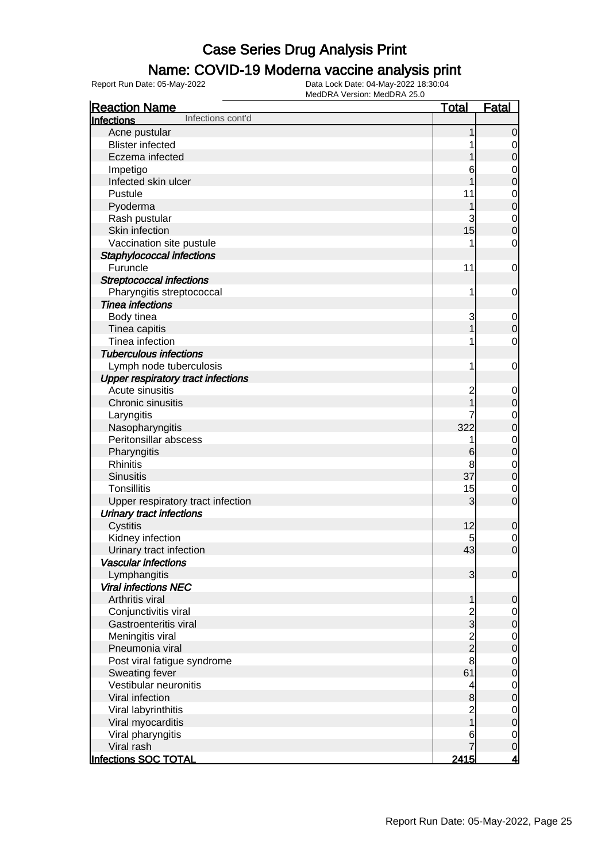### Name: COVID-19 Moderna vaccine analysis print

| <b>Reaction Name</b>                      | <b>Total</b>                               | <b>Fatal</b>     |
|-------------------------------------------|--------------------------------------------|------------------|
| Infections cont'd<br><b>Infections</b>    |                                            |                  |
| Acne pustular                             |                                            | $\mathbf 0$      |
| <b>Blister infected</b>                   |                                            | $\mathbf 0$      |
| Eczema infected                           |                                            | $\boldsymbol{0}$ |
| Impetigo                                  | 6                                          | $\mathbf 0$      |
| Infected skin ulcer                       |                                            | $\mathbf 0$      |
| Pustule                                   | 11                                         | $\mathbf 0$      |
| Pyoderma                                  |                                            | $\mathbf 0$      |
| Rash pustular                             | 3                                          | $\mathbf 0$      |
| Skin infection                            | 15                                         | $\overline{0}$   |
| Vaccination site pustule                  |                                            | $\mathbf 0$      |
| Staphylococcal infections                 |                                            |                  |
| Furuncle                                  | 11                                         | $\mathbf 0$      |
| <b>Streptococcal infections</b>           |                                            |                  |
| Pharyngitis streptococcal                 | 1                                          | $\mathbf 0$      |
| <b>Tinea infections</b>                   |                                            |                  |
| Body tinea                                | 3                                          | $\mathbf 0$      |
| Tinea capitis                             |                                            | $\boldsymbol{0}$ |
| Tinea infection                           |                                            | $\mathbf 0$      |
| <b>Tuberculous infections</b>             |                                            |                  |
| Lymph node tuberculosis                   | 1                                          | $\mathbf 0$      |
| <b>Upper respiratory tract infections</b> |                                            |                  |
| Acute sinusitis                           | $\overline{c}$                             | $\mathbf 0$      |
| Chronic sinusitis                         |                                            | $\mathbf 0$      |
| Laryngitis                                |                                            | $\mathbf 0$      |
| Nasopharyngitis                           | 322                                        | $\mathbf 0$      |
| Peritonsillar abscess                     | 1                                          | $\mathbf 0$      |
| Pharyngitis                               | 6                                          | $\mathbf 0$      |
| <b>Rhinitis</b>                           | 8                                          | $\mathbf 0$      |
| <b>Sinusitis</b>                          | 37                                         | $\mathbf 0$      |
| <b>Tonsillitis</b>                        | 15                                         | $\mathbf 0$      |
| Upper respiratory tract infection         | 3                                          | $\mathbf 0$      |
| <b>Urinary tract infections</b>           |                                            |                  |
| Cystitis                                  | 12                                         | $\mathbf 0$      |
| Kidney infection                          | 5                                          | $\mathbf 0$      |
| Urinary tract infection                   | 43                                         | $\overline{0}$   |
| <b>Vascular infections</b>                |                                            |                  |
| Lymphangitis                              | $\overline{3}$                             | $\mathbf 0$      |
| <b>Viral infections NEC</b>               |                                            |                  |
| Arthritis viral                           | 1                                          | $\mathbf 0$      |
| Conjunctivitis viral                      |                                            | $\overline{0}$   |
| Gastroenteritis viral                     | $\begin{array}{c} 2 \\ 2 \\ 2 \end{array}$ | $\mathbf 0$      |
| Meningitis viral                          |                                            | $\mathbf 0$      |
| Pneumonia viral                           |                                            | $\mathbf 0$      |
| Post viral fatigue syndrome               | 8                                          | $\mathbf 0$      |
| Sweating fever                            | 61                                         | $\mathbf 0$      |
| Vestibular neuronitis                     | $\overline{\mathcal{L}}$                   | $\mathbf 0$      |
| Viral infection                           | $\bf{8}$                                   | $\mathbf 0$      |
| Viral labyrinthitis                       |                                            | $\mathbf 0$      |
| Viral myocarditis                         | 2<br>1                                     | $\mathbf 0$      |
| Viral pharyngitis                         | 6                                          | $\mathbf 0$      |
| Viral rash                                |                                            | $\mathbf 0$      |
| Infections SOC TOTAL                      | 2415                                       | <u>4</u>         |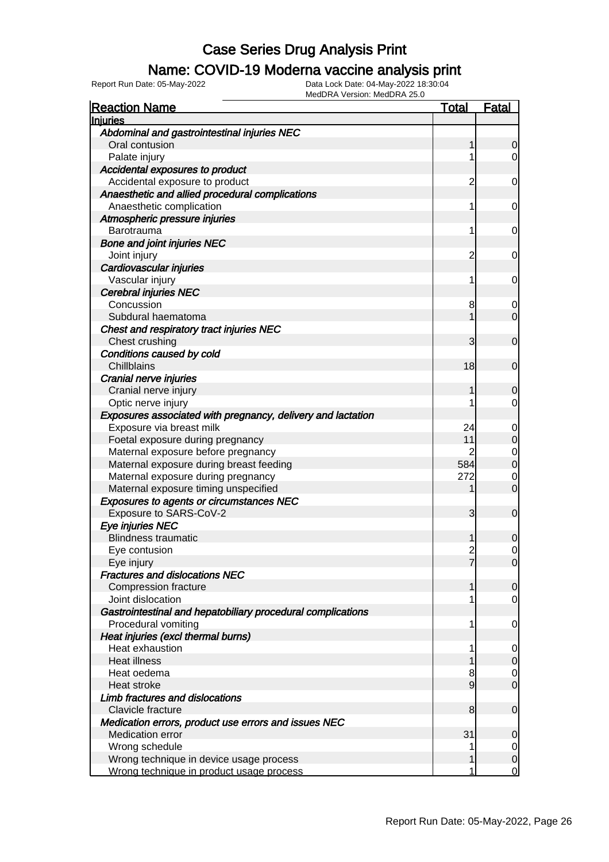### Name: COVID-19 Moderna vaccine analysis print

| <b>Reaction Name</b>                                        | <u>Total</u>   | <b>Fatal</b>                         |
|-------------------------------------------------------------|----------------|--------------------------------------|
| <b>Injuries</b>                                             |                |                                      |
| Abdominal and gastrointestinal injuries NEC                 |                |                                      |
| Oral contusion                                              | 1              | $\overline{0}$                       |
| Palate injury                                               | 1              | $\overline{0}$                       |
| Accidental exposures to product                             |                |                                      |
| Accidental exposure to product                              | 2              | 0                                    |
| Anaesthetic and allied procedural complications             |                |                                      |
| Anaesthetic complication                                    | 1              | 0                                    |
| Atmospheric pressure injuries                               |                |                                      |
| Barotrauma                                                  | 1              | 0                                    |
| <b>Bone and joint injuries NEC</b>                          |                |                                      |
| Joint injury                                                | 2              | 0                                    |
| Cardiovascular injuries                                     |                |                                      |
| Vascular injury                                             | 1              | $\overline{0}$                       |
| <b>Cerebral injuries NEC</b>                                |                |                                      |
| Concussion                                                  | 8              | $\overline{0}$                       |
| Subdural haematoma                                          | 1              | $\overline{0}$                       |
| Chest and respiratory tract injuries NEC                    |                |                                      |
| Chest crushing                                              | 3              | $\mathbf 0$                          |
| Conditions caused by cold                                   |                |                                      |
| Chillblains                                                 | 18             | $\mathbf 0$                          |
| Cranial nerve injuries                                      |                |                                      |
| Cranial nerve injury                                        | 1              | 0                                    |
| Optic nerve injury                                          |                | $\overline{0}$                       |
| Exposures associated with pregnancy, delivery and lactation |                |                                      |
| Exposure via breast milk                                    | 24             | $\mathbf 0$                          |
| Foetal exposure during pregnancy                            | 11             | $\overline{0}$                       |
| Maternal exposure before pregnancy                          | 2              | $\begin{matrix} 0 \\ 0 \end{matrix}$ |
| Maternal exposure during breast feeding                     | 584            |                                      |
| Maternal exposure during pregnancy                          | 272            | $\mathbf 0$                          |
| Maternal exposure timing unspecified                        | 1              | $\mathbf 0$                          |
| <b>Exposures to agents or circumstances NEC</b>             |                |                                      |
| Exposure to SARS-CoV-2                                      | 3              | $\mathbf 0$                          |
| Eye injuries NEC                                            |                |                                      |
| <b>Blindness traumatic</b>                                  |                | 0                                    |
| Eye contusion                                               | $\overline{2}$ | $\overline{0}$                       |
| Eye injury                                                  | 7              | 0                                    |
| <b>Fractures and dislocations NEC</b>                       |                |                                      |
| <b>Compression fracture</b>                                 | 1              | $\mathbf 0$                          |
| Joint dislocation                                           |                | $\overline{0}$                       |
| Gastrointestinal and hepatobiliary procedural complications |                |                                      |
| Procedural vomiting                                         | 1              | 0                                    |
| Heat injuries (excl thermal burns)                          |                |                                      |
| Heat exhaustion                                             | 1              | $\overline{0}$                       |
| <b>Heat illness</b>                                         |                | $\overline{0}$                       |
| Heat oedema                                                 | 8              | $\overline{0}$                       |
| Heat stroke                                                 | 9              | $\overline{0}$                       |
| Limb fractures and dislocations                             |                |                                      |
| Clavicle fracture                                           | 8              | $\mathbf 0$                          |
| Medication errors, product use errors and issues NEC        |                |                                      |
| Medication error                                            | 31             | 0                                    |
| Wrong schedule                                              | 1              | $\overline{0}$                       |
| Wrong technique in device usage process                     |                | $\mathbf 0$                          |
| Wrong technique in product usage process                    |                | $\overline{0}$                       |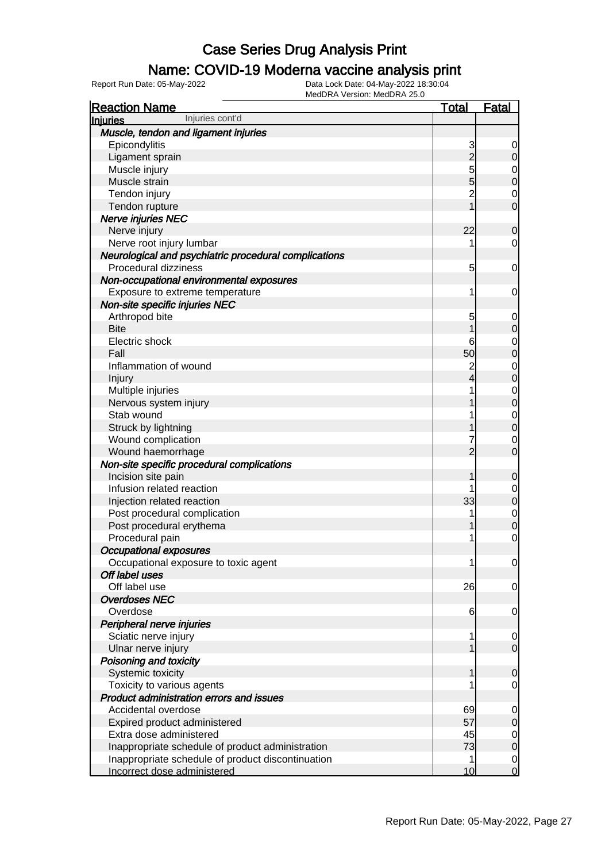### Name: COVID-19 Moderna vaccine analysis print

| <b>Reaction Name</b>                                   | Total          | <u>Fatal</u>   |
|--------------------------------------------------------|----------------|----------------|
| Injuries cont'd<br>Injuries                            |                |                |
| Muscle, tendon and ligament injuries                   |                |                |
| Epicondylitis                                          | 3              | 0              |
| Ligament sprain                                        | $\overline{2}$ | 0              |
| Muscle injury                                          | 5              | $\mathbf 0$    |
| Muscle strain                                          | 5              | $\overline{0}$ |
| Tendon injury                                          | $\overline{2}$ | 0              |
| Tendon rupture                                         |                | $\overline{0}$ |
| <b>Nerve injuries NEC</b>                              |                |                |
| Nerve injury                                           | 22             | 0              |
| Nerve root injury lumbar                               | 1              | 0              |
| Neurological and psychiatric procedural complications  |                |                |
| Procedural dizziness                                   | 5              | 0              |
| Non-occupational environmental exposures               |                |                |
| Exposure to extreme temperature                        | 1              | 0              |
| Non-site specific injuries NEC                         |                |                |
| Arthropod bite                                         | 5              | $\mathbf 0$    |
| <b>Bite</b>                                            |                | 0              |
| Electric shock                                         | 6              | $\mathbf 0$    |
| Fall                                                   | 50             | 0              |
| Inflammation of wound                                  | 2              | $\mathbf 0$    |
| Injury                                                 |                | $\overline{0}$ |
| Multiple injuries                                      |                | $\mathbf 0$    |
| Nervous system injury                                  |                | $\overline{0}$ |
| Stab wound                                             |                | $\mathbf 0$    |
| Struck by lightning                                    |                | $\overline{0}$ |
| Wound complication                                     |                | 0              |
| Wound haemorrhage                                      | 2              | 0              |
| Non-site specific procedural complications             |                |                |
| Incision site pain                                     |                | 0              |
| Infusion related reaction                              |                | $\mathbf 0$    |
| Injection related reaction                             | 33             | 0              |
| Post procedural complication                           |                | $\mathbf 0$    |
| Post procedural erythema                               |                | 0              |
| Procedural pain                                        | 1              | $\mathbf 0$    |
| <b>Occupational exposures</b>                          | 1              |                |
| Occupational exposure to toxic agent<br>Off label uses |                | $\overline{0}$ |
| Off label use                                          | 26             | 0              |
| <b>Overdoses NEC</b>                                   |                |                |
| Overdose                                               | 6              | 0              |
| Peripheral nerve injuries                              |                |                |
| Sciatic nerve injury                                   |                | 0              |
| Ulnar nerve injury                                     |                | $\mathbf 0$    |
| Poisoning and toxicity                                 |                |                |
| Systemic toxicity                                      |                | $\overline{0}$ |
| Toxicity to various agents                             |                | 0              |
| <b>Product administration errors and issues</b>        |                |                |
| Accidental overdose                                    | 69             | $\overline{0}$ |
| Expired product administered                           | 57             | $\mathbf 0$    |
| Extra dose administered                                | 45             | $\mathbf 0$    |
| Inappropriate schedule of product administration       | 73             | $\mathbf 0$    |
| Inappropriate schedule of product discontinuation      | 1              | $\mathbf 0$    |
| Incorrect dose administered                            | 10             | $\overline{0}$ |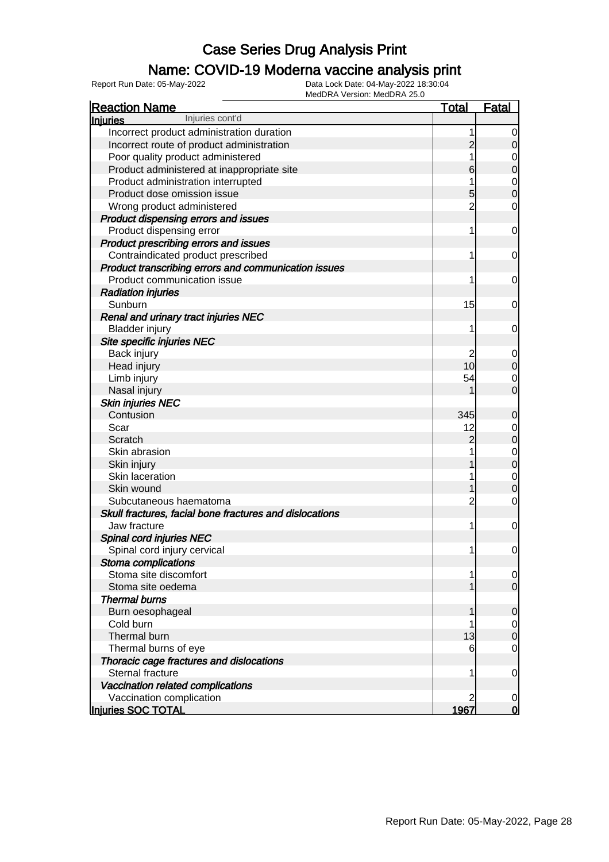### Name: COVID-19 Moderna vaccine analysis print

| <b>Reaction Name</b>                                    | <u>Total</u>   | <b>Fatal</b>        |
|---------------------------------------------------------|----------------|---------------------|
| Injuries cont'd<br><b>Injuries</b>                      |                |                     |
| Incorrect product administration duration               | 1              | 0                   |
| Incorrect route of product administration               | $\overline{c}$ | 0                   |
| Poor quality product administered                       |                | 0                   |
| Product administered at inappropriate site              | 6              | $\boldsymbol{0}$    |
| Product administration interrupted                      |                | 0                   |
| Product dose omission issue                             | 5              | $\mathbf 0$         |
| Wrong product administered                              | $\overline{c}$ | 0                   |
| Product dispensing errors and issues                    |                |                     |
| Product dispensing error                                | 1              | 0                   |
| Product prescribing errors and issues                   |                |                     |
| Contraindicated product prescribed                      | 1              | 0                   |
| Product transcribing errors and communication issues    |                |                     |
| Product communication issue                             | 1              | 0                   |
| <b>Radiation injuries</b>                               |                |                     |
| Sunburn                                                 | 15             | 0                   |
| <b>Renal and urinary tract injuries NEC</b>             |                |                     |
| <b>Bladder injury</b>                                   | 1              | 0                   |
| Site specific injuries NEC                              |                |                     |
| Back injury                                             | 2              | 0                   |
| Head injury                                             | 10             | $\mathbf 0$         |
|                                                         | 54             |                     |
| Limb injury                                             |                | 0<br>$\overline{0}$ |
| Nasal injury                                            |                |                     |
| <b>Skin injuries NEC</b><br>Contusion                   | 345            |                     |
|                                                         |                | $\mathbf 0$         |
| Scar                                                    | 12             | 0                   |
| Scratch<br>Skin abrasion                                | $\overline{c}$ | $\mathbf 0$         |
|                                                         |                | 0                   |
| Skin injury                                             |                | $\boldsymbol{0}$    |
| Skin laceration                                         |                | 0                   |
| Skin wound                                              |                | $\mathbf 0$         |
| Subcutaneous haematoma                                  | $\overline{c}$ | 0                   |
| Skull fractures, facial bone fractures and dislocations |                |                     |
| Jaw fracture                                            | 1              | 0                   |
| Spinal cord injuries NEC                                |                |                     |
| Spinal cord injury cervical                             | 1              | $\overline{0}$      |
| Stoma complications                                     |                |                     |
| Stoma site discomfort                                   | 1              | 0                   |
| Stoma site oedema                                       |                | $\overline{0}$      |
| <b>Thermal burns</b>                                    |                |                     |
| Burn oesophageal                                        | 1              | $\mathbf 0$         |
| Cold burn                                               |                | 0                   |
| Thermal burn                                            | 13             | $\boldsymbol{0}$    |
| Thermal burns of eye                                    | 6              | 0                   |
| Thoracic cage fractures and dislocations                |                |                     |
| Sternal fracture                                        | 1              | $\mathbf 0$         |
| Vaccination related complications                       |                |                     |
| Vaccination complication                                | 2              | $\mathbf 0$         |
| Injuries SOC TOTAL                                      | 1967           | $\mathbf 0$         |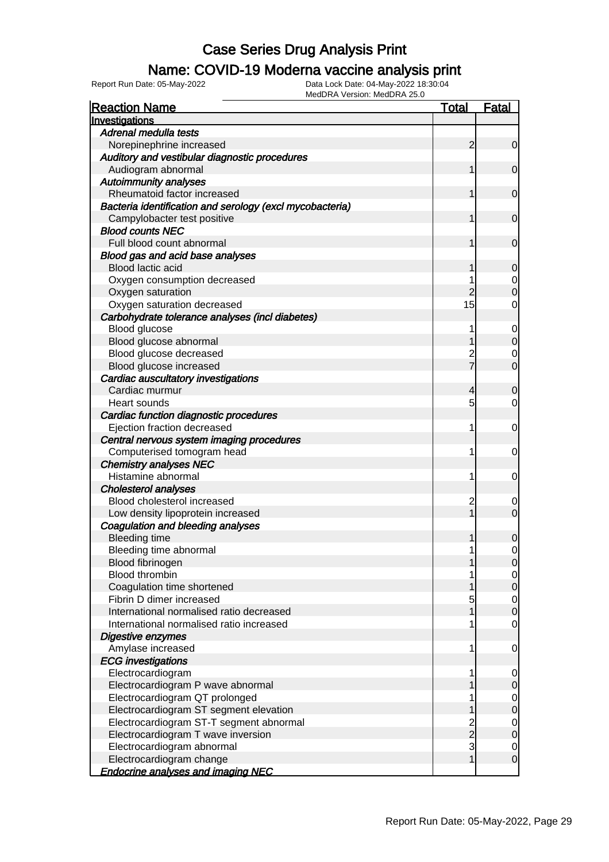### Name: COVID-19 Moderna vaccine analysis print

Report Run Date: 05-May-2022 Data Lock Date: 04-May-2022 18:30:04

| <b>Reaction Name</b>                                     | <u>Total</u>   | <b>Fatal</b>   |
|----------------------------------------------------------|----------------|----------------|
| Investigations                                           |                |                |
| Adrenal medulla tests                                    |                |                |
| Norepinephrine increased                                 | $\overline{2}$ | $\overline{0}$ |
| Auditory and vestibular diagnostic procedures            |                |                |
| Audiogram abnormal                                       | 1              | $\overline{0}$ |
| <b>Autoimmunity analyses</b>                             |                |                |
| Rheumatoid factor increased                              | 1              | $\overline{0}$ |
| Bacteria identification and serology (excl mycobacteria) |                |                |
| Campylobacter test positive                              |                | $\overline{0}$ |
| <b>Blood counts NEC</b>                                  |                |                |
| Full blood count abnormal                                | 1              | $\overline{0}$ |
| Blood gas and acid base analyses                         |                |                |
| Blood lactic acid                                        |                | 0              |
| Oxygen consumption decreased                             |                | 0              |
| Oxygen saturation                                        |                |                |
| Oxygen saturation decreased                              | 15             | 0              |
| Carbohydrate tolerance analyses (incl diabetes)          |                |                |
| Blood glucose                                            | 1              | 0              |
| Blood glucose abnormal                                   |                |                |
| Blood glucose decreased                                  | $\overline{c}$ | 0              |
| Blood glucose increased                                  |                | 0              |
|                                                          |                |                |
| Cardiac auscultatory investigations                      |                |                |
| Cardiac murmur                                           | 4              | O              |
| Heart sounds                                             | 5              | 0              |
| Cardiac function diagnostic procedures                   |                |                |
| Ejection fraction decreased                              | 1              | 0              |
| Central nervous system imaging procedures                |                |                |
| Computerised tomogram head                               | 1              | 0              |
| <b>Chemistry analyses NEC</b>                            |                |                |
| Histamine abnormal                                       | 1              | 0              |
| <b>Cholesterol analyses</b>                              |                |                |
| Blood cholesterol increased                              | 2              | 0              |
| Low density lipoprotein increased                        |                | $\mathbf 0$    |
| <b>Coagulation and bleeding analyses</b>                 |                |                |
| <b>Bleeding time</b>                                     |                | 0              |
| Bleeding time abnormal                                   | 1              | 0              |
| Blood fibrinogen                                         |                | $\Omega$       |
| <b>Blood thrombin</b>                                    |                | 0              |
| Coagulation time shortened                               |                | 0              |
| Fibrin D dimer increased                                 | 5              | 0              |
| International normalised ratio decreased                 |                | $\mathbf 0$    |
| International normalised ratio increased                 | 1              | 0              |
| Digestive enzymes                                        |                |                |
| Amylase increased                                        | 1              | $\mathbf 0$    |
| <b>ECG</b> investigations                                |                |                |
| Electrocardiogram                                        | 1              | $\overline{0}$ |
| Electrocardiogram P wave abnormal                        |                | 0              |
| Electrocardiogram QT prolonged                           |                | 0              |
| Electrocardiogram ST segment elevation                   |                | 0              |
| Electrocardiogram ST-T segment abnormal                  |                | 0              |
| Electrocardiogram T wave inversion                       | 2<br>2         | 0              |
| Electrocardiogram abnormal                               | 3              | 0              |
| Electrocardiogram change                                 | 1              | $\mathbf 0$    |
| <b>Endocrine analyses and imaging NEC</b>                |                |                |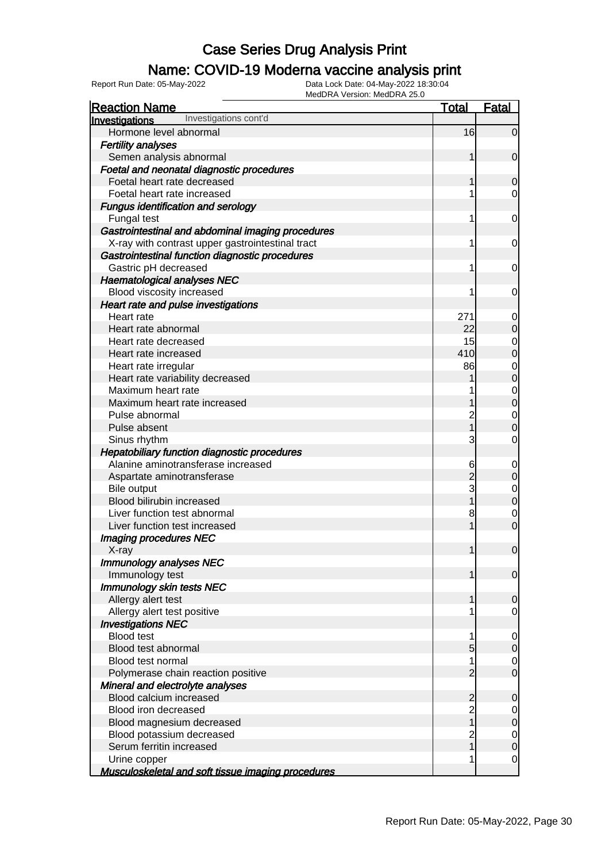### Name: COVID-19 Moderna vaccine analysis print

Report Run Date: 05-May-2022 Data Lock Date: 04-May-2022 18:30:04

| <b>Reaction Name</b>                                      | <b>Total</b>   | Fatal          |
|-----------------------------------------------------------|----------------|----------------|
| Investigations cont'd<br><b>Investigations</b>            |                |                |
| Hormone level abnormal                                    | 16             | $\overline{0}$ |
| <b>Fertility analyses</b>                                 |                |                |
| Semen analysis abnormal                                   | 1              | $\mathbf 0$    |
| Foetal and neonatal diagnostic procedures                 |                |                |
| Foetal heart rate decreased                               | 1              | 0              |
| Foetal heart rate increased                               |                | 0              |
| <b>Fungus identification and serology</b>                 |                |                |
| Fungal test                                               | 1              | 0              |
| Gastrointestinal and abdominal imaging procedures         |                |                |
| X-ray with contrast upper gastrointestinal tract          | 1              | 0              |
| Gastrointestinal function diagnostic procedures           |                |                |
| Gastric pH decreased                                      | 1              | 0              |
| <b>Haematological analyses NEC</b>                        |                |                |
| Blood viscosity increased                                 | 1              | 0              |
| Heart rate and pulse investigations                       |                |                |
| Heart rate                                                | 271            |                |
| Heart rate abnormal                                       | 22             | $\overline{0}$ |
| Heart rate decreased                                      | 15             | $\mathbf 0$    |
| Heart rate increased                                      | 410            | $\overline{0}$ |
| Heart rate irregular                                      | 86             | $\mathbf 0$    |
| Heart rate variability decreased                          |                | $\overline{0}$ |
| Maximum heart rate                                        |                | $\mathbf{0}$   |
| Maximum heart rate increased                              |                | $\overline{0}$ |
| Pulse abnormal                                            | $\overline{c}$ | $\mathbf 0$    |
| Pulse absent                                              | 1              | $\overline{0}$ |
| Sinus rhythm                                              | 3              | 0              |
| Hepatobiliary function diagnostic procedures              |                |                |
| Alanine aminotransferase increased                        | 6              |                |
| Aspartate aminotransferase                                | $\overline{2}$ | $\overline{0}$ |
| <b>Bile output</b>                                        | 3              | $\mathbf{0}$   |
| Blood bilirubin increased                                 | 1              | $\overline{0}$ |
| Liver function test abnormal                              | 8              | $\mathbf 0$    |
| Liver function test increased                             | 1              | $\overline{0}$ |
| <b>Imaging procedures NEC</b>                             |                |                |
| X-ray                                                     | 1              | $\mathbf 0$    |
| <b>Immunology analyses NEC</b>                            |                |                |
| Immunology test                                           | 1              | $\overline{0}$ |
| Immunology skin tests NEC                                 |                |                |
| Allergy alert test                                        |                | $\mathbf 0$    |
| Allergy alert test positive                               |                | 0              |
| <b>Investigations NEC</b>                                 |                |                |
| <b>Blood test</b>                                         | 1              | $\mathbf 0$    |
| Blood test abnormal                                       | 5              | $\overline{0}$ |
| <b>Blood test normal</b>                                  | 1              | $\mathbf 0$    |
| Polymerase chain reaction positive                        | $\overline{2}$ | $\overline{0}$ |
| Mineral and electrolyte analyses                          |                |                |
| Blood calcium increased                                   | $\overline{c}$ | $\mathbf 0$    |
| Blood iron decreased                                      | $\overline{c}$ | $\mathbf 0$    |
| Blood magnesium decreased                                 | $\overline{1}$ | $\overline{0}$ |
| Blood potassium decreased                                 | $\overline{c}$ | $\mathbf 0$    |
| Serum ferritin increased                                  | $\overline{1}$ | $\overline{0}$ |
| Urine copper                                              | 1              | 0              |
| <b>Musculoskeletal and soft tissue imaging procedures</b> |                |                |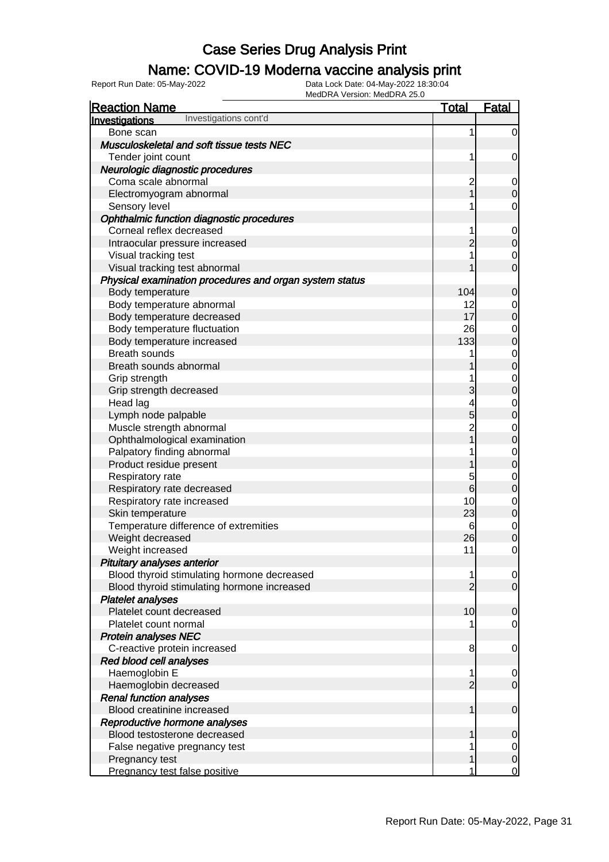### Name: COVID-19 Moderna vaccine analysis print

| <b>Reaction Name</b>                                    | <u>Total</u>    | <b>Fatal</b>                         |
|---------------------------------------------------------|-----------------|--------------------------------------|
| Investigations cont'd<br>Investigations                 |                 |                                      |
| Bone scan                                               | 1               | $\overline{0}$                       |
| Musculoskeletal and soft tissue tests NEC               |                 |                                      |
| Tender joint count                                      | 1               | $\mathbf 0$                          |
| Neurologic diagnostic procedures                        |                 |                                      |
| Coma scale abnormal                                     | $\overline{c}$  | $\boldsymbol{0}$                     |
| Electromyogram abnormal                                 | $\overline{1}$  | $\mathbf 0$                          |
| Sensory level                                           | 1               | $\mathbf 0$                          |
| Ophthalmic function diagnostic procedures               |                 |                                      |
| Corneal reflex decreased                                | 1               | $\mathbf{0}$                         |
| Intraocular pressure increased                          | $\overline{2}$  | $\overline{0}$                       |
| Visual tracking test                                    | 1               | $\mathbf{0}$                         |
| Visual tracking test abnormal                           | 1               | $\overline{0}$                       |
| Physical examination procedures and organ system status |                 |                                      |
| Body temperature                                        | 104             | $\mathbf 0$                          |
| Body temperature abnormal                               | 12              |                                      |
| Body temperature decreased                              | 17              | $\begin{matrix} 0 \\ 0 \end{matrix}$ |
| Body temperature fluctuation                            | 26              |                                      |
| Body temperature increased                              | 133             | $\begin{matrix}0\\0\end{matrix}$     |
| <b>Breath sounds</b>                                    | 1               |                                      |
| Breath sounds abnormal                                  | 1               | $\begin{matrix} 0 \\ 0 \end{matrix}$ |
| Grip strength                                           | 1               |                                      |
| Grip strength decreased                                 | 3               | $\begin{matrix}0\\0\end{matrix}$     |
| Head lag                                                | 4               |                                      |
| Lymph node palpable                                     | 5               | $\begin{matrix}0\\0\end{matrix}$     |
| Muscle strength abnormal                                | $\overline{2}$  |                                      |
| Ophthalmological examination                            | $\overline{1}$  | $\begin{matrix}0\\0\end{matrix}$     |
| Palpatory finding abnormal                              | 1               |                                      |
| Product residue present                                 | 1               | $\begin{matrix}0\\0\end{matrix}$     |
| Respiratory rate                                        | 5               | $\mathbf{0}$                         |
| Respiratory rate decreased                              | $6\overline{6}$ | $\overline{0}$                       |
| Respiratory rate increased                              | 10              |                                      |
| Skin temperature                                        | 23              | $\begin{matrix} 0 \\ 0 \end{matrix}$ |
| Temperature difference of extremities                   | 6               |                                      |
| Weight decreased                                        | 26              | $\begin{matrix} 0 \\ 0 \end{matrix}$ |
| Weight increased                                        | 11              | $\mathbf 0$                          |
| Pituitary analyses anterior                             |                 |                                      |
| Blood thyroid stimulating hormone decreased             | 1               | $\overline{0}$                       |
| Blood thyroid stimulating hormone increased             | $\overline{2}$  | $\overline{O}$                       |
| <b>Platelet analyses</b>                                |                 |                                      |
| Platelet count decreased                                | 10              | $\mathbf 0$                          |
| Platelet count normal                                   | 1               | $\mathbf 0$                          |
| <b>Protein analyses NEC</b>                             |                 |                                      |
| C-reactive protein increased                            | 8               | $\mathbf 0$                          |
| Red blood cell analyses                                 |                 |                                      |
| Haemoglobin E                                           | 1               | $\mathbf 0$                          |
| Haemoglobin decreased                                   | $\overline{2}$  | $\overline{O}$                       |
| <b>Renal function analyses</b>                          |                 |                                      |
| Blood creatinine increased                              | $\mathbf{1}$    | $\boldsymbol{0}$                     |
| Reproductive hormone analyses                           |                 |                                      |
| Blood testosterone decreased                            | 1               | $\mathbf 0$                          |
| False negative pregnancy test                           | 1               | $\overline{0}$                       |
| Pregnancy test                                          | 1               | $\mathbf 0$                          |
| Pregnancy test false positive                           | 1               | $\overline{0}$                       |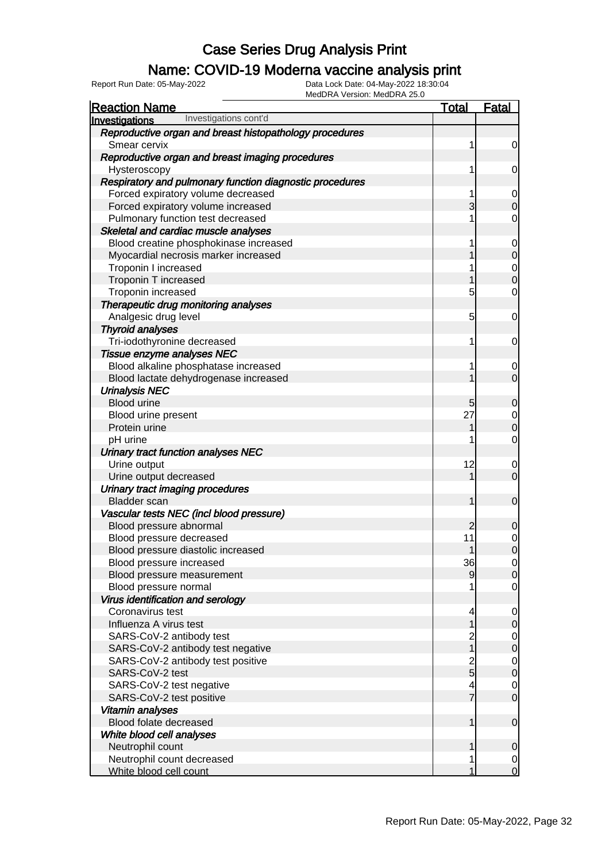### Name: COVID-19 Moderna vaccine analysis print

Report Run Date: 05-May-2022 Data Lock Date: 04-May-2022 18:30:04

| <b>Reaction Name</b>                                     | <b>Total</b>   | <b>Fatal</b>                         |
|----------------------------------------------------------|----------------|--------------------------------------|
| Investigations cont'd<br>Investigations                  |                |                                      |
| Reproductive organ and breast histopathology procedures  |                |                                      |
| Smear cervix                                             | 1              | $\overline{0}$                       |
| Reproductive organ and breast imaging procedures         |                |                                      |
| Hysteroscopy                                             | 1              | $\overline{0}$                       |
| Respiratory and pulmonary function diagnostic procedures |                |                                      |
| Forced expiratory volume decreased                       | 1              |                                      |
| Forced expiratory volume increased                       | 3              | $\begin{matrix} 0 \\ 0 \end{matrix}$ |
| Pulmonary function test decreased                        | 1              | $\mathbf 0$                          |
| Skeletal and cardiac muscle analyses                     |                |                                      |
| Blood creatine phosphokinase increased                   | 1              |                                      |
| Myocardial necrosis marker increased                     | 1              | 0<br>0<br>0<br>0                     |
| Troponin I increased                                     | 1              |                                      |
| Troponin T increased                                     | 1              |                                      |
| Troponin increased                                       | 5              | $\mathbf 0$                          |
| Therapeutic drug monitoring analyses                     |                |                                      |
| Analgesic drug level                                     | 5              | $\mathbf 0$                          |
| <b>Thyroid analyses</b>                                  |                |                                      |
| Tri-iodothyronine decreased                              | 1              | $\mathbf 0$                          |
| Tissue enzyme analyses NEC                               |                |                                      |
| Blood alkaline phosphatase increased                     | 1              |                                      |
| Blood lactate dehydrogenase increased                    | 1              | $\begin{matrix} 0 \\ 0 \end{matrix}$ |
| <b>Urinalysis NEC</b>                                    |                |                                      |
| <b>Blood urine</b>                                       | 5              | $\mathbf 0$                          |
| Blood urine present                                      | 27             |                                      |
| Protein urine                                            | 1              | $\begin{matrix}0\\0\end{matrix}$     |
| pH urine                                                 | 1              | $\mathbf 0$                          |
| Urinary tract function analyses NEC                      |                |                                      |
| Urine output                                             | 12             |                                      |
| Urine output decreased                                   | 1              | $\begin{matrix} 0 \\ 0 \end{matrix}$ |
| Urinary tract imaging procedures                         |                |                                      |
| <b>Bladder</b> scan                                      | 1              | $\mathbf 0$                          |
| Vascular tests NEC (incl blood pressure)                 |                |                                      |
| Blood pressure abnormal                                  | $\overline{2}$ | $\mathbf 0$                          |
| Blood pressure decreased                                 | 11             |                                      |
| Blood pressure diastolic increased                       | 1              | $\begin{matrix} 0 \\ 0 \end{matrix}$ |
| Blood pressure increased                                 | 36             | $\Omega$                             |
| Blood pressure measurement                               | 9              | $\overline{0}$                       |
| Blood pressure normal                                    |                | $\overline{O}$                       |
| Virus identification and serology                        |                |                                      |
| Coronavirus test                                         | 4              | $\overline{0}$                       |
| Influenza A virus test                                   | 1              | $\mathbf 0$                          |
| SARS-CoV-2 antibody test                                 | 2<br>1         | $\begin{matrix} 0 \\ 0 \end{matrix}$ |
| SARS-CoV-2 antibody test negative                        |                |                                      |
| SARS-CoV-2 antibody test positive                        |                | $\begin{matrix} 0 \\ 0 \end{matrix}$ |
| SARS-CoV-2 test                                          | $\frac{2}{5}$  |                                      |
| SARS-CoV-2 test negative                                 | 4              | $\begin{matrix} 0 \\ 0 \end{matrix}$ |
| SARS-CoV-2 test positive                                 | $\overline{7}$ |                                      |
| Vitamin analyses                                         |                |                                      |
| Blood folate decreased                                   | 1              | $\mathbf 0$                          |
| White blood cell analyses                                |                |                                      |
| Neutrophil count                                         | 1              | $\mathbf 0$                          |
| Neutrophil count decreased                               | 1              | $\mathbf{0}$                         |
| White blood cell count                                   | 1              | $\overline{0}$                       |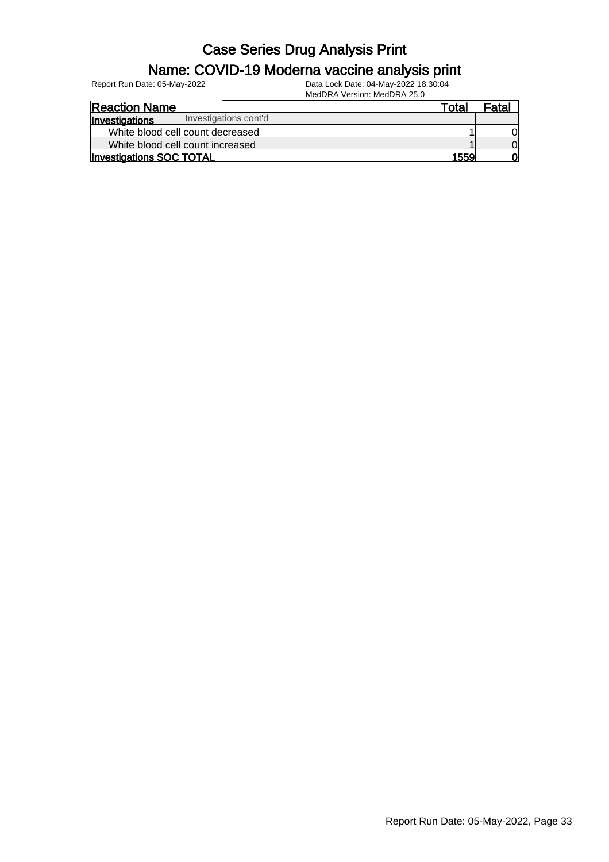# Name: COVID-19 Moderna vaccine analysis print

Report Run Date: 05-May-2022 Data Lock Date: 04-May-2022 18:30:04

MedDRA Version: MedDRA 25.0 Reaction Name Total Fatal **Investigations** White blood cell count decreased 1 0<br>
1 0<br>
2 0<br>
2 0<br>
2 0<br>
2 0 White blood cell count increased<br> **1** 0<br> **1559** 0 Investigations SOC TOTAL Investigations cont'd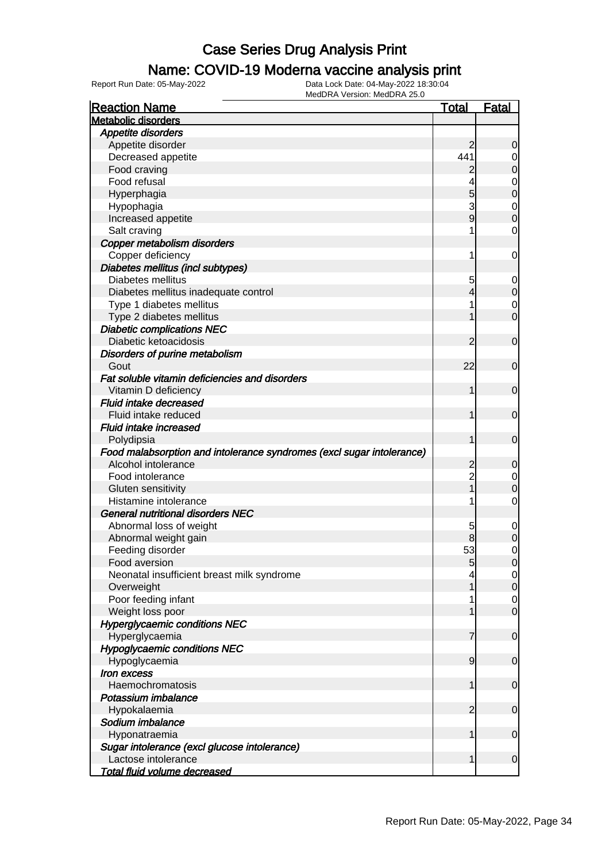### Name: COVID-19 Moderna vaccine analysis print

| <b>Reaction Name</b>                                                  | <u>Total</u>   | <b>Fatal</b>   |
|-----------------------------------------------------------------------|----------------|----------------|
| <b>Metabolic disorders</b>                                            |                |                |
| Appetite disorders                                                    |                |                |
| Appetite disorder                                                     | 2              | 0              |
| Decreased appetite                                                    | 441            | 0              |
| Food craving                                                          | $\overline{c}$ | $\mathbf 0$    |
| Food refusal                                                          |                | 0              |
| Hyperphagia                                                           | 5              | $\mathbf 0$    |
| Hypophagia                                                            | 3              | 0              |
| Increased appetite                                                    | 9              | $\overline{0}$ |
| Salt craving                                                          |                | $\mathbf 0$    |
| Copper metabolism disorders                                           |                |                |
| Copper deficiency                                                     | 1              | 0              |
| Diabetes mellitus (incl subtypes)                                     |                |                |
| Diabetes mellitus                                                     | 5              | 0              |
| Diabetes mellitus inadequate control                                  | 4              | $\mathbf 0$    |
| Type 1 diabetes mellitus                                              |                | 0              |
| Type 2 diabetes mellitus                                              |                | $\mathbf 0$    |
| <b>Diabetic complications NEC</b>                                     |                |                |
| Diabetic ketoacidosis                                                 | $\overline{2}$ | $\mathbf 0$    |
|                                                                       |                |                |
| Disorders of purine metabolism                                        | 22             |                |
| Gout<br>Fat soluble vitamin deficiencies and disorders                |                | $\mathbf 0$    |
|                                                                       |                |                |
| Vitamin D deficiency                                                  | 1              | $\mathbf 0$    |
| <b>Fluid intake decreased</b>                                         |                |                |
| Fluid intake reduced                                                  | 1              | $\mathbf 0$    |
| Fluid intake increased                                                |                |                |
| Polydipsia                                                            | 1              | $\mathbf 0$    |
| Food malabsorption and intolerance syndromes (excl sugar intolerance) |                |                |
| Alcohol intolerance                                                   | $\overline{c}$ | 0              |
| Food intolerance                                                      | $\overline{c}$ | 0              |
| Gluten sensitivity                                                    |                | 0              |
| Histamine intolerance                                                 |                | $\mathbf 0$    |
| <b>General nutritional disorders NEC</b>                              |                |                |
| Abnormal loss of weight                                               | 5              | 0              |
| Abnormal weight gain                                                  | 8              | $\mathbf 0$    |
| Feeding disorder                                                      | 53             | 0              |
| Food aversion                                                         | 5              | $\mathbf 0$    |
| Neonatal insufficient breast milk syndrome                            |                | 0              |
| Overweight                                                            |                | $\mathbf 0$    |
| Poor feeding infant                                                   |                | 0              |
| Weight loss poor                                                      |                | $\mathbf 0$    |
| <b>Hyperglycaemic conditions NEC</b>                                  |                |                |
| Hyperglycaemia                                                        | 7              | $\mathbf 0$    |
| <b>Hypoglycaemic conditions NEC</b>                                   |                |                |
| Hypoglycaemia                                                         | 9              | $\mathbf 0$    |
| Iron excess                                                           |                |                |
| Haemochromatosis                                                      | 1              | $\mathbf 0$    |
| Potassium imbalance                                                   |                |                |
| Hypokalaemia                                                          | $\overline{2}$ | $\mathbf 0$    |
| Sodium imbalance                                                      |                |                |
| Hyponatraemia                                                         | 1              | $\mathbf 0$    |
| Sugar intolerance (excl glucose intolerance)                          |                |                |
| Lactose intolerance                                                   | 1              | $\mathbf 0$    |
| Total fluid volume decreased                                          |                |                |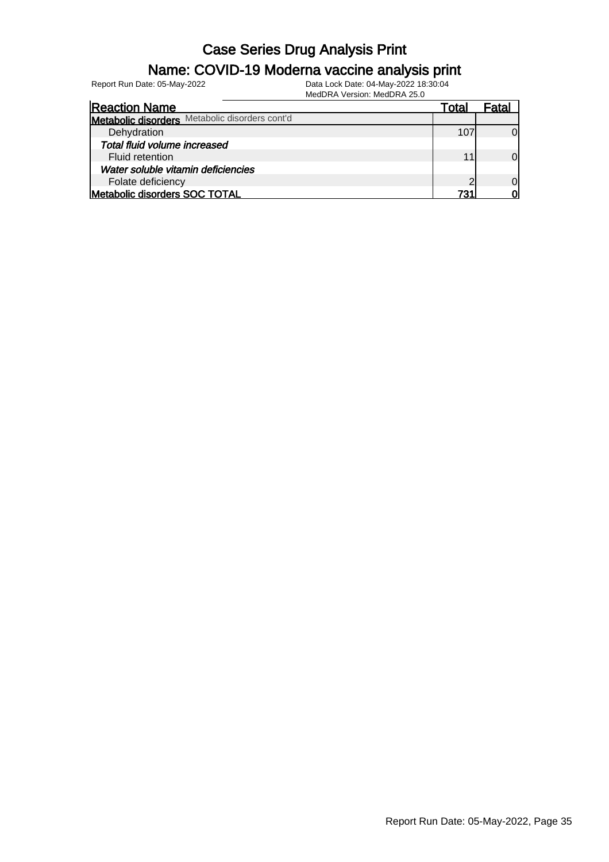#### Name: COVID-19 Moderna vaccine analysis print

Report Run Date: 05-May-2022 Data Lock Date: 04-May-2022 18:30:04

| <b>Reaction Name</b>                           | Total | ⊦ata |
|------------------------------------------------|-------|------|
| Metabolic disorders Metabolic disorders cont'd |       |      |
| Dehydration                                    |       |      |
| Total fluid volume increased                   |       |      |
| Fluid retention                                |       |      |
| Water soluble vitamin deficiencies             |       |      |
| Folate deficiency                              | ◠     |      |
| Metabolic disorders SOC TOTAL                  | 721   |      |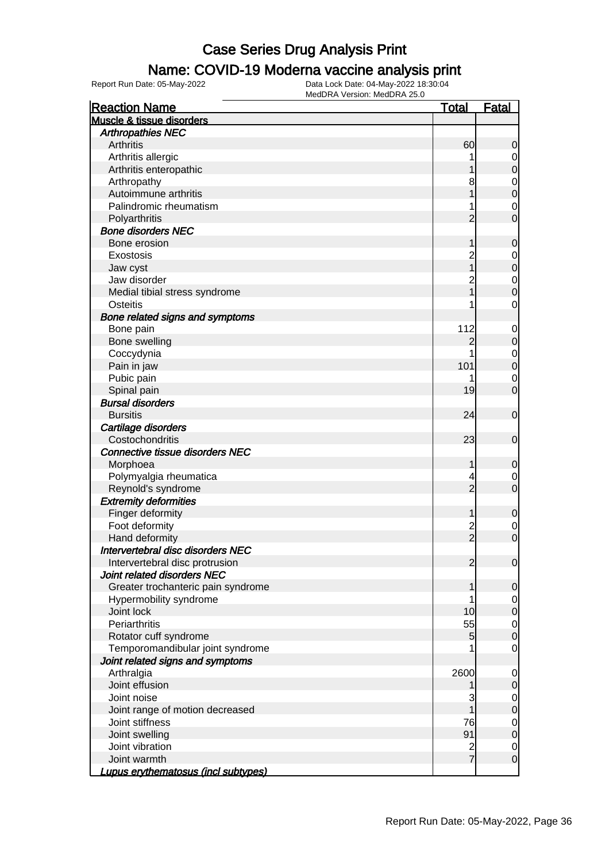#### Name: COVID-19 Moderna vaccine analysis print

| <b>Reaction Name</b>                | <u>Total</u>   | Fatal            |
|-------------------------------------|----------------|------------------|
| Muscle & tissue disorders           |                |                  |
| <b>Arthropathies NEC</b>            |                |                  |
| Arthritis                           | 60             | 0                |
| Arthritis allergic                  |                | $\overline{0}$   |
| Arthritis enteropathic              |                | $\boldsymbol{0}$ |
| Arthropathy                         | 8              | $\mathbf 0$      |
| Autoimmune arthritis                |                | $\mathbf{0}$     |
| Palindromic rheumatism              |                | $\mathbf 0$      |
| Polyarthritis                       | 2              | 0                |
| <b>Bone disorders NEC</b>           |                |                  |
| Bone erosion                        |                | 0                |
| Exostosis                           | 2              | 0                |
| Jaw cyst                            |                | $\mathbf 0$      |
| Jaw disorder                        | $\overline{c}$ | $\mathbf 0$      |
| Medial tibial stress syndrome       |                | 0                |
| Osteitis                            |                | $\mathbf 0$      |
| Bone related signs and symptoms     |                |                  |
| Bone pain                           | 112            | $\mathbf 0$      |
| Bone swelling                       | 2              | 0                |
| Coccydynia                          |                | $\mathbf 0$      |
| Pain in jaw                         | 101            | $\mathbf 0$      |
| Pubic pain                          |                | 0                |
| Spinal pain                         | 19             | $\overline{0}$   |
| <b>Bursal disorders</b>             |                |                  |
| <b>Bursitis</b>                     | 24             | $\mathbf 0$      |
| Cartilage disorders                 |                |                  |
| Costochondritis                     | 23             | $\mathbf 0$      |
| Connective tissue disorders NEC     |                |                  |
| Morphoea                            | 1              | 0                |
| Polymyalgia rheumatica              | 4              | 0                |
| Reynold's syndrome                  | $\overline{2}$ | $\overline{0}$   |
| <b>Extremity deformities</b>        |                |                  |
| Finger deformity                    | 1              | $\mathbf 0$      |
| Foot deformity                      | $\overline{c}$ | 0                |
| Hand deformity                      | $\frac{1}{2}$  | $\mathbf 0$      |
| Intervertebral disc disorders NEC   |                |                  |
| Intervertebral disc protrusion      | $\overline{2}$ | $\overline{0}$   |
| Joint related disorders NEC         |                |                  |
| Greater trochanteric pain syndrome  | 1              | 0                |
| Hypermobility syndrome              |                | $\overline{0}$   |
| Joint lock                          | 10             | $\mathbf 0$      |
| Periarthritis                       | 55             |                  |
| Rotator cuff syndrome               | 5              | $\mathbf 0$<br>0 |
| Temporomandibular joint syndrome    |                |                  |
|                                     |                | 0                |
| Joint related signs and symptoms    |                |                  |
| Arthralgia                          | 2600           | 0                |
| Joint effusion                      |                | 0                |
| Joint noise                         | 3              | 0                |
| Joint range of motion decreased     |                | 0                |
| Joint stiffness                     | 76             | $\mathbf 0$      |
| Joint swelling                      | 91             | $\pmb{0}$        |
| Joint vibration                     | $\frac{2}{7}$  | 0                |
| Joint warmth                        |                | $\mathbf 0$      |
| Lupus erythematosus (incl subtypes) |                |                  |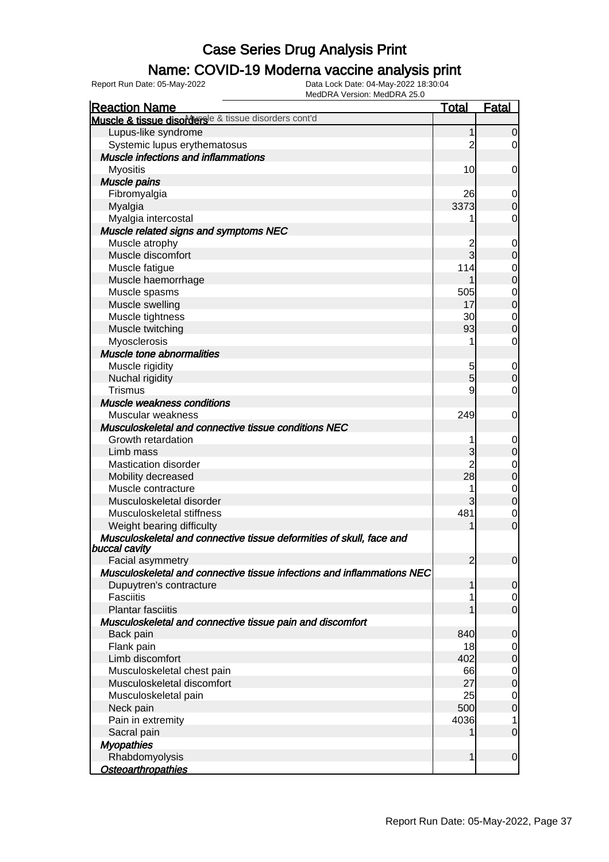### Name: COVID-19 Moderna vaccine analysis print

| Muscle & tissue disorders <sup>le &amp; tissue disorders cont'd</sup><br>Lupus-like syndrome<br>$\Omega$<br>Systemic lupus erythematosus<br>0<br>Muscle infections and inflammations<br><b>Myositis</b><br>10<br>0<br><b>Muscle pains</b><br>Fibromyalgia<br>26<br>0<br>3373<br>Myalgia<br>$\Omega$<br>Myalgia intercostal<br>0<br>Muscle related signs and symptoms NEC<br>Muscle atrophy<br>0<br>$\overline{3}$<br>Muscle discomfort<br>$\Omega$<br>114<br>Muscle fatigue<br>0<br>$\mathbf 0$<br>Muscle haemorrhage<br>505<br>Muscle spasms<br>$\mathbf 0$<br>$\mathbf 0$<br>Muscle swelling<br>17<br>Muscle tightness<br>30<br>$\mathbf 0$<br>93<br>Muscle twitching<br>$\overline{0}$<br>Myosclerosis<br>0<br>Muscle tone abnormalities<br>Muscle rigidity<br>5<br>0<br>5<br>Nuchal rigidity<br>$\Omega$<br><b>Trismus</b><br>9<br>0<br>Muscle weakness conditions<br>Muscular weakness<br>249<br>0<br>Musculoskeletal and connective tissue conditions NEC<br>Growth retardation<br>0<br>Limb mass<br>3<br>$\mathbf 0$<br><b>Mastication disorder</b><br>0<br>28<br>Mobility decreased<br>$\mathbf 0$<br>Muscle contracture<br>0<br>Musculoskeletal disorder<br>3<br>$\overline{0}$<br>481<br>Musculoskeletal stiffness<br>0<br>$\overline{0}$<br>Weight bearing difficulty<br>Musculoskeletal and connective tissue deformities of skull, face and<br>buccal cavity<br>$\overline{2}$<br>Facial asymmetry<br>$\overline{0}$<br>Musculoskeletal and connective tissue infections and inflammations NEC<br>Dupuytren's contracture<br>1<br>$\overline{0}$<br>Fasciitis<br>0<br>$\mathbf 0$<br><b>Plantar fasciitis</b><br>Musculoskeletal and connective tissue pain and discomfort<br>840<br>Back pain<br>$\mathbf 0$<br>Flank pain<br>18<br>0<br>402<br>Limb discomfort<br>$\mathbf 0$<br>Musculoskeletal chest pain<br>66<br>$\mathbf 0$<br>27<br>Musculoskeletal discomfort<br>$\mathbf 0$<br>25<br>Musculoskeletal pain<br>$\mathbf 0$<br>500<br>$\boldsymbol{0}$<br>Neck pain<br>Pain in extremity<br>4036<br>1<br>$\mathbf 0$<br>Sacral pain<br><b>Myopathies</b> | MEUDRA VEISIUII. MEUDRA 20.0<br><b>Reaction Name</b> | <b>Total</b> | <b>Fatal</b> |
|------------------------------------------------------------------------------------------------------------------------------------------------------------------------------------------------------------------------------------------------------------------------------------------------------------------------------------------------------------------------------------------------------------------------------------------------------------------------------------------------------------------------------------------------------------------------------------------------------------------------------------------------------------------------------------------------------------------------------------------------------------------------------------------------------------------------------------------------------------------------------------------------------------------------------------------------------------------------------------------------------------------------------------------------------------------------------------------------------------------------------------------------------------------------------------------------------------------------------------------------------------------------------------------------------------------------------------------------------------------------------------------------------------------------------------------------------------------------------------------------------------------------------------------------------------------------------------------------------------------------------------------------------------------------------------------------------------------------------------------------------------------------------------------------------------------------------------------------------------------------------------------------------------------------------------------------------------------------------------------------------------------------------------------------------------------------------|------------------------------------------------------|--------------|--------------|
|                                                                                                                                                                                                                                                                                                                                                                                                                                                                                                                                                                                                                                                                                                                                                                                                                                                                                                                                                                                                                                                                                                                                                                                                                                                                                                                                                                                                                                                                                                                                                                                                                                                                                                                                                                                                                                                                                                                                                                                                                                                                              |                                                      |              |              |
|                                                                                                                                                                                                                                                                                                                                                                                                                                                                                                                                                                                                                                                                                                                                                                                                                                                                                                                                                                                                                                                                                                                                                                                                                                                                                                                                                                                                                                                                                                                                                                                                                                                                                                                                                                                                                                                                                                                                                                                                                                                                              |                                                      |              |              |
|                                                                                                                                                                                                                                                                                                                                                                                                                                                                                                                                                                                                                                                                                                                                                                                                                                                                                                                                                                                                                                                                                                                                                                                                                                                                                                                                                                                                                                                                                                                                                                                                                                                                                                                                                                                                                                                                                                                                                                                                                                                                              |                                                      |              |              |
|                                                                                                                                                                                                                                                                                                                                                                                                                                                                                                                                                                                                                                                                                                                                                                                                                                                                                                                                                                                                                                                                                                                                                                                                                                                                                                                                                                                                                                                                                                                                                                                                                                                                                                                                                                                                                                                                                                                                                                                                                                                                              |                                                      |              |              |
|                                                                                                                                                                                                                                                                                                                                                                                                                                                                                                                                                                                                                                                                                                                                                                                                                                                                                                                                                                                                                                                                                                                                                                                                                                                                                                                                                                                                                                                                                                                                                                                                                                                                                                                                                                                                                                                                                                                                                                                                                                                                              |                                                      |              |              |
|                                                                                                                                                                                                                                                                                                                                                                                                                                                                                                                                                                                                                                                                                                                                                                                                                                                                                                                                                                                                                                                                                                                                                                                                                                                                                                                                                                                                                                                                                                                                                                                                                                                                                                                                                                                                                                                                                                                                                                                                                                                                              |                                                      |              |              |
|                                                                                                                                                                                                                                                                                                                                                                                                                                                                                                                                                                                                                                                                                                                                                                                                                                                                                                                                                                                                                                                                                                                                                                                                                                                                                                                                                                                                                                                                                                                                                                                                                                                                                                                                                                                                                                                                                                                                                                                                                                                                              |                                                      |              |              |
|                                                                                                                                                                                                                                                                                                                                                                                                                                                                                                                                                                                                                                                                                                                                                                                                                                                                                                                                                                                                                                                                                                                                                                                                                                                                                                                                                                                                                                                                                                                                                                                                                                                                                                                                                                                                                                                                                                                                                                                                                                                                              |                                                      |              |              |
|                                                                                                                                                                                                                                                                                                                                                                                                                                                                                                                                                                                                                                                                                                                                                                                                                                                                                                                                                                                                                                                                                                                                                                                                                                                                                                                                                                                                                                                                                                                                                                                                                                                                                                                                                                                                                                                                                                                                                                                                                                                                              |                                                      |              |              |
|                                                                                                                                                                                                                                                                                                                                                                                                                                                                                                                                                                                                                                                                                                                                                                                                                                                                                                                                                                                                                                                                                                                                                                                                                                                                                                                                                                                                                                                                                                                                                                                                                                                                                                                                                                                                                                                                                                                                                                                                                                                                              |                                                      |              |              |
|                                                                                                                                                                                                                                                                                                                                                                                                                                                                                                                                                                                                                                                                                                                                                                                                                                                                                                                                                                                                                                                                                                                                                                                                                                                                                                                                                                                                                                                                                                                                                                                                                                                                                                                                                                                                                                                                                                                                                                                                                                                                              |                                                      |              |              |
|                                                                                                                                                                                                                                                                                                                                                                                                                                                                                                                                                                                                                                                                                                                                                                                                                                                                                                                                                                                                                                                                                                                                                                                                                                                                                                                                                                                                                                                                                                                                                                                                                                                                                                                                                                                                                                                                                                                                                                                                                                                                              |                                                      |              |              |
|                                                                                                                                                                                                                                                                                                                                                                                                                                                                                                                                                                                                                                                                                                                                                                                                                                                                                                                                                                                                                                                                                                                                                                                                                                                                                                                                                                                                                                                                                                                                                                                                                                                                                                                                                                                                                                                                                                                                                                                                                                                                              |                                                      |              |              |
|                                                                                                                                                                                                                                                                                                                                                                                                                                                                                                                                                                                                                                                                                                                                                                                                                                                                                                                                                                                                                                                                                                                                                                                                                                                                                                                                                                                                                                                                                                                                                                                                                                                                                                                                                                                                                                                                                                                                                                                                                                                                              |                                                      |              |              |
|                                                                                                                                                                                                                                                                                                                                                                                                                                                                                                                                                                                                                                                                                                                                                                                                                                                                                                                                                                                                                                                                                                                                                                                                                                                                                                                                                                                                                                                                                                                                                                                                                                                                                                                                                                                                                                                                                                                                                                                                                                                                              |                                                      |              |              |
|                                                                                                                                                                                                                                                                                                                                                                                                                                                                                                                                                                                                                                                                                                                                                                                                                                                                                                                                                                                                                                                                                                                                                                                                                                                                                                                                                                                                                                                                                                                                                                                                                                                                                                                                                                                                                                                                                                                                                                                                                                                                              |                                                      |              |              |
|                                                                                                                                                                                                                                                                                                                                                                                                                                                                                                                                                                                                                                                                                                                                                                                                                                                                                                                                                                                                                                                                                                                                                                                                                                                                                                                                                                                                                                                                                                                                                                                                                                                                                                                                                                                                                                                                                                                                                                                                                                                                              |                                                      |              |              |
|                                                                                                                                                                                                                                                                                                                                                                                                                                                                                                                                                                                                                                                                                                                                                                                                                                                                                                                                                                                                                                                                                                                                                                                                                                                                                                                                                                                                                                                                                                                                                                                                                                                                                                                                                                                                                                                                                                                                                                                                                                                                              |                                                      |              |              |
|                                                                                                                                                                                                                                                                                                                                                                                                                                                                                                                                                                                                                                                                                                                                                                                                                                                                                                                                                                                                                                                                                                                                                                                                                                                                                                                                                                                                                                                                                                                                                                                                                                                                                                                                                                                                                                                                                                                                                                                                                                                                              |                                                      |              |              |
|                                                                                                                                                                                                                                                                                                                                                                                                                                                                                                                                                                                                                                                                                                                                                                                                                                                                                                                                                                                                                                                                                                                                                                                                                                                                                                                                                                                                                                                                                                                                                                                                                                                                                                                                                                                                                                                                                                                                                                                                                                                                              |                                                      |              |              |
|                                                                                                                                                                                                                                                                                                                                                                                                                                                                                                                                                                                                                                                                                                                                                                                                                                                                                                                                                                                                                                                                                                                                                                                                                                                                                                                                                                                                                                                                                                                                                                                                                                                                                                                                                                                                                                                                                                                                                                                                                                                                              |                                                      |              |              |
|                                                                                                                                                                                                                                                                                                                                                                                                                                                                                                                                                                                                                                                                                                                                                                                                                                                                                                                                                                                                                                                                                                                                                                                                                                                                                                                                                                                                                                                                                                                                                                                                                                                                                                                                                                                                                                                                                                                                                                                                                                                                              |                                                      |              |              |
|                                                                                                                                                                                                                                                                                                                                                                                                                                                                                                                                                                                                                                                                                                                                                                                                                                                                                                                                                                                                                                                                                                                                                                                                                                                                                                                                                                                                                                                                                                                                                                                                                                                                                                                                                                                                                                                                                                                                                                                                                                                                              |                                                      |              |              |
|                                                                                                                                                                                                                                                                                                                                                                                                                                                                                                                                                                                                                                                                                                                                                                                                                                                                                                                                                                                                                                                                                                                                                                                                                                                                                                                                                                                                                                                                                                                                                                                                                                                                                                                                                                                                                                                                                                                                                                                                                                                                              |                                                      |              |              |
|                                                                                                                                                                                                                                                                                                                                                                                                                                                                                                                                                                                                                                                                                                                                                                                                                                                                                                                                                                                                                                                                                                                                                                                                                                                                                                                                                                                                                                                                                                                                                                                                                                                                                                                                                                                                                                                                                                                                                                                                                                                                              |                                                      |              |              |
|                                                                                                                                                                                                                                                                                                                                                                                                                                                                                                                                                                                                                                                                                                                                                                                                                                                                                                                                                                                                                                                                                                                                                                                                                                                                                                                                                                                                                                                                                                                                                                                                                                                                                                                                                                                                                                                                                                                                                                                                                                                                              |                                                      |              |              |
|                                                                                                                                                                                                                                                                                                                                                                                                                                                                                                                                                                                                                                                                                                                                                                                                                                                                                                                                                                                                                                                                                                                                                                                                                                                                                                                                                                                                                                                                                                                                                                                                                                                                                                                                                                                                                                                                                                                                                                                                                                                                              |                                                      |              |              |
|                                                                                                                                                                                                                                                                                                                                                                                                                                                                                                                                                                                                                                                                                                                                                                                                                                                                                                                                                                                                                                                                                                                                                                                                                                                                                                                                                                                                                                                                                                                                                                                                                                                                                                                                                                                                                                                                                                                                                                                                                                                                              |                                                      |              |              |
|                                                                                                                                                                                                                                                                                                                                                                                                                                                                                                                                                                                                                                                                                                                                                                                                                                                                                                                                                                                                                                                                                                                                                                                                                                                                                                                                                                                                                                                                                                                                                                                                                                                                                                                                                                                                                                                                                                                                                                                                                                                                              |                                                      |              |              |
|                                                                                                                                                                                                                                                                                                                                                                                                                                                                                                                                                                                                                                                                                                                                                                                                                                                                                                                                                                                                                                                                                                                                                                                                                                                                                                                                                                                                                                                                                                                                                                                                                                                                                                                                                                                                                                                                                                                                                                                                                                                                              |                                                      |              |              |
|                                                                                                                                                                                                                                                                                                                                                                                                                                                                                                                                                                                                                                                                                                                                                                                                                                                                                                                                                                                                                                                                                                                                                                                                                                                                                                                                                                                                                                                                                                                                                                                                                                                                                                                                                                                                                                                                                                                                                                                                                                                                              |                                                      |              |              |
|                                                                                                                                                                                                                                                                                                                                                                                                                                                                                                                                                                                                                                                                                                                                                                                                                                                                                                                                                                                                                                                                                                                                                                                                                                                                                                                                                                                                                                                                                                                                                                                                                                                                                                                                                                                                                                                                                                                                                                                                                                                                              |                                                      |              |              |
|                                                                                                                                                                                                                                                                                                                                                                                                                                                                                                                                                                                                                                                                                                                                                                                                                                                                                                                                                                                                                                                                                                                                                                                                                                                                                                                                                                                                                                                                                                                                                                                                                                                                                                                                                                                                                                                                                                                                                                                                                                                                              |                                                      |              |              |
|                                                                                                                                                                                                                                                                                                                                                                                                                                                                                                                                                                                                                                                                                                                                                                                                                                                                                                                                                                                                                                                                                                                                                                                                                                                                                                                                                                                                                                                                                                                                                                                                                                                                                                                                                                                                                                                                                                                                                                                                                                                                              |                                                      |              |              |
|                                                                                                                                                                                                                                                                                                                                                                                                                                                                                                                                                                                                                                                                                                                                                                                                                                                                                                                                                                                                                                                                                                                                                                                                                                                                                                                                                                                                                                                                                                                                                                                                                                                                                                                                                                                                                                                                                                                                                                                                                                                                              |                                                      |              |              |
|                                                                                                                                                                                                                                                                                                                                                                                                                                                                                                                                                                                                                                                                                                                                                                                                                                                                                                                                                                                                                                                                                                                                                                                                                                                                                                                                                                                                                                                                                                                                                                                                                                                                                                                                                                                                                                                                                                                                                                                                                                                                              |                                                      |              |              |
|                                                                                                                                                                                                                                                                                                                                                                                                                                                                                                                                                                                                                                                                                                                                                                                                                                                                                                                                                                                                                                                                                                                                                                                                                                                                                                                                                                                                                                                                                                                                                                                                                                                                                                                                                                                                                                                                                                                                                                                                                                                                              |                                                      |              |              |
|                                                                                                                                                                                                                                                                                                                                                                                                                                                                                                                                                                                                                                                                                                                                                                                                                                                                                                                                                                                                                                                                                                                                                                                                                                                                                                                                                                                                                                                                                                                                                                                                                                                                                                                                                                                                                                                                                                                                                                                                                                                                              |                                                      |              |              |
|                                                                                                                                                                                                                                                                                                                                                                                                                                                                                                                                                                                                                                                                                                                                                                                                                                                                                                                                                                                                                                                                                                                                                                                                                                                                                                                                                                                                                                                                                                                                                                                                                                                                                                                                                                                                                                                                                                                                                                                                                                                                              |                                                      |              |              |
|                                                                                                                                                                                                                                                                                                                                                                                                                                                                                                                                                                                                                                                                                                                                                                                                                                                                                                                                                                                                                                                                                                                                                                                                                                                                                                                                                                                                                                                                                                                                                                                                                                                                                                                                                                                                                                                                                                                                                                                                                                                                              |                                                      |              |              |
|                                                                                                                                                                                                                                                                                                                                                                                                                                                                                                                                                                                                                                                                                                                                                                                                                                                                                                                                                                                                                                                                                                                                                                                                                                                                                                                                                                                                                                                                                                                                                                                                                                                                                                                                                                                                                                                                                                                                                                                                                                                                              |                                                      |              |              |
|                                                                                                                                                                                                                                                                                                                                                                                                                                                                                                                                                                                                                                                                                                                                                                                                                                                                                                                                                                                                                                                                                                                                                                                                                                                                                                                                                                                                                                                                                                                                                                                                                                                                                                                                                                                                                                                                                                                                                                                                                                                                              |                                                      |              |              |
|                                                                                                                                                                                                                                                                                                                                                                                                                                                                                                                                                                                                                                                                                                                                                                                                                                                                                                                                                                                                                                                                                                                                                                                                                                                                                                                                                                                                                                                                                                                                                                                                                                                                                                                                                                                                                                                                                                                                                                                                                                                                              |                                                      |              |              |
|                                                                                                                                                                                                                                                                                                                                                                                                                                                                                                                                                                                                                                                                                                                                                                                                                                                                                                                                                                                                                                                                                                                                                                                                                                                                                                                                                                                                                                                                                                                                                                                                                                                                                                                                                                                                                                                                                                                                                                                                                                                                              |                                                      |              |              |
|                                                                                                                                                                                                                                                                                                                                                                                                                                                                                                                                                                                                                                                                                                                                                                                                                                                                                                                                                                                                                                                                                                                                                                                                                                                                                                                                                                                                                                                                                                                                                                                                                                                                                                                                                                                                                                                                                                                                                                                                                                                                              |                                                      |              |              |
|                                                                                                                                                                                                                                                                                                                                                                                                                                                                                                                                                                                                                                                                                                                                                                                                                                                                                                                                                                                                                                                                                                                                                                                                                                                                                                                                                                                                                                                                                                                                                                                                                                                                                                                                                                                                                                                                                                                                                                                                                                                                              |                                                      |              |              |
|                                                                                                                                                                                                                                                                                                                                                                                                                                                                                                                                                                                                                                                                                                                                                                                                                                                                                                                                                                                                                                                                                                                                                                                                                                                                                                                                                                                                                                                                                                                                                                                                                                                                                                                                                                                                                                                                                                                                                                                                                                                                              |                                                      |              |              |
|                                                                                                                                                                                                                                                                                                                                                                                                                                                                                                                                                                                                                                                                                                                                                                                                                                                                                                                                                                                                                                                                                                                                                                                                                                                                                                                                                                                                                                                                                                                                                                                                                                                                                                                                                                                                                                                                                                                                                                                                                                                                              |                                                      |              |              |
|                                                                                                                                                                                                                                                                                                                                                                                                                                                                                                                                                                                                                                                                                                                                                                                                                                                                                                                                                                                                                                                                                                                                                                                                                                                                                                                                                                                                                                                                                                                                                                                                                                                                                                                                                                                                                                                                                                                                                                                                                                                                              |                                                      |              |              |
|                                                                                                                                                                                                                                                                                                                                                                                                                                                                                                                                                                                                                                                                                                                                                                                                                                                                                                                                                                                                                                                                                                                                                                                                                                                                                                                                                                                                                                                                                                                                                                                                                                                                                                                                                                                                                                                                                                                                                                                                                                                                              |                                                      |              |              |
|                                                                                                                                                                                                                                                                                                                                                                                                                                                                                                                                                                                                                                                                                                                                                                                                                                                                                                                                                                                                                                                                                                                                                                                                                                                                                                                                                                                                                                                                                                                                                                                                                                                                                                                                                                                                                                                                                                                                                                                                                                                                              |                                                      |              |              |
|                                                                                                                                                                                                                                                                                                                                                                                                                                                                                                                                                                                                                                                                                                                                                                                                                                                                                                                                                                                                                                                                                                                                                                                                                                                                                                                                                                                                                                                                                                                                                                                                                                                                                                                                                                                                                                                                                                                                                                                                                                                                              | Rhabdomyolysis                                       | 1            | $\mathbf 0$  |
| Osteoarthropathies                                                                                                                                                                                                                                                                                                                                                                                                                                                                                                                                                                                                                                                                                                                                                                                                                                                                                                                                                                                                                                                                                                                                                                                                                                                                                                                                                                                                                                                                                                                                                                                                                                                                                                                                                                                                                                                                                                                                                                                                                                                           |                                                      |              |              |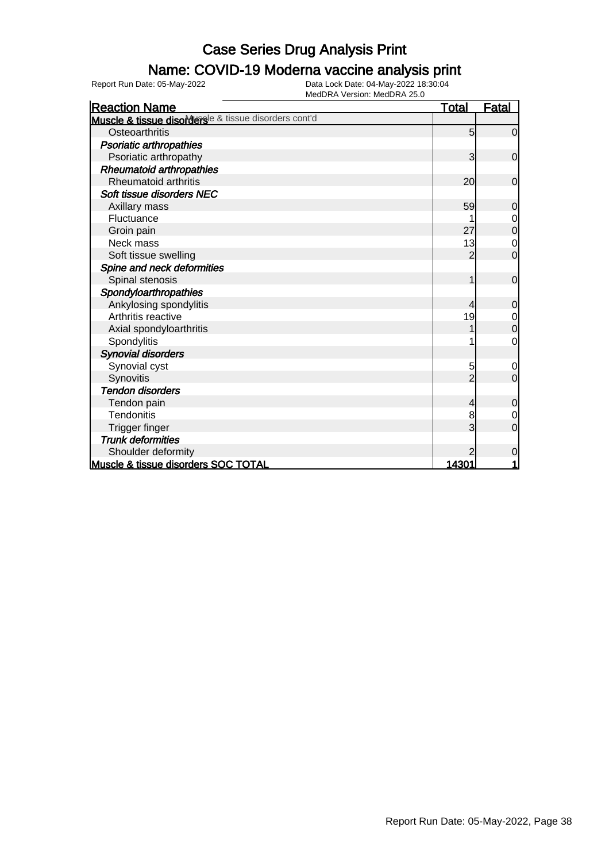### Name: COVID-19 Moderna vaccine analysis print

Report Run Date: 05-May-2022 Data Lock Date: 04-May-2022 18:30:04

| <b>Reaction Name</b>                                  | <u>Total</u>   | <b>Fatal</b>     |
|-------------------------------------------------------|----------------|------------------|
| Muscle & tissue disordersle & tissue disorders cont'd |                |                  |
| Osteoarthritis                                        | 5              | $\mathbf 0$      |
| <b>Psoriatic arthropathies</b>                        |                |                  |
| Psoriatic arthropathy                                 | 3              | $\overline{0}$   |
| <b>Rheumatoid arthropathies</b>                       |                |                  |
| <b>Rheumatoid arthritis</b>                           | 20             | $\overline{0}$   |
| Soft tissue disorders NEC                             |                |                  |
| Axillary mass                                         | 59             | $\mathbf 0$      |
| Fluctuance                                            |                | $\mathbf 0$      |
| Groin pain                                            | 27             | $\mathbf 0$      |
| Neck mass                                             | 13             | 0                |
| Soft tissue swelling                                  | $\overline{2}$ | $\overline{0}$   |
| Spine and neck deformities                            |                |                  |
| Spinal stenosis                                       | 1              | $\mathbf 0$      |
| Spondyloarthropathies                                 |                |                  |
| Ankylosing spondylitis                                | 4              | $\overline{0}$   |
| Arthritis reactive                                    | 19             | $\mathbf 0$      |
| Axial spondyloarthritis                               |                | $\boldsymbol{0}$ |
| Spondylitis                                           |                | 0                |
| <b>Synovial disorders</b>                             |                |                  |
| Synovial cyst                                         | 5              | $\mathbf 0$      |
| Synovitis                                             |                | $\overline{0}$   |
| <b>Tendon disorders</b>                               |                |                  |
| Tendon pain                                           | 4              | $\mathbf 0$      |
| <b>Tendonitis</b>                                     | 8              | $\mathbf 0$      |
| <b>Trigger finger</b>                                 | 3              | $\overline{0}$   |
| <b>Trunk deformities</b>                              |                |                  |
| Shoulder deformity                                    | 2              | $\mathbf 0$      |
| Muscle & tissue disorders SOC TOTAL                   | 14301          |                  |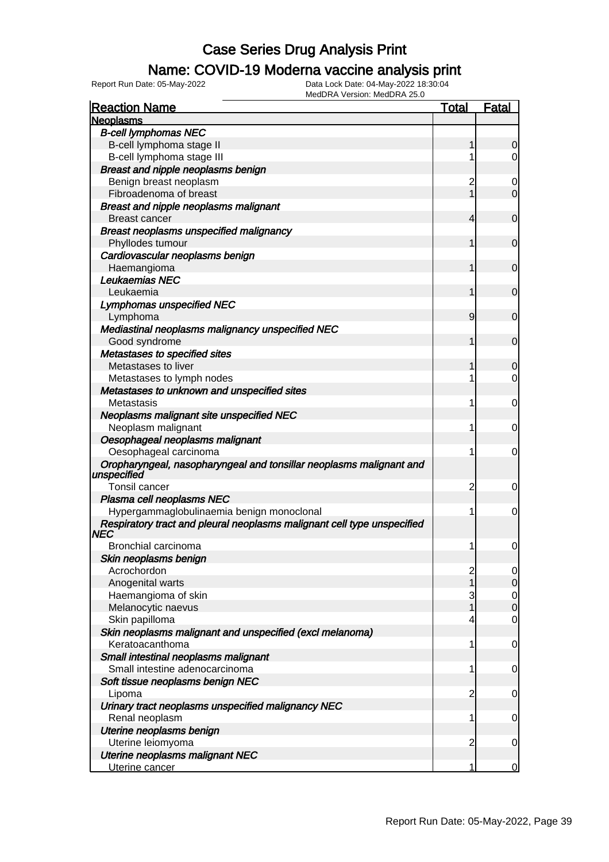### Name: COVID-19 Moderna vaccine analysis print

Report Run Date: 05-May-2022 Data Lock Date: 04-May-2022 18:30:04

| <b>Reaction Name</b>                                                            | <u>Total</u>                          | <b>Fatal</b> |
|---------------------------------------------------------------------------------|---------------------------------------|--------------|
| <b>Neoplasms</b>                                                                |                                       |              |
| <b>B-cell lymphomas NEC</b>                                                     |                                       |              |
| B-cell lymphoma stage II                                                        |                                       |              |
| B-cell lymphoma stage III                                                       | 1                                     | 0            |
| Breast and nipple neoplasms benign                                              |                                       |              |
| Benign breast neoplasm                                                          | 2                                     | 0            |
| Fibroadenoma of breast                                                          | 1                                     | $\mathbf 0$  |
| <b>Breast and nipple neoplasms malignant</b>                                    |                                       |              |
| <b>Breast cancer</b>                                                            | 4                                     | $\mathbf 0$  |
| <b>Breast neoplasms unspecified malignancy</b>                                  |                                       |              |
| Phyllodes tumour                                                                | 1                                     | $\mathbf 0$  |
| Cardiovascular neoplasms benign                                                 |                                       |              |
| Haemangioma                                                                     | 1                                     | $\mathbf 0$  |
| Leukaemias NEC                                                                  |                                       |              |
| Leukaemia                                                                       | 1                                     | $\mathbf 0$  |
| Lymphomas unspecified NEC                                                       |                                       |              |
| Lymphoma                                                                        | 9                                     | $\mathbf 0$  |
| Mediastinal neoplasms malignancy unspecified NEC                                |                                       |              |
| Good syndrome                                                                   | 1                                     | $\mathbf 0$  |
| <b>Metastases to specified sites</b>                                            |                                       |              |
| Metastases to liver                                                             | 1                                     | 0            |
| Metastases to lymph nodes                                                       | 1                                     | 0            |
| Metastases to unknown and unspecified sites                                     |                                       |              |
| Metastasis                                                                      | 1                                     | 0            |
| Neoplasms malignant site unspecified NEC                                        |                                       |              |
| Neoplasm malignant                                                              | 1                                     | 0            |
| Oesophageal neoplasms malignant                                                 |                                       |              |
| Oesophageal carcinoma                                                           | 1                                     | 0            |
| Oropharyngeal, nasopharyngeal and tonsillar neoplasms malignant and             |                                       |              |
| unspecified                                                                     |                                       |              |
| Tonsil cancer                                                                   | $\overline{c}$                        | 0            |
| Plasma cell neoplasms NEC                                                       |                                       |              |
| Hypergammaglobulinaemia benign monoclonal                                       | 1                                     | 0            |
| Respiratory tract and pleural neoplasms malignant cell type unspecified<br>INEC |                                       |              |
| Bronchial carcinoma                                                             | 1                                     | 0            |
| Skin neoplasms benign                                                           |                                       |              |
| Acrochordon                                                                     |                                       |              |
| Anogenital warts                                                                | $\begin{array}{c} 2 \\ 1 \end{array}$ | $\mathbf 0$  |
| Haemangioma of skin                                                             | 3                                     |              |
| Melanocytic naevus                                                              | $\overline{1}$                        | $0$ 0        |
| Skin papilloma                                                                  | 4                                     | 0            |
| Skin neoplasms malignant and unspecified (excl melanoma)                        |                                       |              |
| Keratoacanthoma                                                                 | 1                                     | $\mathbf 0$  |
| Small intestinal neoplasms malignant                                            |                                       |              |
| Small intestine adenocarcinoma                                                  | 1                                     | $\mathbf 0$  |
| Soft tissue neoplasms benign NEC                                                |                                       |              |
| Lipoma                                                                          | 2                                     | $\mathbf 0$  |
| Urinary tract neoplasms unspecified malignancy NEC                              |                                       |              |
| Renal neoplasm                                                                  | 1                                     | $\mathbf 0$  |
| Uterine neoplasms benign                                                        |                                       |              |
| Uterine leiomyoma                                                               | 2                                     | 0            |
| Uterine neoplasms malignant NEC                                                 |                                       |              |
| Uterine cancer                                                                  | 1                                     | 0            |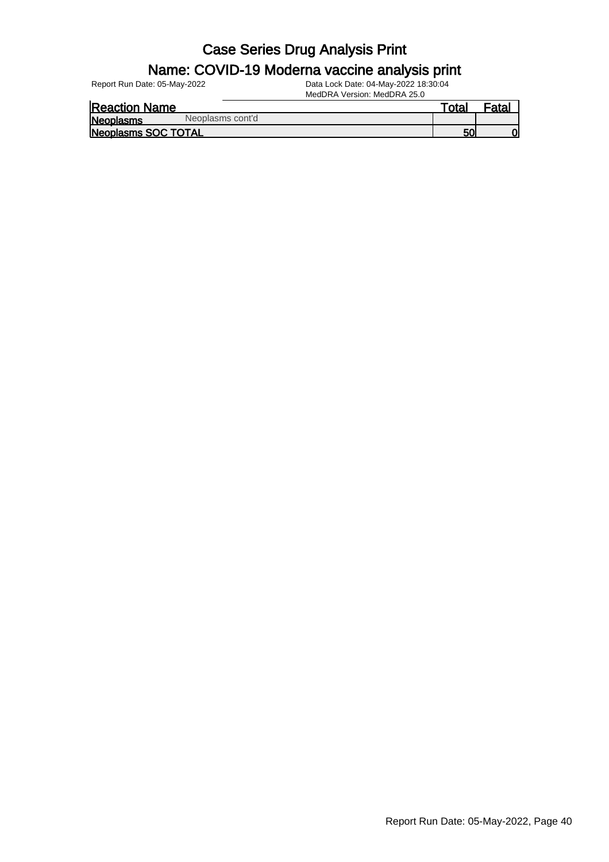#### Name: COVID-19 Moderna vaccine analysis print

Report Run Date: 05-May-2022 Data Lock Date: 04-May-2022 18:30:04

|                            |                  | MedDRA Version: MedDRA 25.0 |       |                   |
|----------------------------|------------------|-----------------------------|-------|-------------------|
| <b>Reaction Name</b>       |                  |                             | Гоtal | <sup>≂</sup> ata∟ |
| Neoplasms                  | Neoplasms cont'd |                             |       |                   |
| <b>Neoplasms SOC TOTAL</b> |                  |                             | 50    |                   |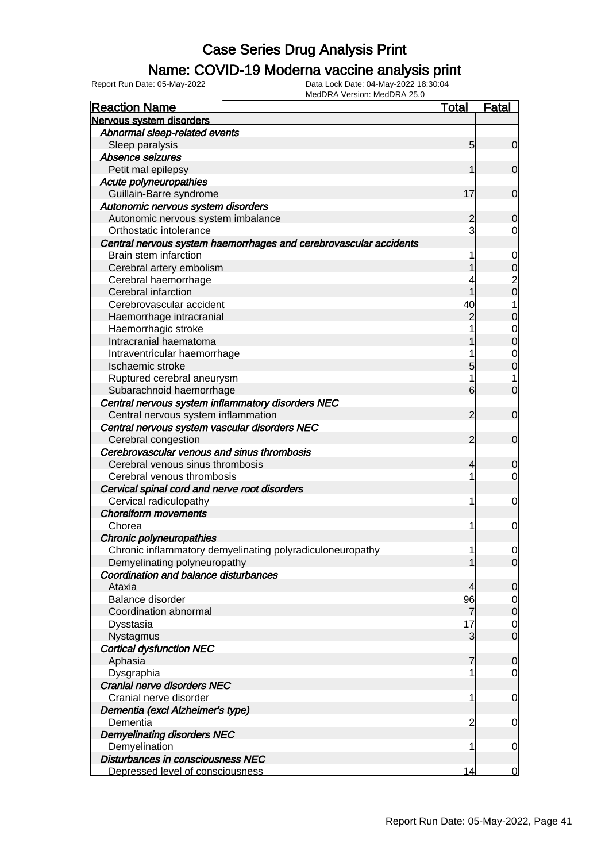### Name: COVID-19 Moderna vaccine analysis print

| <b>Reaction Name</b>                                              | Total          | <u>Fatal</u>     |
|-------------------------------------------------------------------|----------------|------------------|
| Nervous system disorders                                          |                |                  |
| Abnormal sleep-related events                                     |                |                  |
| Sleep paralysis                                                   | 5              | 0                |
| Absence seizures                                                  |                |                  |
| Petit mal epilepsy                                                |                | $\mathbf 0$      |
| <b>Acute polyneuropathies</b>                                     |                |                  |
| Guillain-Barre syndrome                                           | 17             | $\mathbf 0$      |
| Autonomic nervous system disorders                                |                |                  |
| Autonomic nervous system imbalance                                | 2              | 0                |
| Orthostatic intolerance                                           | 3              | 0                |
| Central nervous system haemorrhages and cerebrovascular accidents |                |                  |
| Brain stem infarction                                             |                | 0                |
| Cerebral artery embolism                                          |                | 0                |
| Cerebral haemorrhage                                              |                | $\overline{c}$   |
| Cerebral infarction                                               |                | 0                |
| Cerebrovascular accident                                          | 40             | 1                |
| Haemorrhage intracranial                                          | 2              | 0                |
| Haemorrhagic stroke                                               |                | $\mathbf 0$      |
| Intracranial haematoma                                            |                | 0                |
| Intraventricular haemorrhage                                      |                | 0                |
| Ischaemic stroke                                                  | 5              | 0                |
| Ruptured cerebral aneurysm                                        |                | 1                |
| Subarachnoid haemorrhage                                          | 6              | 0                |
| Central nervous system inflammatory disorders NEC                 |                |                  |
| Central nervous system inflammation                               | 2              | $\mathbf 0$      |
| Central nervous system vascular disorders NEC                     |                |                  |
| Cerebral congestion                                               | 2              | $\mathbf 0$      |
| Cerebrovascular venous and sinus thrombosis                       |                |                  |
| Cerebral venous sinus thrombosis                                  | 4              | 0                |
| Cerebral venous thrombosis                                        | 1              | 0                |
| Cervical spinal cord and nerve root disorders                     |                |                  |
| Cervical radiculopathy                                            | 1              | 0                |
| <b>Choreiform movements</b>                                       |                |                  |
| Chorea                                                            | 1              | 0                |
| Chronic polyneuropathies                                          |                |                  |
| Chronic inflammatory demyelinating polyradiculoneuropathy         | 1              | 0                |
| Demyelinating polyneuropathy                                      |                | $\overline{0}$   |
| <b>Coordination and balance disturbances</b>                      |                |                  |
| Ataxia                                                            | 4              | $\overline{0}$   |
| Balance disorder                                                  | 96             | $\mathbf 0$      |
| Coordination abnormal                                             | 7              | $\boldsymbol{0}$ |
| Dysstasia                                                         | 17             | $\mathbf 0$      |
| Nystagmus                                                         | 3              | $\overline{0}$   |
| <b>Cortical dysfunction NEC</b>                                   |                |                  |
| Aphasia                                                           |                | 0                |
| Dysgraphia                                                        | 1              | 0                |
| Cranial nerve disorders NEC                                       |                |                  |
| Cranial nerve disorder                                            | 1              | 0                |
| Dementia (excl Alzheimer's type)                                  |                |                  |
| Dementia                                                          | $\overline{2}$ | 0                |
| <b>Demyelinating disorders NEC</b>                                |                |                  |
| Demyelination                                                     | 1              | 0                |
| Disturbances in consciousness NEC                                 |                |                  |
| Depressed level of consciousness                                  | 14             | $\Omega$         |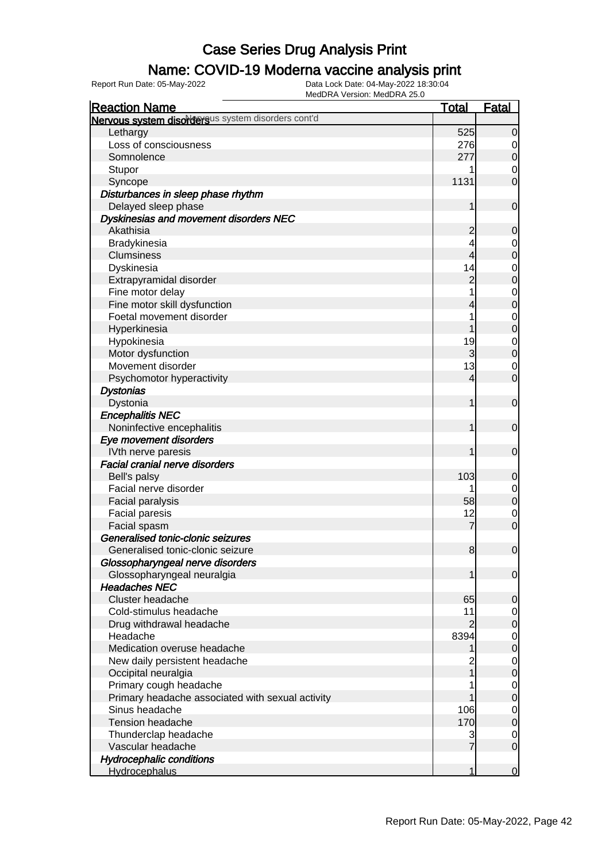### Name: COVID-19 Moderna vaccine analysis print

| <b>Reaction Name</b>                               | <u>Total</u>   | <b>Fatal</b>   |
|----------------------------------------------------|----------------|----------------|
| Nervous system disordersus system disorders cont'd |                |                |
| Lethargy                                           | 525            | $\overline{0}$ |
| Loss of consciousness                              | 276            | $\overline{0}$ |
| Somnolence                                         | 277            | $\overline{O}$ |
| Stupor                                             |                | 0              |
| Syncope                                            | 1131           | $\overline{0}$ |
| Disturbances in sleep phase rhythm                 |                |                |
| Delayed sleep phase                                |                | $\mathbf 0$    |
| Dyskinesias and movement disorders NEC             |                |                |
| Akathisia                                          | 2              | $\overline{0}$ |
| Bradykinesia                                       |                | $\overline{0}$ |
| <b>Clumsiness</b>                                  | 4              | $\overline{0}$ |
| Dyskinesia                                         | 14             | $\mathbf 0$    |
| Extrapyramidal disorder                            | $\overline{2}$ | $\overline{0}$ |
| Fine motor delay                                   |                | $\mathbf 0$    |
| Fine motor skill dysfunction                       | 4              | $\overline{0}$ |
| Foetal movement disorder                           |                | $\mathbf 0$    |
| Hyperkinesia                                       |                | $\overline{0}$ |
| Hypokinesia                                        | 19             | $\mathbf 0$    |
| Motor dysfunction                                  | 3              | $\overline{0}$ |
| Movement disorder                                  | 13             | $\mathbf 0$    |
| Psychomotor hyperactivity                          | 4              | $\overline{0}$ |
| <b>Dystonias</b>                                   |                |                |
| Dystonia                                           |                | $\overline{0}$ |
| <b>Encephalitis NEC</b>                            |                |                |
| Noninfective encephalitis                          |                | $\overline{0}$ |
| Eye movement disorders                             |                |                |
| IVth nerve paresis                                 |                | $\overline{0}$ |
| <b>Facial cranial nerve disorders</b>              |                |                |
| Bell's palsy                                       | 103            | $\mathbf 0$    |
| Facial nerve disorder                              |                | $\overline{0}$ |
| Facial paralysis                                   | 58             | $\mathbf 0$    |
| Facial paresis                                     | 12             | $\mathbf 0$    |
| Facial spasm                                       | 7              | $\overline{O}$ |
| Generalised tonic-clonic seizures                  |                |                |
| Generalised tonic-clonic seizure                   | 8              | $\overline{0}$ |
| Glossopharyngeal nerve disorders                   |                |                |
| Glossopharyngeal neuralgia                         |                | $\overline{0}$ |
| <b>Headaches NEC</b>                               |                |                |
| Cluster headache                                   | 65             | $\mathbf 0$    |
| Cold-stimulus headache                             | 11             | $\overline{0}$ |
| Drug withdrawal headache                           | 2              | $\mathbf 0$    |
| Headache                                           | 8394           | $\mathbf 0$    |
| Medication overuse headache                        |                | $\overline{0}$ |
| New daily persistent headache                      | 2              | $\mathbf 0$    |
| Occipital neuralgia                                |                | $\overline{0}$ |
| Primary cough headache                             |                | $\mathbf 0$    |
| Primary headache associated with sexual activity   |                | $\overline{0}$ |
| Sinus headache                                     | 106            | $\mathbf 0$    |
| <b>Tension headache</b>                            | 170            | $\overline{0}$ |
| Thunderclap headache                               | 3              | $\overline{0}$ |
| Vascular headache                                  |                | $\overline{0}$ |
| <b>Hydrocephalic conditions</b>                    |                |                |
| <b>Hydrocephalus</b>                               | 1              | $\mathbf 0$    |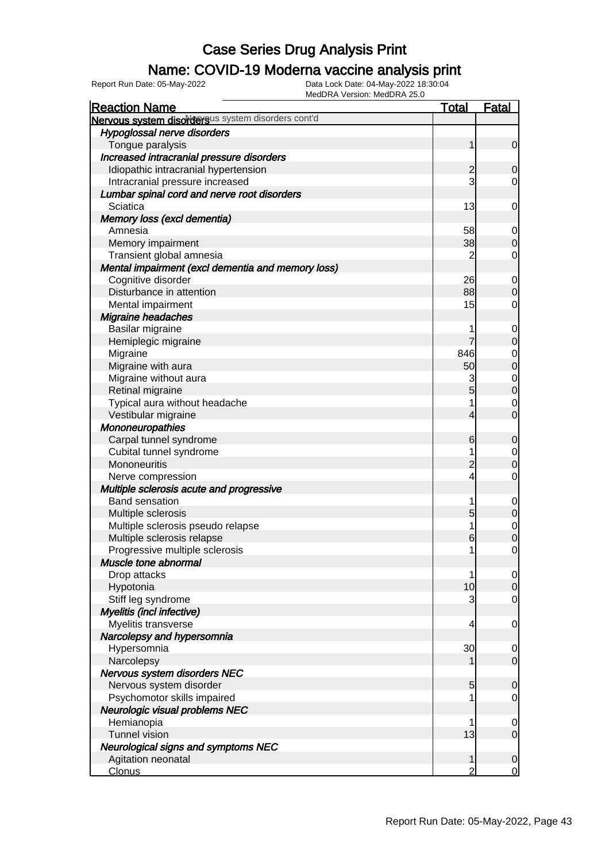### Name: COVID-19 Moderna vaccine analysis print

Report Run Date: 05-May-2022 Data Lock Date: 04-May-2022 18:30:04

| <b>Reaction Name</b>                               | <u>Total</u>   | <b>Fatal</b>   |
|----------------------------------------------------|----------------|----------------|
| Nervous system disordersus system disorders cont'd |                |                |
| Hypoglossal nerve disorders                        |                |                |
| Tongue paralysis                                   | 1              | $\overline{0}$ |
| Increased intracranial pressure disorders          |                |                |
| Idiopathic intracranial hypertension               | $\overline{c}$ | $\mathbf 0$    |
| Intracranial pressure increased                    | 3              | 0              |
| Lumbar spinal cord and nerve root disorders        |                |                |
| Sciatica                                           | 13             | 0              |
| Memory loss (excl dementia)                        |                |                |
| Amnesia                                            | 58             | $\overline{0}$ |
| Memory impairment                                  | 38             | $\mathbf 0$    |
| Transient global amnesia                           | 2              | $\mathbf 0$    |
| Mental impairment (excl dementia and memory loss)  |                |                |
| Cognitive disorder                                 | 26             | $\overline{0}$ |
| Disturbance in attention                           | 88             | $\mathbf 0$    |
| Mental impairment                                  | 15             | 0              |
| Migraine headaches                                 |                |                |
| Basilar migraine                                   |                | $\mathbf 0$    |
| Hemiplegic migraine                                | 7              | $\mathbf 0$    |
| Migraine                                           | 846            | $\mathbf 0$    |
| Migraine with aura                                 | 50             | $\overline{0}$ |
| Migraine without aura                              | 3              | $\mathbf{0}$   |
| Retinal migraine                                   | 5              | $\overline{0}$ |
| Typical aura without headache                      | 1              | $\mathbf 0$    |
| Vestibular migraine                                | 4              | $\overline{0}$ |
| <b>Mononeuropathies</b>                            |                |                |
| Carpal tunnel syndrome                             | 6              | $\mathbf 0$    |
| Cubital tunnel syndrome                            |                | $\overline{0}$ |
| Mononeuritis                                       | $\overline{2}$ | $\overline{0}$ |
| Nerve compression                                  | 4              | $\mathbf 0$    |
| Multiple sclerosis acute and progressive           |                |                |
| <b>Band sensation</b>                              |                | $\mathbf 0$    |
| Multiple sclerosis                                 | 5              | $\mathbf 0$    |
| Multiple sclerosis pseudo relapse                  | 1              | $\mathbf{0}$   |
| Multiple sclerosis relapse                         | 6              | $\overline{0}$ |
| Progressive multiple sclerosis                     | 1              | $\mathbf 0$    |
| Muscle tone abnormal                               |                |                |
| Drop attacks                                       |                | $\overline{0}$ |
| Hypotonia                                          | 10             | $\overline{0}$ |
| Stiff leg syndrome                                 | 3              | 0              |
| Myelitis (incl infective)                          |                |                |
| Myelitis transverse                                | 4              | $\mathbf 0$    |
| Narcolepsy and hypersomnia                         |                |                |
| Hypersomnia                                        | 30             | $\overline{0}$ |
| Narcolepsy                                         |                | $\overline{0}$ |
| Nervous system disorders NEC                       |                |                |
| Nervous system disorder                            | 5              | $\mathbf 0$    |
| Psychomotor skills impaired                        |                | 0              |
| <b>Neurologic visual problems NEC</b>              |                |                |
| Hemianopia                                         |                | $\overline{0}$ |
| <b>Tunnel vision</b>                               | 13             | $\overline{0}$ |
| <b>Neurological signs and symptoms NEC</b>         |                |                |
| Agitation neonatal                                 |                | $\mathbf 0$    |
| <b>Clonus</b>                                      | 2              | $\mathbf 0$    |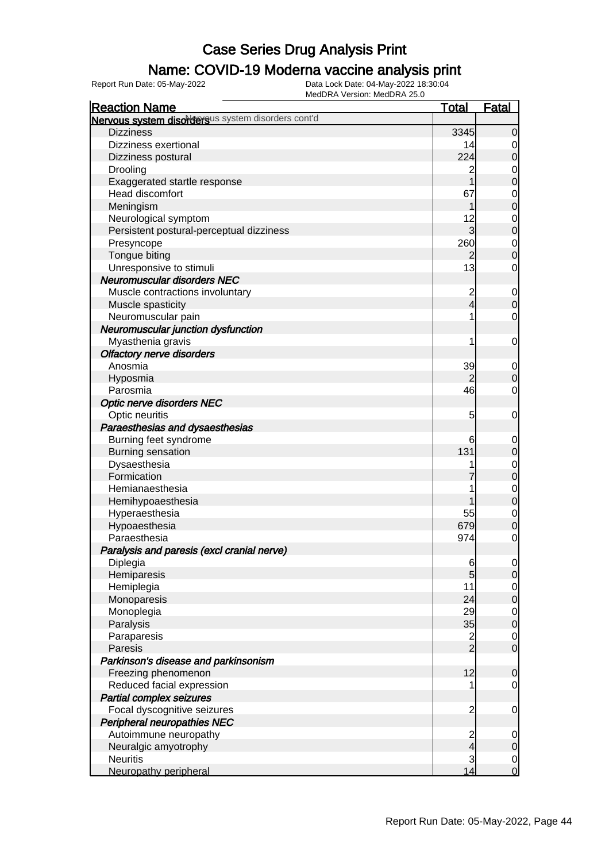### Name: COVID-19 Moderna vaccine analysis print

Report Run Date: 05-May-2022 Data Lock Date: 04-May-2022 18:30:04

| Nervous system disordersus system disorders cont'd<br><b>Dizziness</b><br>3345<br>$\mathbf 0$<br>Dizziness exertional<br>14<br>0<br>224<br>$\boldsymbol{0}$<br>Dizziness postural<br>Drooling<br>2<br>0<br>1<br>Exaggerated startle response<br>$\mathbf 0$<br>Head discomfort<br>67<br>0<br>$\mathbf 0$<br>Meningism<br>12<br>Neurological symptom<br>0<br>3<br>$\boldsymbol{0}$<br>Persistent postural-perceptual dizziness<br>260<br>Presyncope<br>0<br>Tongue biting<br>$\mathbf 0$<br>2<br>13<br>Unresponsive to stimuli<br>0<br><b>Neuromuscular disorders NEC</b><br>Muscle contractions involuntary<br>$\overline{\mathbf{c}}$<br>$\mathbf 0$<br>4<br>$\boldsymbol{0}$<br>Muscle spasticity<br>Neuromuscular pain<br>$\mathbf 0$<br>Neuromuscular junction dysfunction<br>Myasthenia gravis<br>1<br>0<br><b>Olfactory nerve disorders</b><br>Anosmia<br>39<br>0<br>$\overline{2}$<br>Hyposmia<br>$\mathbf 0$<br>46<br>Parosmia<br>0<br><b>Optic nerve disorders NEC</b><br>Optic neuritis<br>5<br>0<br>Paraesthesias and dysaesthesias<br>Burning feet syndrome<br>6<br>0<br>131<br><b>Burning sensation</b><br>$\boldsymbol{0}$<br>Dysaesthesia<br>0<br>Formication<br>$\boldsymbol{0}$<br>Hemianaesthesia<br>$\mathbf 0$<br>$\boldsymbol{0}$<br>Hemihypoaesthesia<br>Hyperaesthesia<br>55<br>$\mathbf 0$<br>679<br>Hypoaesthesia<br>$\mathbf 0$<br>Paraesthesia<br>974<br>$\mathbf 0$<br>Paralysis and paresis (excl cranial nerve)<br>Diplegia<br>$6\phantom{.0}$<br>$\overline{0}$<br>5<br>Hemiparesis<br>$\mathbf 0$<br>Hemiplegia<br>11<br>$\overline{0}$<br>24<br>Monoparesis<br>$\boldsymbol{0}$<br>Monoplegia<br>29<br>$\overline{0}$<br>35<br>Paralysis<br>$\boldsymbol{0}$<br>$\frac{2}{2}$<br>Paraparesis<br>$\overline{0}$<br>$\mathbf 0$<br>Paresis<br>Parkinson's disease and parkinsonism<br>12<br>Freezing phenomenon<br>$\mathbf 0$<br>Reduced facial expression<br>$\overline{0}$<br>1<br><b>Partial complex seizures</b><br>Focal dyscognitive seizures<br>$\overline{\mathbf{c}}$<br>$\mathbf 0$<br>Peripheral neuropathies NEC<br>Autoimmune neuropathy<br>$\frac{2}{4}$<br>$\mathbf 0$<br>Neuralgic amyotrophy<br>$\mathbf 0$ | <b>Reaction Name</b> | <b>Total</b> | <b>Fatal</b> |
|--------------------------------------------------------------------------------------------------------------------------------------------------------------------------------------------------------------------------------------------------------------------------------------------------------------------------------------------------------------------------------------------------------------------------------------------------------------------------------------------------------------------------------------------------------------------------------------------------------------------------------------------------------------------------------------------------------------------------------------------------------------------------------------------------------------------------------------------------------------------------------------------------------------------------------------------------------------------------------------------------------------------------------------------------------------------------------------------------------------------------------------------------------------------------------------------------------------------------------------------------------------------------------------------------------------------------------------------------------------------------------------------------------------------------------------------------------------------------------------------------------------------------------------------------------------------------------------------------------------------------------------------------------------------------------------------------------------------------------------------------------------------------------------------------------------------------------------------------------------------------------------------------------------------------------------------------------------------------------------------------------------------------------------------------------------------------------------------------------------------------------------------------------------|----------------------|--------------|--------------|
|                                                                                                                                                                                                                                                                                                                                                                                                                                                                                                                                                                                                                                                                                                                                                                                                                                                                                                                                                                                                                                                                                                                                                                                                                                                                                                                                                                                                                                                                                                                                                                                                                                                                                                                                                                                                                                                                                                                                                                                                                                                                                                                                                              |                      |              |              |
|                                                                                                                                                                                                                                                                                                                                                                                                                                                                                                                                                                                                                                                                                                                                                                                                                                                                                                                                                                                                                                                                                                                                                                                                                                                                                                                                                                                                                                                                                                                                                                                                                                                                                                                                                                                                                                                                                                                                                                                                                                                                                                                                                              |                      |              |              |
|                                                                                                                                                                                                                                                                                                                                                                                                                                                                                                                                                                                                                                                                                                                                                                                                                                                                                                                                                                                                                                                                                                                                                                                                                                                                                                                                                                                                                                                                                                                                                                                                                                                                                                                                                                                                                                                                                                                                                                                                                                                                                                                                                              |                      |              |              |
|                                                                                                                                                                                                                                                                                                                                                                                                                                                                                                                                                                                                                                                                                                                                                                                                                                                                                                                                                                                                                                                                                                                                                                                                                                                                                                                                                                                                                                                                                                                                                                                                                                                                                                                                                                                                                                                                                                                                                                                                                                                                                                                                                              |                      |              |              |
|                                                                                                                                                                                                                                                                                                                                                                                                                                                                                                                                                                                                                                                                                                                                                                                                                                                                                                                                                                                                                                                                                                                                                                                                                                                                                                                                                                                                                                                                                                                                                                                                                                                                                                                                                                                                                                                                                                                                                                                                                                                                                                                                                              |                      |              |              |
|                                                                                                                                                                                                                                                                                                                                                                                                                                                                                                                                                                                                                                                                                                                                                                                                                                                                                                                                                                                                                                                                                                                                                                                                                                                                                                                                                                                                                                                                                                                                                                                                                                                                                                                                                                                                                                                                                                                                                                                                                                                                                                                                                              |                      |              |              |
|                                                                                                                                                                                                                                                                                                                                                                                                                                                                                                                                                                                                                                                                                                                                                                                                                                                                                                                                                                                                                                                                                                                                                                                                                                                                                                                                                                                                                                                                                                                                                                                                                                                                                                                                                                                                                                                                                                                                                                                                                                                                                                                                                              |                      |              |              |
|                                                                                                                                                                                                                                                                                                                                                                                                                                                                                                                                                                                                                                                                                                                                                                                                                                                                                                                                                                                                                                                                                                                                                                                                                                                                                                                                                                                                                                                                                                                                                                                                                                                                                                                                                                                                                                                                                                                                                                                                                                                                                                                                                              |                      |              |              |
|                                                                                                                                                                                                                                                                                                                                                                                                                                                                                                                                                                                                                                                                                                                                                                                                                                                                                                                                                                                                                                                                                                                                                                                                                                                                                                                                                                                                                                                                                                                                                                                                                                                                                                                                                                                                                                                                                                                                                                                                                                                                                                                                                              |                      |              |              |
|                                                                                                                                                                                                                                                                                                                                                                                                                                                                                                                                                                                                                                                                                                                                                                                                                                                                                                                                                                                                                                                                                                                                                                                                                                                                                                                                                                                                                                                                                                                                                                                                                                                                                                                                                                                                                                                                                                                                                                                                                                                                                                                                                              |                      |              |              |
|                                                                                                                                                                                                                                                                                                                                                                                                                                                                                                                                                                                                                                                                                                                                                                                                                                                                                                                                                                                                                                                                                                                                                                                                                                                                                                                                                                                                                                                                                                                                                                                                                                                                                                                                                                                                                                                                                                                                                                                                                                                                                                                                                              |                      |              |              |
|                                                                                                                                                                                                                                                                                                                                                                                                                                                                                                                                                                                                                                                                                                                                                                                                                                                                                                                                                                                                                                                                                                                                                                                                                                                                                                                                                                                                                                                                                                                                                                                                                                                                                                                                                                                                                                                                                                                                                                                                                                                                                                                                                              |                      |              |              |
|                                                                                                                                                                                                                                                                                                                                                                                                                                                                                                                                                                                                                                                                                                                                                                                                                                                                                                                                                                                                                                                                                                                                                                                                                                                                                                                                                                                                                                                                                                                                                                                                                                                                                                                                                                                                                                                                                                                                                                                                                                                                                                                                                              |                      |              |              |
|                                                                                                                                                                                                                                                                                                                                                                                                                                                                                                                                                                                                                                                                                                                                                                                                                                                                                                                                                                                                                                                                                                                                                                                                                                                                                                                                                                                                                                                                                                                                                                                                                                                                                                                                                                                                                                                                                                                                                                                                                                                                                                                                                              |                      |              |              |
|                                                                                                                                                                                                                                                                                                                                                                                                                                                                                                                                                                                                                                                                                                                                                                                                                                                                                                                                                                                                                                                                                                                                                                                                                                                                                                                                                                                                                                                                                                                                                                                                                                                                                                                                                                                                                                                                                                                                                                                                                                                                                                                                                              |                      |              |              |
|                                                                                                                                                                                                                                                                                                                                                                                                                                                                                                                                                                                                                                                                                                                                                                                                                                                                                                                                                                                                                                                                                                                                                                                                                                                                                                                                                                                                                                                                                                                                                                                                                                                                                                                                                                                                                                                                                                                                                                                                                                                                                                                                                              |                      |              |              |
|                                                                                                                                                                                                                                                                                                                                                                                                                                                                                                                                                                                                                                                                                                                                                                                                                                                                                                                                                                                                                                                                                                                                                                                                                                                                                                                                                                                                                                                                                                                                                                                                                                                                                                                                                                                                                                                                                                                                                                                                                                                                                                                                                              |                      |              |              |
|                                                                                                                                                                                                                                                                                                                                                                                                                                                                                                                                                                                                                                                                                                                                                                                                                                                                                                                                                                                                                                                                                                                                                                                                                                                                                                                                                                                                                                                                                                                                                                                                                                                                                                                                                                                                                                                                                                                                                                                                                                                                                                                                                              |                      |              |              |
|                                                                                                                                                                                                                                                                                                                                                                                                                                                                                                                                                                                                                                                                                                                                                                                                                                                                                                                                                                                                                                                                                                                                                                                                                                                                                                                                                                                                                                                                                                                                                                                                                                                                                                                                                                                                                                                                                                                                                                                                                                                                                                                                                              |                      |              |              |
|                                                                                                                                                                                                                                                                                                                                                                                                                                                                                                                                                                                                                                                                                                                                                                                                                                                                                                                                                                                                                                                                                                                                                                                                                                                                                                                                                                                                                                                                                                                                                                                                                                                                                                                                                                                                                                                                                                                                                                                                                                                                                                                                                              |                      |              |              |
|                                                                                                                                                                                                                                                                                                                                                                                                                                                                                                                                                                                                                                                                                                                                                                                                                                                                                                                                                                                                                                                                                                                                                                                                                                                                                                                                                                                                                                                                                                                                                                                                                                                                                                                                                                                                                                                                                                                                                                                                                                                                                                                                                              |                      |              |              |
|                                                                                                                                                                                                                                                                                                                                                                                                                                                                                                                                                                                                                                                                                                                                                                                                                                                                                                                                                                                                                                                                                                                                                                                                                                                                                                                                                                                                                                                                                                                                                                                                                                                                                                                                                                                                                                                                                                                                                                                                                                                                                                                                                              |                      |              |              |
|                                                                                                                                                                                                                                                                                                                                                                                                                                                                                                                                                                                                                                                                                                                                                                                                                                                                                                                                                                                                                                                                                                                                                                                                                                                                                                                                                                                                                                                                                                                                                                                                                                                                                                                                                                                                                                                                                                                                                                                                                                                                                                                                                              |                      |              |              |
|                                                                                                                                                                                                                                                                                                                                                                                                                                                                                                                                                                                                                                                                                                                                                                                                                                                                                                                                                                                                                                                                                                                                                                                                                                                                                                                                                                                                                                                                                                                                                                                                                                                                                                                                                                                                                                                                                                                                                                                                                                                                                                                                                              |                      |              |              |
|                                                                                                                                                                                                                                                                                                                                                                                                                                                                                                                                                                                                                                                                                                                                                                                                                                                                                                                                                                                                                                                                                                                                                                                                                                                                                                                                                                                                                                                                                                                                                                                                                                                                                                                                                                                                                                                                                                                                                                                                                                                                                                                                                              |                      |              |              |
|                                                                                                                                                                                                                                                                                                                                                                                                                                                                                                                                                                                                                                                                                                                                                                                                                                                                                                                                                                                                                                                                                                                                                                                                                                                                                                                                                                                                                                                                                                                                                                                                                                                                                                                                                                                                                                                                                                                                                                                                                                                                                                                                                              |                      |              |              |
|                                                                                                                                                                                                                                                                                                                                                                                                                                                                                                                                                                                                                                                                                                                                                                                                                                                                                                                                                                                                                                                                                                                                                                                                                                                                                                                                                                                                                                                                                                                                                                                                                                                                                                                                                                                                                                                                                                                                                                                                                                                                                                                                                              |                      |              |              |
|                                                                                                                                                                                                                                                                                                                                                                                                                                                                                                                                                                                                                                                                                                                                                                                                                                                                                                                                                                                                                                                                                                                                                                                                                                                                                                                                                                                                                                                                                                                                                                                                                                                                                                                                                                                                                                                                                                                                                                                                                                                                                                                                                              |                      |              |              |
|                                                                                                                                                                                                                                                                                                                                                                                                                                                                                                                                                                                                                                                                                                                                                                                                                                                                                                                                                                                                                                                                                                                                                                                                                                                                                                                                                                                                                                                                                                                                                                                                                                                                                                                                                                                                                                                                                                                                                                                                                                                                                                                                                              |                      |              |              |
|                                                                                                                                                                                                                                                                                                                                                                                                                                                                                                                                                                                                                                                                                                                                                                                                                                                                                                                                                                                                                                                                                                                                                                                                                                                                                                                                                                                                                                                                                                                                                                                                                                                                                                                                                                                                                                                                                                                                                                                                                                                                                                                                                              |                      |              |              |
|                                                                                                                                                                                                                                                                                                                                                                                                                                                                                                                                                                                                                                                                                                                                                                                                                                                                                                                                                                                                                                                                                                                                                                                                                                                                                                                                                                                                                                                                                                                                                                                                                                                                                                                                                                                                                                                                                                                                                                                                                                                                                                                                                              |                      |              |              |
|                                                                                                                                                                                                                                                                                                                                                                                                                                                                                                                                                                                                                                                                                                                                                                                                                                                                                                                                                                                                                                                                                                                                                                                                                                                                                                                                                                                                                                                                                                                                                                                                                                                                                                                                                                                                                                                                                                                                                                                                                                                                                                                                                              |                      |              |              |
|                                                                                                                                                                                                                                                                                                                                                                                                                                                                                                                                                                                                                                                                                                                                                                                                                                                                                                                                                                                                                                                                                                                                                                                                                                                                                                                                                                                                                                                                                                                                                                                                                                                                                                                                                                                                                                                                                                                                                                                                                                                                                                                                                              |                      |              |              |
|                                                                                                                                                                                                                                                                                                                                                                                                                                                                                                                                                                                                                                                                                                                                                                                                                                                                                                                                                                                                                                                                                                                                                                                                                                                                                                                                                                                                                                                                                                                                                                                                                                                                                                                                                                                                                                                                                                                                                                                                                                                                                                                                                              |                      |              |              |
|                                                                                                                                                                                                                                                                                                                                                                                                                                                                                                                                                                                                                                                                                                                                                                                                                                                                                                                                                                                                                                                                                                                                                                                                                                                                                                                                                                                                                                                                                                                                                                                                                                                                                                                                                                                                                                                                                                                                                                                                                                                                                                                                                              |                      |              |              |
|                                                                                                                                                                                                                                                                                                                                                                                                                                                                                                                                                                                                                                                                                                                                                                                                                                                                                                                                                                                                                                                                                                                                                                                                                                                                                                                                                                                                                                                                                                                                                                                                                                                                                                                                                                                                                                                                                                                                                                                                                                                                                                                                                              |                      |              |              |
|                                                                                                                                                                                                                                                                                                                                                                                                                                                                                                                                                                                                                                                                                                                                                                                                                                                                                                                                                                                                                                                                                                                                                                                                                                                                                                                                                                                                                                                                                                                                                                                                                                                                                                                                                                                                                                                                                                                                                                                                                                                                                                                                                              |                      |              |              |
|                                                                                                                                                                                                                                                                                                                                                                                                                                                                                                                                                                                                                                                                                                                                                                                                                                                                                                                                                                                                                                                                                                                                                                                                                                                                                                                                                                                                                                                                                                                                                                                                                                                                                                                                                                                                                                                                                                                                                                                                                                                                                                                                                              |                      |              |              |
|                                                                                                                                                                                                                                                                                                                                                                                                                                                                                                                                                                                                                                                                                                                                                                                                                                                                                                                                                                                                                                                                                                                                                                                                                                                                                                                                                                                                                                                                                                                                                                                                                                                                                                                                                                                                                                                                                                                                                                                                                                                                                                                                                              |                      |              |              |
|                                                                                                                                                                                                                                                                                                                                                                                                                                                                                                                                                                                                                                                                                                                                                                                                                                                                                                                                                                                                                                                                                                                                                                                                                                                                                                                                                                                                                                                                                                                                                                                                                                                                                                                                                                                                                                                                                                                                                                                                                                                                                                                                                              |                      |              |              |
|                                                                                                                                                                                                                                                                                                                                                                                                                                                                                                                                                                                                                                                                                                                                                                                                                                                                                                                                                                                                                                                                                                                                                                                                                                                                                                                                                                                                                                                                                                                                                                                                                                                                                                                                                                                                                                                                                                                                                                                                                                                                                                                                                              |                      |              |              |
|                                                                                                                                                                                                                                                                                                                                                                                                                                                                                                                                                                                                                                                                                                                                                                                                                                                                                                                                                                                                                                                                                                                                                                                                                                                                                                                                                                                                                                                                                                                                                                                                                                                                                                                                                                                                                                                                                                                                                                                                                                                                                                                                                              |                      |              |              |
|                                                                                                                                                                                                                                                                                                                                                                                                                                                                                                                                                                                                                                                                                                                                                                                                                                                                                                                                                                                                                                                                                                                                                                                                                                                                                                                                                                                                                                                                                                                                                                                                                                                                                                                                                                                                                                                                                                                                                                                                                                                                                                                                                              |                      |              |              |
|                                                                                                                                                                                                                                                                                                                                                                                                                                                                                                                                                                                                                                                                                                                                                                                                                                                                                                                                                                                                                                                                                                                                                                                                                                                                                                                                                                                                                                                                                                                                                                                                                                                                                                                                                                                                                                                                                                                                                                                                                                                                                                                                                              |                      |              |              |
|                                                                                                                                                                                                                                                                                                                                                                                                                                                                                                                                                                                                                                                                                                                                                                                                                                                                                                                                                                                                                                                                                                                                                                                                                                                                                                                                                                                                                                                                                                                                                                                                                                                                                                                                                                                                                                                                                                                                                                                                                                                                                                                                                              |                      |              |              |
|                                                                                                                                                                                                                                                                                                                                                                                                                                                                                                                                                                                                                                                                                                                                                                                                                                                                                                                                                                                                                                                                                                                                                                                                                                                                                                                                                                                                                                                                                                                                                                                                                                                                                                                                                                                                                                                                                                                                                                                                                                                                                                                                                              |                      |              |              |
|                                                                                                                                                                                                                                                                                                                                                                                                                                                                                                                                                                                                                                                                                                                                                                                                                                                                                                                                                                                                                                                                                                                                                                                                                                                                                                                                                                                                                                                                                                                                                                                                                                                                                                                                                                                                                                                                                                                                                                                                                                                                                                                                                              |                      |              |              |
|                                                                                                                                                                                                                                                                                                                                                                                                                                                                                                                                                                                                                                                                                                                                                                                                                                                                                                                                                                                                                                                                                                                                                                                                                                                                                                                                                                                                                                                                                                                                                                                                                                                                                                                                                                                                                                                                                                                                                                                                                                                                                                                                                              |                      |              |              |
|                                                                                                                                                                                                                                                                                                                                                                                                                                                                                                                                                                                                                                                                                                                                                                                                                                                                                                                                                                                                                                                                                                                                                                                                                                                                                                                                                                                                                                                                                                                                                                                                                                                                                                                                                                                                                                                                                                                                                                                                                                                                                                                                                              |                      |              |              |
|                                                                                                                                                                                                                                                                                                                                                                                                                                                                                                                                                                                                                                                                                                                                                                                                                                                                                                                                                                                                                                                                                                                                                                                                                                                                                                                                                                                                                                                                                                                                                                                                                                                                                                                                                                                                                                                                                                                                                                                                                                                                                                                                                              |                      |              |              |
|                                                                                                                                                                                                                                                                                                                                                                                                                                                                                                                                                                                                                                                                                                                                                                                                                                                                                                                                                                                                                                                                                                                                                                                                                                                                                                                                                                                                                                                                                                                                                                                                                                                                                                                                                                                                                                                                                                                                                                                                                                                                                                                                                              |                      |              |              |
|                                                                                                                                                                                                                                                                                                                                                                                                                                                                                                                                                                                                                                                                                                                                                                                                                                                                                                                                                                                                                                                                                                                                                                                                                                                                                                                                                                                                                                                                                                                                                                                                                                                                                                                                                                                                                                                                                                                                                                                                                                                                                                                                                              |                      |              |              |
|                                                                                                                                                                                                                                                                                                                                                                                                                                                                                                                                                                                                                                                                                                                                                                                                                                                                                                                                                                                                                                                                                                                                                                                                                                                                                                                                                                                                                                                                                                                                                                                                                                                                                                                                                                                                                                                                                                                                                                                                                                                                                                                                                              | <b>Neuritis</b>      | 3            |              |
| $\overline{0}$<br>Neuropathy peripheral<br>$\overline{0}$<br>14                                                                                                                                                                                                                                                                                                                                                                                                                                                                                                                                                                                                                                                                                                                                                                                                                                                                                                                                                                                                                                                                                                                                                                                                                                                                                                                                                                                                                                                                                                                                                                                                                                                                                                                                                                                                                                                                                                                                                                                                                                                                                              |                      |              |              |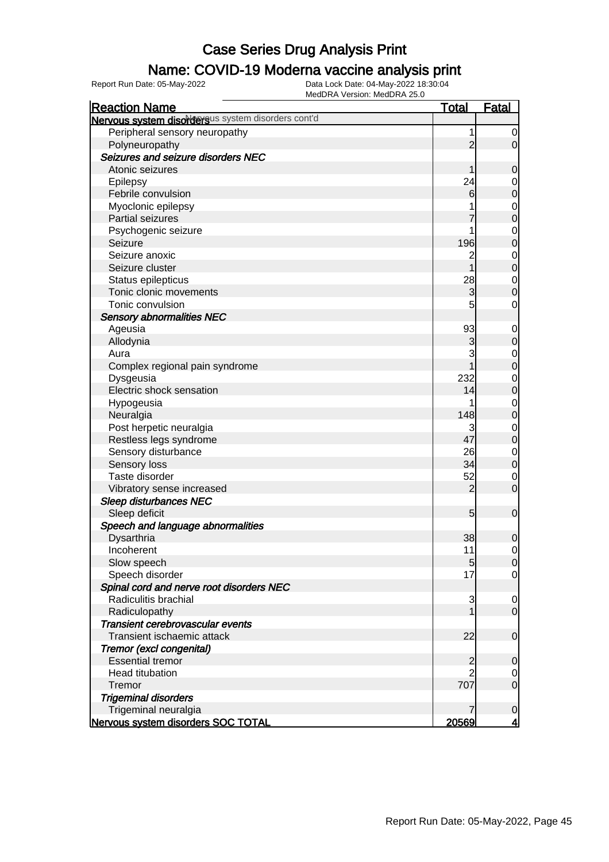### Name: COVID-19 Moderna vaccine analysis print

| <b>Reaction Name</b>                               | <u>Total</u>    | <b>Fatal</b>            |
|----------------------------------------------------|-----------------|-------------------------|
| Nervous system disordersus system disorders cont'd |                 |                         |
| Peripheral sensory neuropathy                      | 1               | $\overline{0}$          |
| Polyneuropathy                                     | $\overline{2}$  | $\overline{0}$          |
| Seizures and seizure disorders NEC                 |                 |                         |
| Atonic seizures                                    |                 | $\mathbf 0$             |
| Epilepsy                                           | 24              | $\mathbf 0$             |
| Febrile convulsion                                 | 6               | $\mathbf 0$             |
| Myoclonic epilepsy                                 |                 | $\mathbf 0$             |
| <b>Partial seizures</b>                            |                 | $\mathbf 0$             |
| Psychogenic seizure                                |                 | $\mathbf 0$             |
| Seizure                                            | 196             | $\mathbf 0$             |
| Seizure anoxic                                     | $\overline{c}$  | $\mathbf 0$             |
| Seizure cluster                                    |                 | $\mathbf 0$             |
| Status epilepticus                                 | 28              | $\mathbf 0$             |
| Tonic clonic movements                             | 3               | $\mathbf 0$             |
| Tonic convulsion                                   | 5               | $\mathbf 0$             |
| <b>Sensory abnormalities NEC</b>                   |                 |                         |
| Ageusia                                            | 93              | $\mathbf 0$             |
| Allodynia                                          | 3               | $\mathbf 0$             |
| Aura                                               | 3               | $\mathbf 0$             |
| Complex regional pain syndrome                     |                 | $\mathbf 0$             |
| Dysgeusia                                          | 232             | $\mathbf 0$             |
| Electric shock sensation                           | 14              | $\overline{0}$          |
| Hypogeusia                                         |                 | $\mathbf 0$             |
| Neuralgia                                          | 148             | $\mathbf 0$             |
| Post herpetic neuralgia                            | 3               | $\mathbf 0$             |
| Restless legs syndrome                             | 47              | $\mathbf 0$             |
| Sensory disturbance                                | 26              | $\mathbf 0$             |
| Sensory loss                                       | 34              | $\mathbf 0$             |
| Taste disorder                                     | 52              | 0                       |
| Vibratory sense increased                          | $\overline{2}$  | $\mathbf 0$             |
| <b>Sleep disturbances NEC</b>                      |                 |                         |
| Sleep deficit                                      | $5\overline{)}$ | $\boldsymbol{0}$        |
| Speech and language abnormalities                  |                 |                         |
| Dysarthria                                         | 38              | $\mathbf 0$             |
| Incoherent                                         | 11              | 0                       |
| Slow speech                                        | $5\overline{)}$ | 0                       |
| Speech disorder                                    | 17              | $\overline{0}$          |
| Spinal cord and nerve root disorders NEC           |                 |                         |
| Radiculitis brachial                               | 3               | $\overline{0}$          |
| Radiculopathy                                      |                 | $\mathbf 0$             |
| Transient cerebrovascular events                   |                 |                         |
| Transient ischaemic attack                         | 22              | $\mathbf 0$             |
| Tremor (excl congenital)                           |                 |                         |
| <b>Essential tremor</b>                            | $\overline{c}$  | $\overline{0}$          |
| <b>Head titubation</b>                             |                 | $\overline{0}$          |
| Tremor                                             | 707             | $\overline{0}$          |
| <b>Trigeminal disorders</b>                        |                 |                         |
| Trigeminal neuralgia                               |                 | $\overline{0}$          |
| Nervous system disorders SOC TOTAL                 | 20569           | $\overline{\mathbf{4}}$ |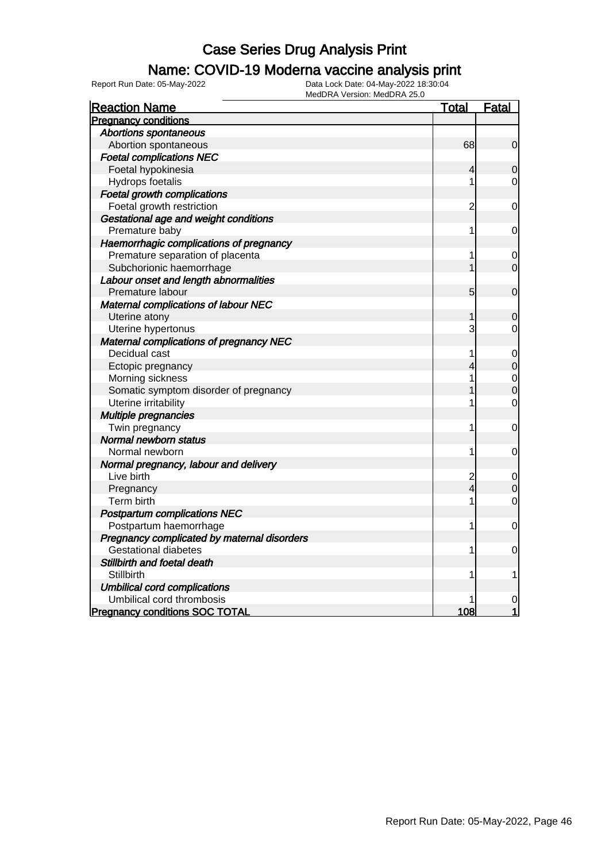### Name: COVID-19 Moderna vaccine analysis print

Report Run Date: 05-May-2022 Data Lock Date: 04-May-2022 18:30:04

| <b>Reaction Name</b>                           | <u>Total</u>    | <b>Fatal</b>   |
|------------------------------------------------|-----------------|----------------|
| <b>Pregnancy conditions</b>                    |                 |                |
| <b>Abortions spontaneous</b>                   |                 |                |
| Abortion spontaneous                           | 68              | $\mathbf 0$    |
| <b>Foetal complications NEC</b>                |                 |                |
| Foetal hypokinesia                             | 4               | 0              |
| Hydrops foetalis                               | 1               | 0              |
| <b>Foetal growth complications</b>             |                 |                |
| Foetal growth restriction                      | $\overline{c}$  | 0              |
| Gestational age and weight conditions          |                 |                |
| Premature baby                                 | 1               | 0              |
| Haemorrhagic complications of pregnancy        |                 |                |
| Premature separation of placenta               | 1               | $\mathbf 0$    |
| Subchorionic haemorrhage                       |                 | $\overline{0}$ |
| Labour onset and length abnormalities          |                 |                |
| Premature labour                               | $5\overline{)}$ | $\mathbf 0$    |
| <b>Maternal complications of labour NEC</b>    |                 |                |
| Uterine atony                                  | 1               | 0              |
| Uterine hypertonus                             | 3               | 0              |
| <b>Maternal complications of pregnancy NEC</b> |                 |                |
| Decidual cast                                  | 1               | $\mathbf 0$    |
| Ectopic pregnancy                              | 4               | $\mathbf 0$    |
| Morning sickness                               | 1               | $\mathbf 0$    |
| Somatic symptom disorder of pregnancy          |                 | $\overline{0}$ |
| Uterine irritability                           | 1               | $\mathbf 0$    |
| Multiple pregnancies                           |                 |                |
| Twin pregnancy                                 | 1               | 0              |
| Normal newborn status                          |                 |                |
| Normal newborn                                 | 1               | 0              |
| Normal pregnancy, labour and delivery          |                 |                |
| Live birth                                     | $\overline{c}$  | 0              |
| Pregnancy                                      | 4               | $\mathbf 0$    |
| Term birth                                     | 1               | $\mathbf 0$    |
| <b>Postpartum complications NEC</b>            |                 |                |
| Postpartum haemorrhage                         | 1               | 0              |
| Pregnancy complicated by maternal disorders    |                 |                |
| <b>Gestational diabetes</b>                    | 1               | 0              |
| Stillbirth and foetal death                    |                 |                |
| Stillbirth                                     | 1               | 1              |
| <b>Umbilical cord complications</b>            |                 |                |
| Umbilical cord thrombosis                      |                 | 0              |
| <b>Pregnancy conditions SOC TOTAL</b>          | 108             | 1              |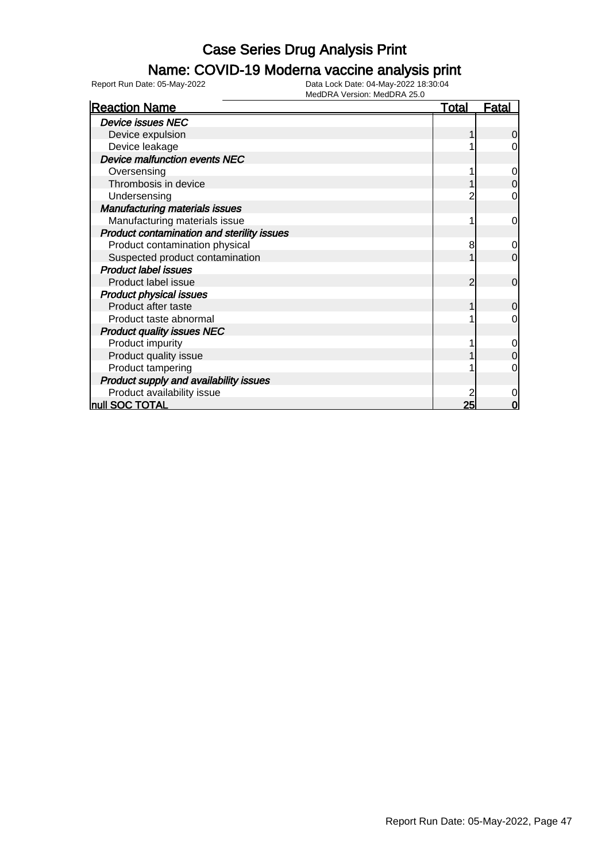### Name: COVID-19 Moderna vaccine analysis print

| <b>Reaction Name</b>                       | <u>Total</u> | <u>Fatal</u>   |
|--------------------------------------------|--------------|----------------|
| <b>Device issues NEC</b>                   |              |                |
| Device expulsion                           |              | 0              |
| Device leakage                             |              | 0              |
| Device malfunction events NEC              |              |                |
| Oversensing                                |              | 0              |
| Thrombosis in device                       |              | $\mathbf 0$    |
| Undersensing                               |              | 0              |
| <b>Manufacturing materials issues</b>      |              |                |
| Manufacturing materials issue              |              | $\mathbf 0$    |
| Product contamination and sterility issues |              |                |
| Product contamination physical             | 8            | $\mathbf 0$    |
| Suspected product contamination            |              | $\overline{0}$ |
| <b>Product label issues</b>                |              |                |
| Product label issue                        | 2            | $\overline{0}$ |
| <b>Product physical issues</b>             |              |                |
| Product after taste                        |              | $\overline{0}$ |
| Product taste abnormal                     |              | 0              |
| <b>Product quality issues NEC</b>          |              |                |
| Product impurity                           |              | $\mathbf 0$    |
| Product quality issue                      |              | $\mathbf 0$    |
| Product tampering                          |              | 0              |
| Product supply and availability issues     |              |                |
| Product availability issue                 |              | 0              |
| null SOC TOTAL                             | 25           | 0              |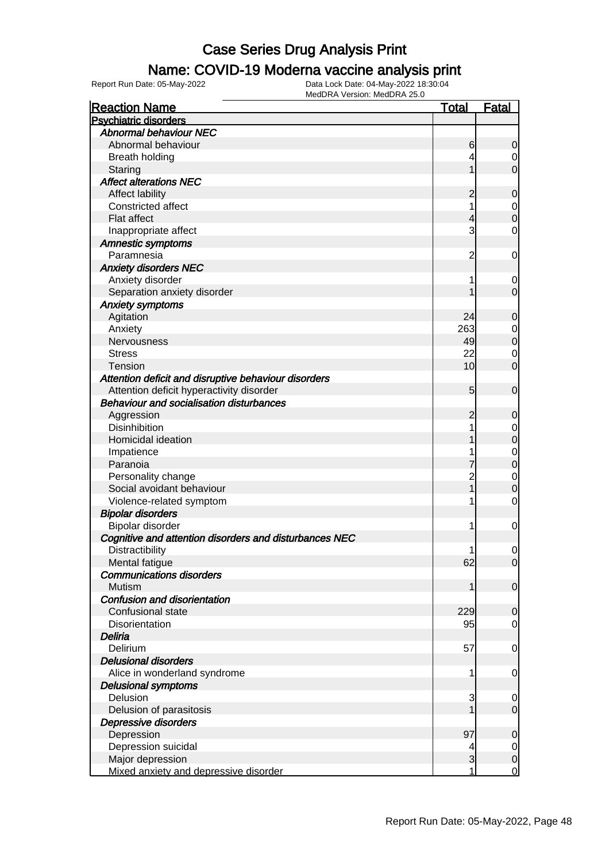### Name: COVID-19 Moderna vaccine analysis print

| <b>Reaction Name</b>                                   | <u>Total</u>   | <b>Fatal</b>   |
|--------------------------------------------------------|----------------|----------------|
| <b>Psychiatric disorders</b>                           |                |                |
| <b>Abnormal behaviour NEC</b>                          |                |                |
| Abnormal behaviour                                     | 6              | 0              |
| <b>Breath holding</b>                                  | 4              | 0              |
| Staring                                                |                | $\Omega$       |
| <b>Affect alterations NEC</b>                          |                |                |
| Affect lability                                        | 2              | 0              |
| Constricted affect                                     | 1              | $\mathbf 0$    |
| Flat affect                                            | 4              | $\Omega$       |
| Inappropriate affect                                   | 3              | 0              |
| <b>Amnestic symptoms</b>                               |                |                |
| Paramnesia                                             | $\overline{c}$ | 0              |
| <b>Anxiety disorders NEC</b>                           |                |                |
| Anxiety disorder                                       | 1              | 0              |
| Separation anxiety disorder                            |                | $\mathbf 0$    |
| <b>Anxiety symptoms</b>                                |                |                |
| Agitation                                              | 24             | 0              |
| Anxiety                                                | 263            | $\mathbf 0$    |
| Nervousness                                            | 49             | $\mathbf 0$    |
| <b>Stress</b>                                          | 22             | 0              |
| <b>Tension</b>                                         | 10             | 0              |
| Attention deficit and disruptive behaviour disorders   |                |                |
| Attention deficit hyperactivity disorder               | 5              | $\mathbf 0$    |
| <b>Behaviour and socialisation disturbances</b>        |                |                |
|                                                        |                |                |
| Aggression                                             | 2              | 0              |
| <b>Disinhibition</b>                                   | 1              | 0              |
| Homicidal ideation                                     |                | 0              |
| Impatience                                             |                | 0              |
| Paranoia                                               |                | 0              |
| Personality change                                     | $\overline{c}$ | 0              |
| Social avoidant behaviour                              |                | 0              |
| Violence-related symptom                               | 1              | 0              |
| <b>Bipolar disorders</b>                               |                |                |
| Bipolar disorder                                       | 1              | 0              |
| Cognitive and attention disorders and disturbances NEC |                |                |
| Distractibility                                        | 1              | 0              |
| Mental fatigue                                         | 62             | $\overline{0}$ |
| <b>Communications disorders</b>                        |                |                |
| Mutism                                                 | 1              | $\overline{0}$ |
| Confusion and disorientation                           |                |                |
| Confusional state                                      | 229            | $\overline{0}$ |
| <b>Disorientation</b>                                  | 95             | 0              |
| Deliria                                                |                |                |
| Delirium                                               | 57             | 0              |
| <b>Delusional disorders</b>                            |                |                |
| Alice in wonderland syndrome                           | 1              | $\mathbf 0$    |
| <b>Delusional symptoms</b>                             |                |                |
| Delusion                                               | 3              | 0              |
| Delusion of parasitosis                                |                | 0              |
| Depressive disorders                                   |                |                |
| Depression                                             | 97             | 0              |
| Depression suicidal                                    | 4              | $\overline{0}$ |
| Major depression                                       | 3              | $\mathbf 0$    |
| Mixed anxiety and depressive disorder                  | 1              | $\mathbf 0$    |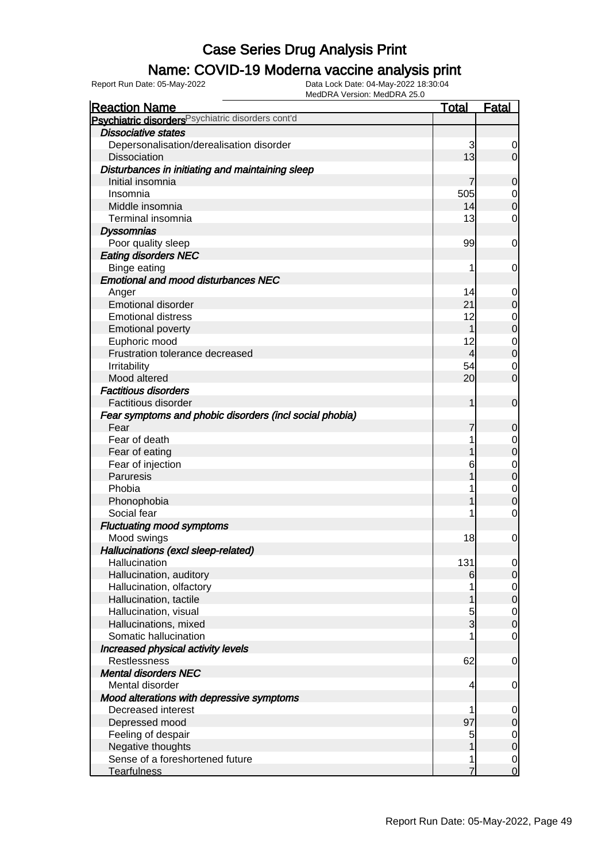### Name: COVID-19 Moderna vaccine analysis print

Report Run Date: 05-May-2022 Data Lock Date: 04-May-2022 18:30:04

| <b>Reaction Name</b>                                    | <b>Total</b>   | <b>Fatal</b>        |
|---------------------------------------------------------|----------------|---------------------|
| Psychiatric disorders Psychiatric disorders cont'd      |                |                     |
| <b>Dissociative states</b>                              |                |                     |
| Depersonalisation/derealisation disorder                | 3              | 0                   |
| <b>Dissociation</b>                                     | 13             | $\overline{0}$      |
| Disturbances in initiating and maintaining sleep        |                |                     |
| Initial insomnia                                        | 7              | 0                   |
| Insomnia                                                | 505            | $\mathbf 0$         |
| Middle insomnia                                         | 14             | $\mathbf 0$         |
| Terminal insomnia                                       | 13             | 0                   |
| <b>Dyssomnias</b>                                       |                |                     |
| Poor quality sleep                                      | 99             | 0                   |
| <b>Eating disorders NEC</b>                             |                |                     |
| Binge eating                                            | 1              | 0                   |
| <b>Emotional and mood disturbances NEC</b>              |                |                     |
| Anger                                                   | 14             | 0                   |
| <b>Emotional disorder</b>                               | 21             | $\mathbf 0$         |
| <b>Emotional distress</b>                               | 12             | $\mathbf 0$         |
| <b>Emotional poverty</b>                                | 1              | $\overline{0}$      |
| Euphoric mood                                           | 12             | $\mathbf{0}$        |
| Frustration tolerance decreased                         | $\overline{4}$ | $\overline{0}$      |
| Irritability                                            | 54             | $\mathbf 0$         |
| Mood altered                                            | 20             | $\overline{0}$      |
| <b>Factitious disorders</b>                             |                |                     |
| Factitious disorder                                     | 1              | $\mathbf 0$         |
|                                                         |                |                     |
| Fear symptoms and phobic disorders (incl social phobia) |                |                     |
| Fear<br>Fear of death                                   | 7<br>1         | 0                   |
|                                                         |                | $\mathbf 0$         |
| Fear of eating                                          | 1              | $\overline{0}$      |
| Fear of injection                                       | 6              | $\mathbf{0}$        |
| Paruresis                                               | 1              | $\overline{0}$      |
| Phobia                                                  | 1              | $\mathbf 0$         |
| Phonophobia                                             | 1              | $\overline{0}$      |
| Social fear                                             | 1              | $\mathbf 0$         |
| <b>Fluctuating mood symptoms</b>                        |                |                     |
| Mood swings                                             | 18             | $\mathbf{0}$        |
| Hallucinations (excl sleep-related)                     |                |                     |
| Hallucination                                           | 131            | $\overline{0}$      |
| Hallucination, auditory                                 | 6              | $\overline{O}$      |
| Hallucination, olfactory                                |                | $\overline{0}$      |
| Hallucination, tactile                                  | 1              | $\overline{0}$      |
| Hallucination, visual                                   | $\overline{5}$ | $\overline{0}$      |
| Hallucinations, mixed                                   | $\overline{3}$ | $\overline{0}$      |
| Somatic hallucination                                   |                | 0                   |
| Increased physical activity levels                      |                |                     |
| Restlessness                                            | 62             | 0                   |
| <b>Mental disorders NEC</b>                             |                |                     |
| Mental disorder                                         | 4              | $\mathbf 0$         |
| Mood alterations with depressive symptoms               |                |                     |
| Decreased interest                                      | 1              | $\mathbf 0$         |
| Depressed mood                                          | 97             | $\mathsf{O}\xspace$ |
| Feeling of despair                                      | 5              | $\mathbf 0$         |
| Negative thoughts                                       | 1              | $\overline{0}$      |
| Sense of a foreshortened future                         | 1              | $\boldsymbol{0}$    |
| <b>Tearfulness</b>                                      | $\overline{7}$ | $\overline{0}$      |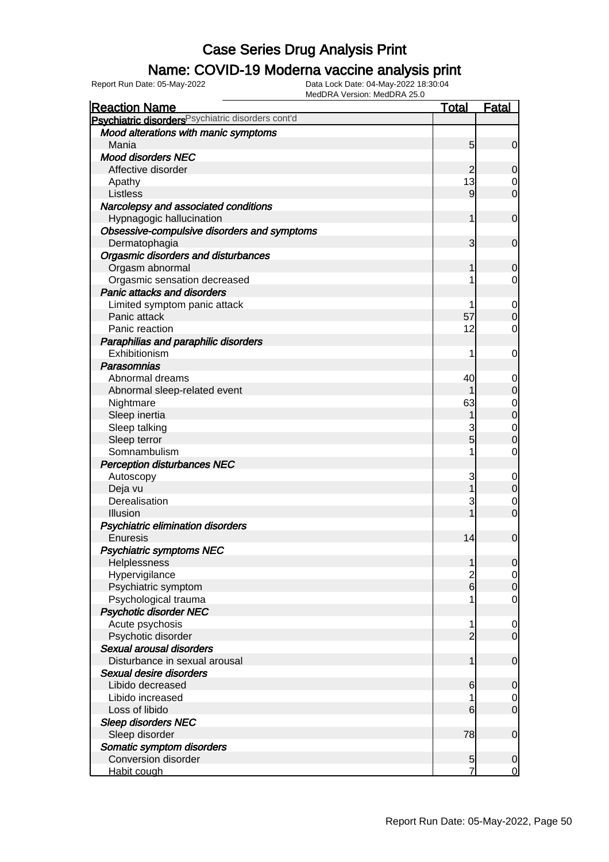### Name: COVID-19 Moderna vaccine analysis print

| <b>Reaction Name</b>                               | <b>Total</b>   | <b>Fatal</b>     |
|----------------------------------------------------|----------------|------------------|
| Psychiatric disorders Psychiatric disorders cont'd |                |                  |
| Mood alterations with manic symptoms               |                |                  |
| Mania                                              | 5              | $\mathbf 0$      |
| <b>Mood disorders NEC</b>                          |                |                  |
| Affective disorder                                 | $\overline{2}$ | 0                |
| Apathy                                             | 13             | 0                |
| Listless                                           | 9              | $\overline{0}$   |
| Narcolepsy and associated conditions               |                |                  |
| Hypnagogic hallucination                           | 1              | $\mathbf 0$      |
| Obsessive-compulsive disorders and symptoms        |                |                  |
| Dermatophagia                                      | 3              | $\mathbf 0$      |
| <b>Orgasmic disorders and disturbances</b>         |                |                  |
| Orgasm abnormal                                    | 1              | 0                |
| Orgasmic sensation decreased                       |                | 0                |
| <b>Panic attacks and disorders</b>                 |                |                  |
| Limited symptom panic attack                       |                | 0                |
| Panic attack                                       | 57             | $\mathbf 0$      |
| Panic reaction                                     | 12             | 0                |
| Paraphilias and paraphilic disorders               |                |                  |
| Exhibitionism                                      | 1              | 0                |
| Parasomnias                                        |                |                  |
| Abnormal dreams                                    | 40             | 0                |
| Abnormal sleep-related event                       |                | $\mathbf 0$      |
| Nightmare                                          | 63             | 0                |
| Sleep inertia                                      |                | $\boldsymbol{0}$ |
| Sleep talking                                      |                | 0                |
| Sleep terror                                       | 5              | $\mathbf 0$      |
| Somnambulism                                       |                | $\mathbf 0$      |
| <b>Perception disturbances NEC</b>                 |                |                  |
| Autoscopy                                          | 3              | 0                |
| Deja vu                                            |                | $\boldsymbol{0}$ |
| Derealisation                                      | 3              | 0                |
| Illusion                                           |                | $\overline{0}$   |
| Psychiatric elimination disorders                  |                |                  |
| Enuresis                                           | 14             | $\mathbf 0$      |
| <b>Psychiatric symptoms NEC</b>                    |                |                  |
| Helplessness                                       | 1              | $\mathbf 0$      |
| Hypervigilance                                     | $\overline{c}$ | $\overline{0}$   |
| Psychiatric symptom                                | $\overline{6}$ | $\mathbf 0$      |
| Psychological trauma                               |                | 0                |
| <b>Psychotic disorder NEC</b>                      |                |                  |
| Acute psychosis                                    | 1              | 0                |
| Psychotic disorder                                 | $\overline{2}$ | $\mathbf 0$      |
| Sexual arousal disorders                           |                |                  |
| Disturbance in sexual arousal                      | 1              | $\mathbf 0$      |
| Sexual desire disorders                            |                |                  |
| Libido decreased                                   | 6              | $\mathbf 0$      |
| Libido increased                                   |                | 0                |
| Loss of libido                                     | 6              | $\overline{0}$   |
| <b>Sleep disorders NEC</b>                         |                |                  |
| Sleep disorder                                     | 78             | $\mathbf 0$      |
| Somatic symptom disorders                          |                |                  |
| <b>Conversion disorder</b>                         | 5              | $\mathbf 0$      |
| Habit cough                                        |                | 0                |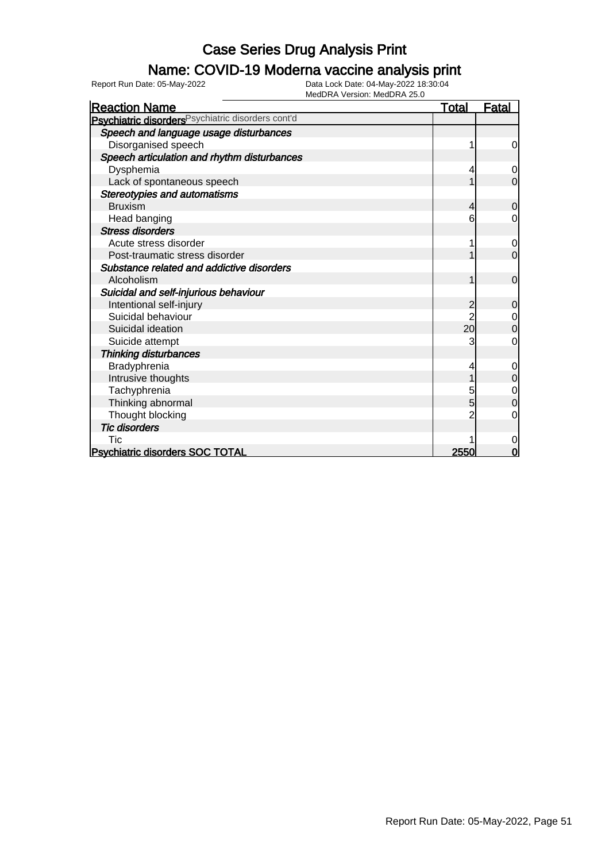### Name: COVID-19 Moderna vaccine analysis print

Report Run Date: 05-May-2022 Data Lock Date: 04-May-2022 18:30:04

| <b>Reaction Name</b>                                          | <u>Total</u>    | <b>Fatal</b>   |
|---------------------------------------------------------------|-----------------|----------------|
| Psychiatric disorders <sup>Psychiatric disorders cont'd</sup> |                 |                |
| Speech and language usage disturbances                        |                 |                |
| Disorganised speech                                           |                 | 0              |
| Speech articulation and rhythm disturbances                   |                 |                |
| Dysphemia                                                     | 4               | $\Omega$       |
| Lack of spontaneous speech                                    |                 | 0              |
| <b>Stereotypies and automatisms</b>                           |                 |                |
| <b>Bruxism</b>                                                | 4               | $\overline{0}$ |
| Head banging                                                  | 6               | 0              |
| <b>Stress disorders</b>                                       |                 |                |
| Acute stress disorder                                         |                 | 0              |
| Post-traumatic stress disorder                                |                 | $\overline{0}$ |
| Substance related and addictive disorders                     |                 |                |
| Alcoholism                                                    | 1               | $\mathbf 0$    |
| Suicidal and self-injurious behaviour                         |                 |                |
| Intentional self-injury                                       | 2               | 0              |
| Suicidal behaviour                                            |                 | 0              |
| Suicidal ideation                                             | 20 <sup>1</sup> | 0              |
| Suicide attempt                                               |                 | 0              |
| <b>Thinking disturbances</b>                                  |                 |                |
| Bradyphrenia                                                  |                 | 0              |
| Intrusive thoughts                                            |                 | 0              |
| Tachyphrenia                                                  | 5               | 0              |
| Thinking abnormal                                             | 5               | $\Omega$       |
| Thought blocking                                              |                 | 0              |
| <b>Tic disorders</b>                                          |                 |                |
| Tic                                                           |                 | 0              |
| <b>Psychiatric disorders SOC TOTAL</b>                        | 2550            | O              |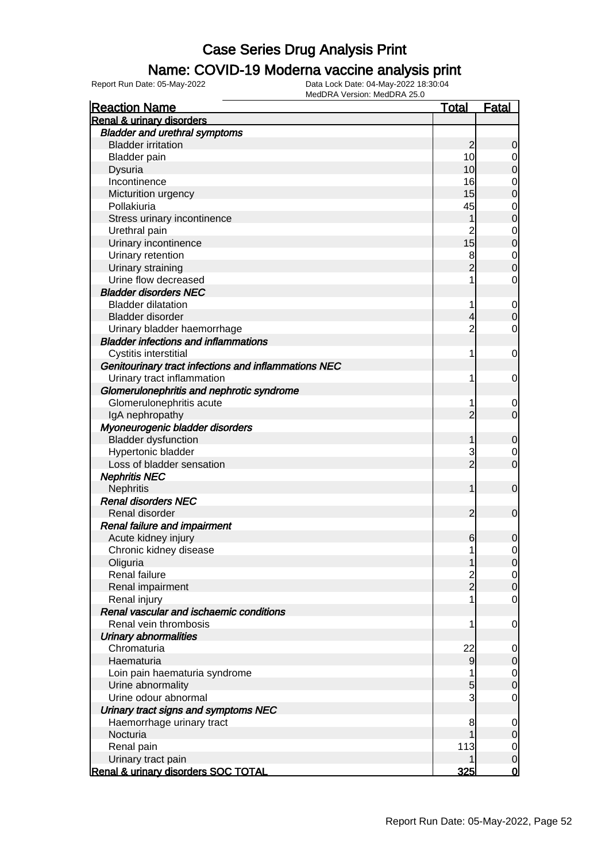#### Name: COVID-19 Moderna vaccine analysis print

| <b>Reaction Name</b>                                 | <u>Total</u>        | <b>Fatal</b> |
|------------------------------------------------------|---------------------|--------------|
| <b>Renal &amp; urinary disorders</b>                 |                     |              |
| <b>Bladder and urethral symptoms</b>                 |                     |              |
| <b>Bladder irritation</b>                            | $\overline{2}$      | 0            |
| <b>Bladder</b> pain                                  | 10                  | 0            |
| Dysuria                                              | 10                  | 0            |
| Incontinence                                         | 16                  | 0            |
| Micturition urgency                                  | 15                  | 0            |
| Pollakiuria                                          | 45                  | $\mathbf 0$  |
| Stress urinary incontinence                          |                     | 0            |
| Urethral pain                                        | $\overline{c}$      | $\mathbf 0$  |
| Urinary incontinence                                 | 15                  | 0            |
| Urinary retention                                    | 8                   | $\mathbf 0$  |
| Urinary straining                                    | $\overline{2}$      | 0            |
| Urine flow decreased                                 |                     | 0            |
| <b>Bladder disorders NEC</b>                         |                     |              |
| <b>Bladder dilatation</b>                            |                     | $\mathbf 0$  |
| Bladder disorder                                     | 4                   | 0            |
| Urinary bladder haemorrhage                          | 2                   | 0            |
| <b>Bladder infections and inflammations</b>          |                     |              |
| Cystitis interstitial                                | 1                   | 0            |
| Genitourinary tract infections and inflammations NEC |                     |              |
| Urinary tract inflammation                           |                     | 0            |
| Glomerulonephritis and nephrotic syndrome            |                     |              |
| Glomerulonephritis acute                             |                     |              |
|                                                      | 2                   | 0<br>0       |
| IgA nephropathy                                      |                     |              |
| Myoneurogenic bladder disorders                      |                     |              |
| <b>Bladder dysfunction</b>                           |                     | 0            |
| Hypertonic bladder                                   | 3<br>$\overline{2}$ | 0            |
| Loss of bladder sensation                            |                     | 0            |
| <b>Nephritis NEC</b>                                 |                     |              |
| <b>Nephritis</b>                                     |                     | $\mathbf 0$  |
| <b>Renal disorders NEC</b>                           |                     |              |
| Renal disorder                                       | 2                   | 0            |
| Renal failure and impairment                         |                     |              |
| Acute kidney injury                                  | 6                   | 0            |
| Chronic kidney disease                               |                     | 0            |
| Oliguria                                             |                     | 0            |
| Renal failure                                        | $\frac{2}{2}$       | 0            |
| Renal impairment                                     |                     | 0            |
| Renal injury                                         |                     | 0            |
| Renal vascular and ischaemic conditions              |                     |              |
| Renal vein thrombosis                                |                     | 0            |
| <b>Urinary abnormalities</b>                         |                     |              |
| Chromaturia                                          | 22                  | 0            |
| Haematuria                                           | 9                   | 0            |
| Loin pain haematuria syndrome                        |                     | 0            |
| Urine abnormality                                    | 5                   | 0            |
| Urine odour abnormal                                 | 3                   | 0            |
| Urinary tract signs and symptoms NEC                 |                     |              |
| Haemorrhage urinary tract                            | 8                   | 0            |
| Nocturia                                             |                     | 0            |
| Renal pain                                           | 113                 | 0            |
| Urinary tract pain                                   |                     | $\mathbf 0$  |
| Renal & urinary disorders SOC TOTAL                  | 325                 | $\bf{0}$     |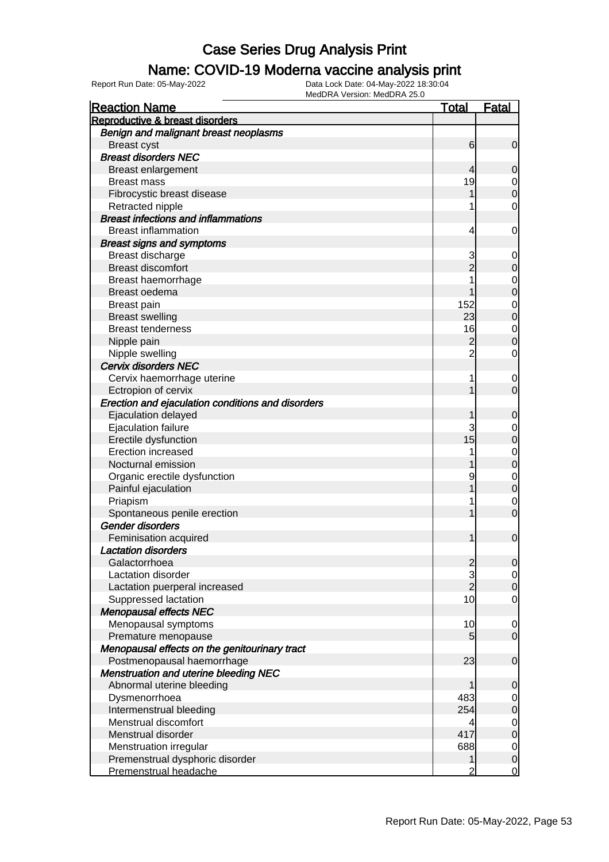#### Name: COVID-19 Moderna vaccine analysis print

| <b>Reaction Name</b>                              | <b>Total</b>   | Fatal       |
|---------------------------------------------------|----------------|-------------|
| Reproductive & breast disorders                   |                |             |
| Benign and malignant breast neoplasms             |                |             |
| <b>Breast cyst</b>                                | 6              | 0           |
| <b>Breast disorders NEC</b>                       |                |             |
| <b>Breast enlargement</b>                         | 4              | 0           |
| <b>Breast mass</b>                                | 19             | 0           |
| Fibrocystic breast disease                        |                | 0           |
| Retracted nipple                                  |                | 0           |
| <b>Breast infections and inflammations</b>        |                |             |
| <b>Breast inflammation</b>                        | 4              | 0           |
| <b>Breast signs and symptoms</b>                  |                |             |
| Breast discharge                                  | 3              | 0           |
| <b>Breast discomfort</b>                          |                | 0           |
| Breast haemorrhage                                |                | 0           |
| Breast oedema                                     |                | 0           |
| Breast pain                                       | 152            | 0           |
| <b>Breast swelling</b>                            | 23             | 0           |
| <b>Breast tenderness</b>                          | 16             | 0           |
| Nipple pain                                       | 2              | 0           |
| Nipple swelling                                   | 2              | 0           |
| Cervix disorders NEC                              |                |             |
| Cervix haemorrhage uterine                        | 1              | 0           |
| Ectropion of cervix                               |                | 0           |
| Erection and ejaculation conditions and disorders |                |             |
| Ejaculation delayed                               |                | 0           |
| Ejaculation failure                               | 3              | 0           |
| Erectile dysfunction                              | 15             | 0           |
| <b>Erection increased</b>                         |                | 0           |
| Nocturnal emission                                |                | 0           |
| Organic erectile dysfunction                      | 9              | 0           |
| Painful ejaculation                               |                | 0           |
| Priapism                                          |                | 0           |
| Spontaneous penile erection                       |                | 0           |
| Gender disorders                                  |                |             |
| Feminisation acquired                             |                | $\mathbf 0$ |
| <b>Lactation disorders</b>                        |                |             |
| Galactorrhoea                                     | $\overline{2}$ | U           |
| Lactation disorder                                | 3              | 0           |
| Lactation puerperal increased                     | $\overline{2}$ | $\Omega$    |
| Suppressed lactation                              | 10             | 0           |
| <b>Menopausal effects NEC</b>                     |                |             |
| Menopausal symptoms                               | 10             | 0           |
| Premature menopause                               | 5              | $\mathbf 0$ |
| Menopausal effects on the genitourinary tract     |                |             |
| Postmenopausal haemorrhage                        | 23             | $\mathbf 0$ |
| <b>Menstruation and uterine bleeding NEC</b>      |                |             |
| Abnormal uterine bleeding                         |                | 0           |
| Dysmenorrhoea                                     | 483            | 0           |
| Intermenstrual bleeding                           | 254            | 0           |
| Menstrual discomfort                              | 4              | 0           |
| Menstrual disorder                                | 417            | 0           |
| Menstruation irregular                            | 688            | 0           |
| Premenstrual dysphoric disorder                   | 1              | $\mathbf 0$ |
| Premenstrual headache                             | 2              | 0           |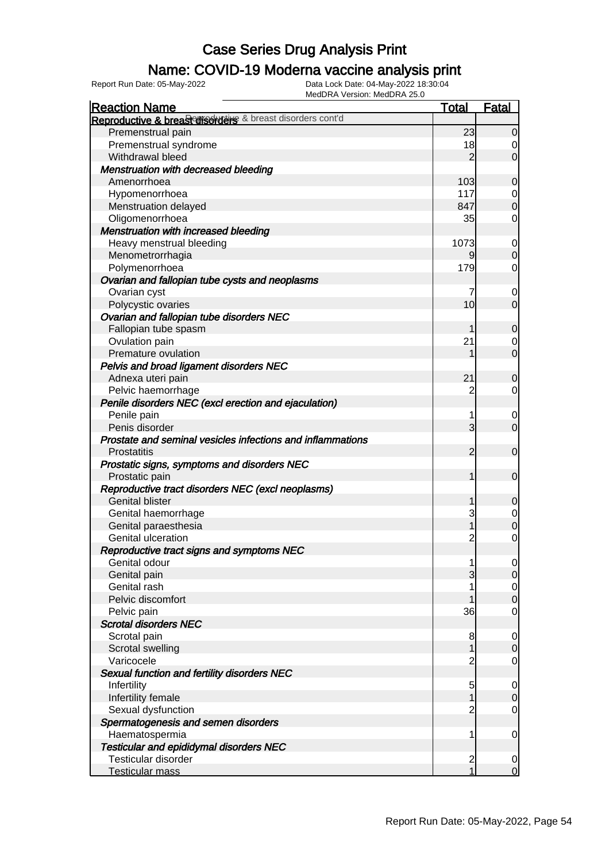### Name: COVID-19 Moderna vaccine analysis print

Report Run Date: 05-May-2022 Data Lock Date: 04-May-2022 18:30:04

| <b>Reaction Name</b>                                       | <b>Total</b>        | Fatal                         |
|------------------------------------------------------------|---------------------|-------------------------------|
| Reproductive & breast disorders & breast disorders cont'd  |                     |                               |
| Premenstrual pain                                          | 23                  | $\overline{0}$                |
| Premenstrual syndrome                                      | 18                  | 0                             |
| Withdrawal bleed                                           | $\overline{2}$      | $\overline{0}$                |
| <b>Menstruation with decreased bleeding</b>                |                     |                               |
| Amenorrhoea                                                | 103                 | $\mathbf 0$                   |
| Hypomenorrhoea                                             | 117                 | $\overline{0}$                |
| Menstruation delayed                                       | 847                 | $\overline{O}$                |
| Oligomenorrhoea                                            | 35                  | 0                             |
| <b>Menstruation with increased bleeding</b>                |                     |                               |
| Heavy menstrual bleeding                                   | 1073                | $\overline{0}$                |
| Menometrorrhagia                                           | 9                   | $\overline{0}$                |
| Polymenorrhoea                                             | 179                 | $\mathbf 0$                   |
| Ovarian and fallopian tube cysts and neoplasms             |                     |                               |
| Ovarian cyst                                               | 7                   | $\mathbf 0$                   |
| Polycystic ovaries                                         | 10                  | $\overline{0}$                |
| Ovarian and fallopian tube disorders NEC                   |                     |                               |
| Fallopian tube spasm                                       |                     | $\mathbf 0$                   |
| Ovulation pain                                             | 21                  | $\mathbf 0$                   |
| Premature ovulation                                        |                     | $\overline{O}$                |
|                                                            |                     |                               |
| Pelvis and broad ligament disorders NEC                    | 21                  |                               |
| Adnexa uteri pain                                          |                     | $\mathbf 0$                   |
| Pelvic haemorrhage                                         | $\overline{c}$      | $\mathbf 0$                   |
| Penile disorders NEC (excl erection and ejaculation)       |                     |                               |
| Penile pain                                                | 1<br>$\overline{3}$ | $\mathbf 0$<br>$\overline{0}$ |
| Penis disorder                                             |                     |                               |
| Prostate and seminal vesicles infections and inflammations |                     |                               |
| <b>Prostatitis</b>                                         | $\overline{2}$      | $\overline{0}$                |
| Prostatic signs, symptoms and disorders NEC                |                     |                               |
| Prostatic pain                                             | 1                   | $\overline{0}$                |
| Reproductive tract disorders NEC (excl neoplasms)          |                     |                               |
| <b>Genital blister</b>                                     | 1                   | $\mathbf 0$                   |
| Genital haemorrhage                                        | 3                   | $\mathbf{0}$                  |
| Genital paraesthesia                                       | 1                   | $\overline{0}$                |
| Genital ulceration                                         | $\overline{c}$      | $\mathbf 0$                   |
| Reproductive tract signs and symptoms NEC                  |                     |                               |
| Genital odour                                              | 1                   | 0                             |
| Genital pain                                               | 3                   | 0                             |
| Genital rash                                               |                     | $\mathbf{0}$                  |
| Pelvic discomfort                                          |                     | $\overline{0}$                |
| Pelvic pain                                                | 36                  | $\mathbf 0$                   |
| <b>Scrotal disorders NEC</b>                               |                     |                               |
| Scrotal pain                                               | 8                   | $\overline{0}$                |
| Scrotal swelling                                           | 1                   | $\mathbf 0$                   |
| Varicocele                                                 | $\overline{c}$      | $\mathbf 0$                   |
| Sexual function and fertility disorders NEC                |                     |                               |
| Infertility                                                | 5                   | $\overline{0}$                |
| Infertility female                                         | 1                   | $\mathbf 0$                   |
| Sexual dysfunction                                         | $\overline{c}$      | $\mathbf 0$                   |
| Spermatogenesis and semen disorders                        |                     |                               |
| Haematospermia                                             | 1                   | $\overline{0}$                |
| <b>Testicular and epididymal disorders NEC</b>             |                     |                               |
| Testicular disorder                                        | $\overline{c}$      | $\overline{0}$                |
| Testicular mass                                            | $\mathbf{1}$        | $\mathbf 0$                   |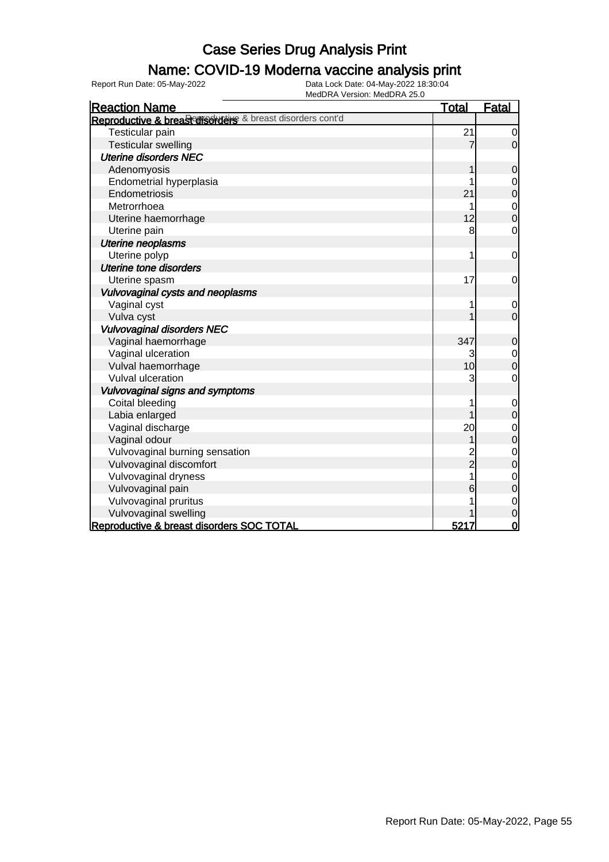### Name: COVID-19 Moderna vaccine analysis print

Report Run Date: 05-May-2022 Data Lock Date: 04-May-2022 18:30:04

| <b>Reaction Name</b>                                      | <b>Total</b> | <b>Fatal</b>     |
|-----------------------------------------------------------|--------------|------------------|
| Reproductive & breast disorders & breast disorders cont'd |              |                  |
| Testicular pain                                           | 21           | 0                |
| <b>Testicular swelling</b>                                | 7            | $\overline{0}$   |
| <b>Uterine disorders NEC</b>                              |              |                  |
| Adenomyosis                                               |              | 0                |
| Endometrial hyperplasia                                   |              | $\mathbf 0$      |
| Endometriosis                                             | 21           | $\overline{0}$   |
| Metrorrhoea                                               |              | $\mathbf{0}$     |
| Uterine haemorrhage                                       | 12           | $\overline{0}$   |
| Uterine pain                                              | 8            | $\mathbf 0$      |
| <b>Uterine neoplasms</b>                                  |              |                  |
| Uterine polyp                                             |              | $\mathbf 0$      |
| Uterine tone disorders                                    |              |                  |
| Uterine spasm                                             | 17           | 0                |
| Vulvovaginal cysts and neoplasms                          |              |                  |
| Vaginal cyst                                              | 1            | $\mathbf 0$      |
| Vulva cyst                                                |              | $\mathbf 0$      |
| <b>Vulvovaginal disorders NEC</b>                         |              |                  |
| Vaginal haemorrhage                                       | 347          | $\boldsymbol{0}$ |
| Vaginal ulceration                                        | 3            | $\mathbf 0$      |
| Vulval haemorrhage                                        | 10           | $\overline{0}$   |
| Vulval ulceration                                         | 3            | $\mathbf 0$      |
| Vulvovaginal signs and symptoms                           |              |                  |
| Coital bleeding                                           |              | $\mathbf 0$      |
| Labia enlarged                                            |              | $\mathbf 0$      |
| Vaginal discharge                                         | 20           | $\mathbf 0$      |
| Vaginal odour                                             | 1            | $\mathbf 0$      |
| Vulvovaginal burning sensation                            |              | $\mathbf 0$      |
| Vulvovaginal discomfort                                   | 2<br>2       | $\mathbf 0$      |
| Vulvovaginal dryness                                      |              | $\mathbf 0$      |
| Vulvovaginal pain                                         | 6            | $\overline{0}$   |
| Vulvovaginal pruritus                                     |              | $\mathbf{0}$     |
| Vulvovaginal swelling                                     |              | $\mathbf 0$      |
| Reproductive & breast disorders SOC TOTAL                 | 5217         | $\overline{0}$   |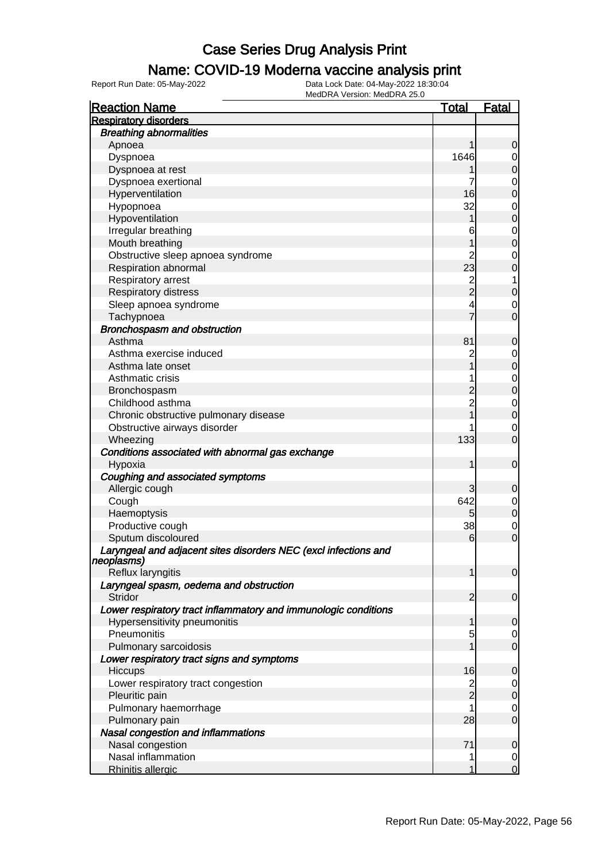### Name: COVID-19 Moderna vaccine analysis print

Report Run Date: 05-May-2022 Data Lock Date: 04-May-2022 18:30:04

| <b>Reaction Name</b>                                                          | <u>Total</u>   | <u>Fatal</u>   |
|-------------------------------------------------------------------------------|----------------|----------------|
| <b>Respiratory disorders</b>                                                  |                |                |
| <b>Breathing abnormalities</b>                                                |                |                |
| Apnoea                                                                        |                | 0              |
| Dyspnoea                                                                      | 1646           |                |
| Dyspnoea at rest                                                              |                | 0              |
| Dyspnoea exertional                                                           | 7              | 0              |
| Hyperventilation                                                              | 16             | 0              |
| Hypopnoea                                                                     | 32             | 0              |
| Hypoventilation                                                               |                | 0              |
| Irregular breathing                                                           | 6              | 0              |
| Mouth breathing                                                               |                | 0              |
| Obstructive sleep apnoea syndrome                                             | $\overline{c}$ | 0              |
| Respiration abnormal                                                          | 23             | 0              |
| Respiratory arrest                                                            |                | 1              |
| Respiratory distress                                                          | 2<br>2         | 0              |
| Sleep apnoea syndrome                                                         | 4              | 0              |
| Tachypnoea                                                                    |                | 0              |
| Bronchospasm and obstruction                                                  |                |                |
| Asthma                                                                        | 81             | 0              |
| Asthma exercise induced                                                       | $\overline{c}$ | 0              |
| Asthma late onset                                                             |                | 0              |
| Asthmatic crisis                                                              | 1              | 0              |
| Bronchospasm                                                                  |                | 0              |
| Childhood asthma                                                              | $\overline{c}$ | 0              |
| Chronic obstructive pulmonary disease                                         |                | $\overline{0}$ |
| Obstructive airways disorder                                                  |                | 0              |
| Wheezing                                                                      | 133            | 0              |
| Conditions associated with abnormal gas exchange                              |                |                |
| Hypoxia                                                                       |                | $\mathbf 0$    |
| Coughing and associated symptoms                                              |                |                |
| Allergic cough                                                                | 3              | 0              |
| Cough                                                                         | 642            | $\mathbf 0$    |
| Haemoptysis                                                                   | 5              | $\mathbf 0$    |
| Productive cough                                                              | 38             | 0              |
| Sputum discoloured                                                            | 6              | 0              |
| Laryngeal and adjacent sites disorders NEC (excl infections and<br>neopiasms) |                |                |
| Reflux laryngitis                                                             |                | $\overline{0}$ |
| Laryngeal spasm, oedema and obstruction                                       |                |                |
| Stridor                                                                       | 2              | $\overline{0}$ |
| Lower respiratory tract inflammatory and immunologic conditions               |                |                |
| Hypersensitivity pneumonitis                                                  | 1              | $\overline{0}$ |
| Pneumonitis                                                                   | 5              | 0              |
| Pulmonary sarcoidosis                                                         |                | $\mathbf 0$    |
| Lower respiratory tract signs and symptoms                                    |                |                |
| Hiccups                                                                       | 16             | $\mathbf 0$    |
| Lower respiratory tract congestion                                            | $\overline{c}$ | 0              |
| Pleuritic pain                                                                | $\overline{2}$ | $\overline{0}$ |
| Pulmonary haemorrhage                                                         |                | 0              |
| Pulmonary pain                                                                | 28             | $\mathbf 0$    |
| Nasal congestion and inflammations                                            |                |                |
| Nasal congestion                                                              | 71             | 0              |
| Nasal inflammation                                                            | 1              | 0              |
| <b>Rhinitis allergic</b>                                                      | 1              | $\overline{0}$ |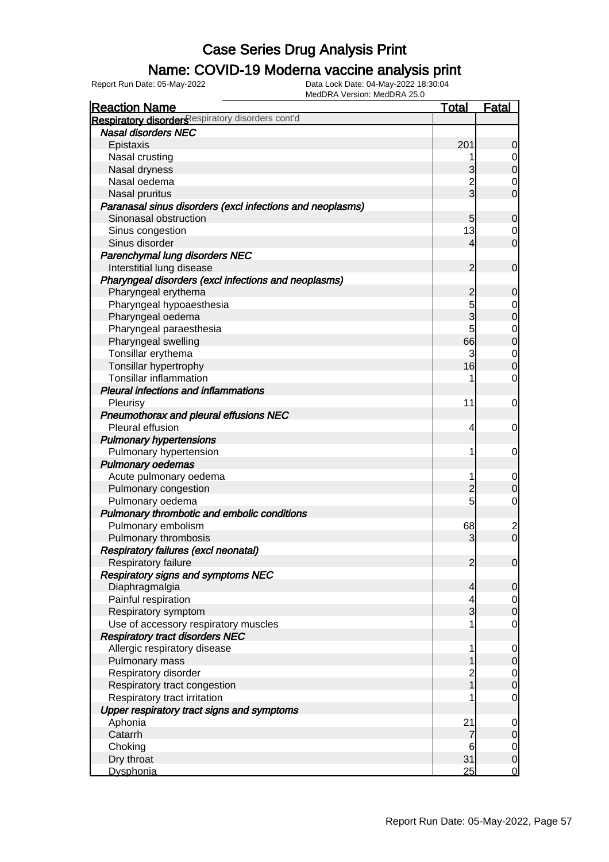### Name: COVID-19 Moderna vaccine analysis print

| <b>Reaction Name</b>                                      | <b>Total</b>   | <b>Fatal</b>                  |
|-----------------------------------------------------------|----------------|-------------------------------|
| Respiratory disorders espiratory disorders cont'd         |                |                               |
| <b>Nasal disorders NEC</b>                                |                |                               |
| Epistaxis                                                 | 201            | $\mathbf 0$                   |
| Nasal crusting                                            |                | $\overline{0}$                |
| Nasal dryness                                             | 3              | $\overline{0}$                |
| Nasal oedema                                              | $\overline{c}$ | 0                             |
| Nasal pruritus                                            | $\overline{3}$ | $\overline{0}$                |
| Paranasal sinus disorders (excl infections and neoplasms) |                |                               |
| Sinonasal obstruction                                     | 5              | $\mathbf 0$                   |
| Sinus congestion                                          | 13             | 0                             |
| Sinus disorder                                            | 4              | $\overline{0}$                |
| Parenchymal lung disorders NEC                            |                |                               |
| Interstitial lung disease                                 | $\overline{2}$ | $\mathbf 0$                   |
| Pharyngeal disorders (excl infections and neoplasms)      |                |                               |
| Pharyngeal erythema                                       | $\overline{c}$ | $\mathbf 0$                   |
| Pharyngeal hypoaesthesia                                  | 5              | 0                             |
| Pharyngeal oedema                                         | 3              | $\mathbf 0$                   |
| Pharyngeal paraesthesia                                   | 5              | $\overline{0}$                |
| Pharyngeal swelling                                       | 66             | $\overline{0}$                |
| Tonsillar erythema                                        | 3              | $\overline{0}$                |
| Tonsillar hypertrophy                                     | 16             | $\overline{0}$                |
| <b>Tonsillar inflammation</b>                             |                | $\overline{0}$                |
| <b>Pleural infections and inflammations</b>               |                |                               |
| Pleurisy                                                  | 11             | 0                             |
| Pneumothorax and pleural effusions NEC                    |                |                               |
| Pleural effusion                                          | 4              | $\overline{0}$                |
| <b>Pulmonary hypertensions</b>                            |                |                               |
| Pulmonary hypertension                                    | 1              | 0                             |
| <b>Pulmonary oedemas</b>                                  |                |                               |
| Acute pulmonary oedema                                    |                | $\mathbf 0$                   |
| Pulmonary congestion                                      | $\overline{c}$ | $\mathbf 0$                   |
| Pulmonary oedema                                          | 5              | $\overline{0}$                |
| Pulmonary thrombotic and embolic conditions               |                |                               |
| Pulmonary embolism                                        | 68             |                               |
| Pulmonary thrombosis                                      | 3              | $\frac{2}{0}$                 |
| Respiratory failures (excl neonatal)                      |                |                               |
| Respiratory failure                                       | $\overline{2}$ | $\overline{0}$                |
| <b>Respiratory signs and symptoms NEC</b>                 |                |                               |
| Diaphragmalgia                                            | $\overline{4}$ | $\mathbf 0$                   |
| Painful respiration                                       | 4              | $\overline{0}$                |
| Respiratory symptom                                       | 3              | $\mathbf 0$                   |
| Use of accessory respiratory muscles                      |                | $\mathbf 0$                   |
| <b>Respiratory tract disorders NEC</b>                    |                |                               |
| Allergic respiratory disease                              | 1              | $\mathbf 0$                   |
| Pulmonary mass                                            |                | $\pmb{0}$                     |
| Respiratory disorder                                      | $\overline{c}$ |                               |
| Respiratory tract congestion                              |                | $\overline{0}$<br>$\mathbf 0$ |
| Respiratory tract irritation                              |                | $\mathbf 0$                   |
| Upper respiratory tract signs and symptoms                |                |                               |
| Aphonia                                                   | 21             |                               |
| Catarrh                                                   | 7              | $\mathbf 0$                   |
|                                                           |                | $\pmb{0}$                     |
| Choking<br>Dry throat                                     | 6<br>31        | $\overline{0}$<br>$\mathbf 0$ |
| Dysphonia                                                 | 25             | $\overline{0}$                |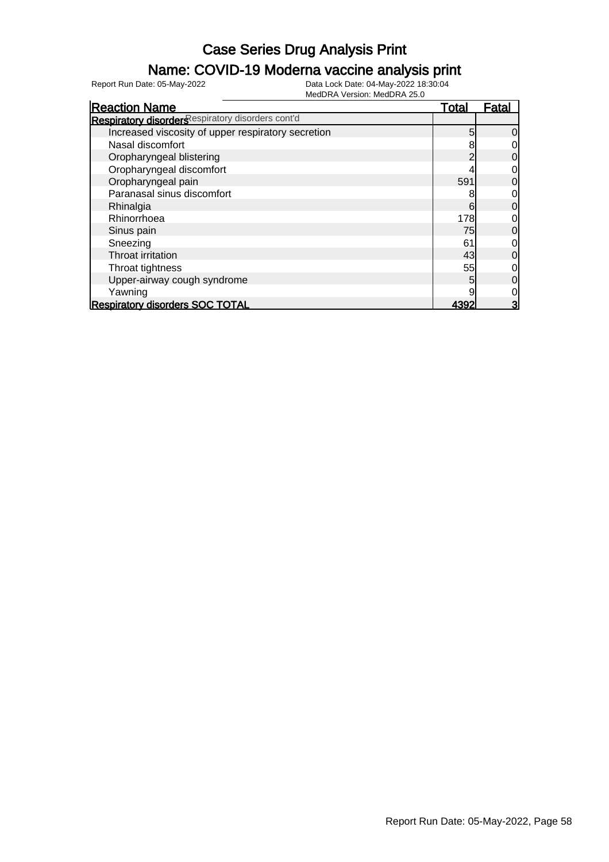### Name: COVID-19 Moderna vaccine analysis print

| <b>Reaction Name</b>                               | Total | <b>Fatal</b> |
|----------------------------------------------------|-------|--------------|
| Respiratory disorders espiratory disorders cont'd  |       |              |
| Increased viscosity of upper respiratory secretion | 5     | 0            |
| Nasal discomfort                                   |       |              |
| Oropharyngeal blistering                           |       | 0            |
| Oropharyngeal discomfort                           |       | 0            |
| Oropharyngeal pain                                 | 591   | 0            |
| Paranasal sinus discomfort                         |       | 0            |
| Rhinalgia                                          | 6     | 0            |
| Rhinorrhoea                                        | 178   | 0            |
| Sinus pain                                         | 75    | 0            |
| Sneezing                                           | 61    | 0            |
| Throat irritation                                  | 43    | 0            |
| Throat tightness                                   | 55    | 0            |
| Upper-airway cough syndrome                        | 5     | 0            |
| Yawning                                            |       | 0            |
| <b>Respiratory disorders SOC TOTAL</b>             | 4392  | 3            |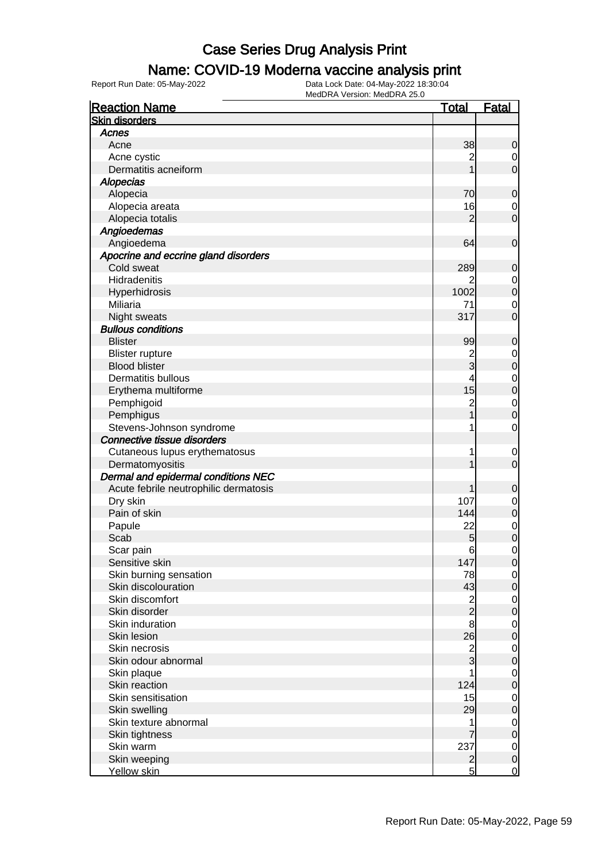### Name: COVID-19 Moderna vaccine analysis print

Report Run Date: 05-May-2022 Data Lock Date: 04-May-2022 18:30:04

| <b>Reaction Name</b>                  | <u>Total</u>                               | <b>Fatal</b>                     |
|---------------------------------------|--------------------------------------------|----------------------------------|
| <b>Skin disorders</b>                 |                                            |                                  |
| Acnes                                 |                                            |                                  |
| Acne                                  | 38                                         | $\mathbf 0$                      |
| Acne cystic                           | 2                                          | $\overline{0}$                   |
| Dermatitis acneiform                  | 1                                          | $\mathbf 0$                      |
| <b>Alopecias</b>                      |                                            |                                  |
| Alopecia                              | 70                                         | $\mathbf 0$                      |
| Alopecia areata                       | 16                                         | $\mathbf 0$                      |
| Alopecia totalis                      | $\overline{2}$                             | $\mathbf 0$                      |
| Angioedemas                           |                                            |                                  |
| Angioedema                            | 64                                         | $\boldsymbol{0}$                 |
| Apocrine and eccrine gland disorders  |                                            |                                  |
| Cold sweat                            | 289                                        | $\mathbf 0$                      |
| Hidradenitis                          |                                            | $\overline{0}$                   |
| Hyperhidrosis                         | 1002                                       | $\overline{0}$                   |
| Miliaria                              | 71                                         | $\mathbf 0$                      |
| <b>Night sweats</b>                   | 317                                        | $\mathbf 0$                      |
| <b>Bullous conditions</b>             |                                            |                                  |
| <b>Blister</b>                        | 99                                         | $\mathbf 0$                      |
| <b>Blister rupture</b>                | $\overline{c}$                             | $\mathbf{0}$                     |
| <b>Blood blister</b>                  | $\overline{3}$                             | $\overline{0}$                   |
| Dermatitis bullous                    | 4                                          |                                  |
| Erythema multiforme                   | 15                                         | $\begin{matrix}0\\0\end{matrix}$ |
| Pemphigoid                            | $\overline{\mathbf{c}}$                    | $\mathbf{0}$                     |
| Pemphigus                             | $\overline{1}$                             | $\overline{0}$                   |
| Stevens-Johnson syndrome              | 1                                          | $\mathbf 0$                      |
| Connective tissue disorders           |                                            |                                  |
| Cutaneous lupus erythematosus         | 1                                          | $\mathbf 0$                      |
| Dermatomyositis                       | 1                                          | $\mathbf 0$                      |
| Dermal and epidermal conditions NEC   |                                            |                                  |
| Acute febrile neutrophilic dermatosis | 1                                          | $\mathbf 0$                      |
| Dry skin                              | 107                                        | $\mathbf 0$                      |
| Pain of skin                          | 144                                        | $\overline{0}$                   |
| Papule                                | 22                                         | $\mathbf{0}$                     |
| Scab                                  | 5                                          | $\overline{0}$                   |
| Scar pain                             | $6 \overline{}$                            | $\mathbf 0$                      |
| Sensitive skin                        | 147                                        | 0                                |
| Skin burning sensation                | 78                                         | $\overline{0}$                   |
| Skin discolouration                   | 43                                         | $\mathbf 0$                      |
| Skin discomfort                       |                                            | $\boldsymbol{0}$                 |
| Skin disorder                         | $\begin{array}{c} 2 \\ 2 \\ 8 \end{array}$ | $\overline{0}$                   |
| Skin induration                       |                                            | $\boldsymbol{0}$                 |
| Skin lesion                           | 26                                         | $\overline{0}$                   |
| Skin necrosis                         |                                            | $\boldsymbol{0}$                 |
| Skin odour abnormal                   | $\frac{2}{3}$                              | $\overline{0}$                   |
| Skin plaque                           |                                            | $\boldsymbol{0}$                 |
| Skin reaction                         | 124                                        | $\overline{0}$                   |
| Skin sensitisation                    | 15                                         | $\boldsymbol{0}$                 |
| Skin swelling                         | 29                                         | $\overline{0}$                   |
| Skin texture abnormal                 | 1                                          | $\boldsymbol{0}$                 |
| Skin tightness                        |                                            | $\overline{0}$                   |
| Skin warm                             | 237                                        | $\mathbf 0$                      |
| Skin weeping                          | $\overline{2}$                             | $\mathbf 0$                      |
| Yellow skin                           | $\overline{5}$                             | $\overline{0}$                   |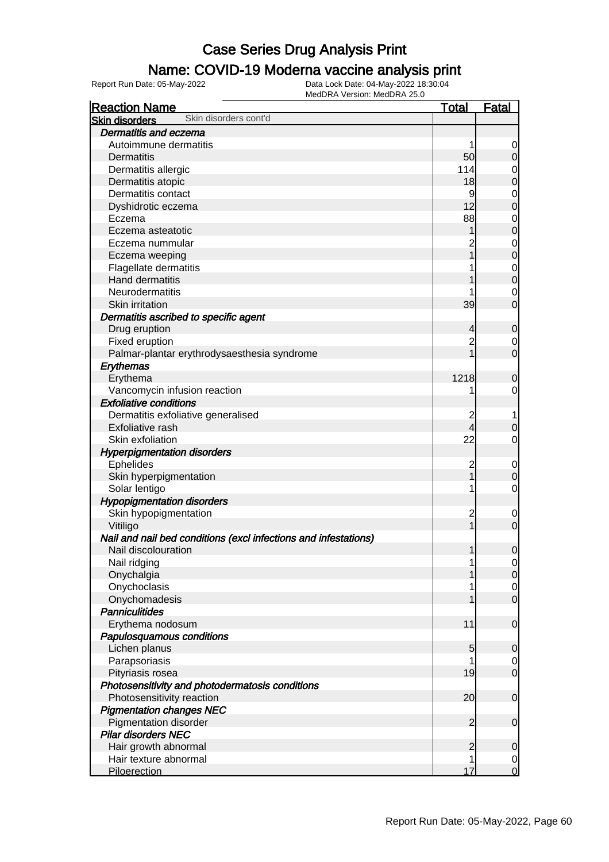### Name: COVID-19 Moderna vaccine analysis print

| <b>Reaction Name</b>                                            | <b>Total</b>   | <b>Fatal</b>     |
|-----------------------------------------------------------------|----------------|------------------|
| Skin disorders cont'd<br><b>Skin disorders</b>                  |                |                  |
| Dermatitis and eczema                                           |                |                  |
| Autoimmune dermatitis                                           |                | $\overline{0}$   |
| Dermatitis                                                      | 50             | $\mathbf 0$      |
| Dermatitis allergic                                             | 114            | $\mathbf 0$      |
| Dermatitis atopic                                               | 18             | $\mathbf 0$      |
| Dermatitis contact                                              | 9              | $\mathbf{0}$     |
| Dyshidrotic eczema                                              | 12             | $\overline{0}$   |
| Eczema                                                          | 88             | $\mathbf{0}$     |
| Eczema asteatotic                                               |                | $\mathbf 0$      |
| Eczema nummular                                                 | 2              | $\mathbf{0}$     |
| Eczema weeping                                                  |                | $\overline{0}$   |
| Flagellate dermatitis                                           |                | $\mathbf{0}$     |
| Hand dermatitis                                                 |                | $\overline{0}$   |
| Neurodermatitis                                                 |                | $\mathbf 0$      |
| Skin irritation                                                 | 39             | $\overline{0}$   |
| Dermatitis ascribed to specific agent                           |                |                  |
| Drug eruption                                                   | 4              | $\mathbf 0$      |
| Fixed eruption                                                  | $\overline{c}$ | $\overline{0}$   |
| Palmar-plantar erythrodysaesthesia syndrome                     |                | $\mathbf 0$      |
| Erythemas                                                       |                |                  |
| Erythema                                                        | 1218           | $\mathbf 0$      |
| Vancomycin infusion reaction                                    | 1              | $\mathbf 0$      |
| <b>Exfoliative conditions</b>                                   |                |                  |
| Dermatitis exfoliative generalised                              | $\overline{c}$ | 1                |
| Exfoliative rash                                                | $\overline{4}$ | $\mathbf 0$      |
| Skin exfoliation                                                | 22             | $\mathbf 0$      |
| <b>Hyperpigmentation disorders</b>                              |                |                  |
| <b>Ephelides</b>                                                | $\overline{c}$ | $\mathbf 0$      |
| Skin hyperpigmentation                                          |                | $\boldsymbol{0}$ |
| Solar lentigo                                                   |                | $\mathbf 0$      |
| <b>Hypopigmentation disorders</b>                               |                |                  |
| Skin hypopigmentation                                           | $\overline{c}$ | $\mathbf 0$      |
| Vitiligo                                                        |                | $\mathbf 0$      |
| Nail and nail bed conditions (excl infections and infestations) |                |                  |
| Nail discolouration                                             | 1              | $\boldsymbol{0}$ |
| Nail ridging                                                    |                | $\overline{0}$   |
| Onychalgia                                                      |                | $\overline{O}$   |
| Onychoclasis                                                    |                | $\overline{0}$   |
| Onychomadesis                                                   |                | $\overline{0}$   |
| <b>Panniculitides</b>                                           |                |                  |
| Erythema nodosum                                                | 11             | $\mathbf 0$      |
| Papulosquamous conditions                                       |                |                  |
| Lichen planus                                                   | 5              | $\mathbf 0$      |
| Parapsoriasis                                                   |                | 0                |
| Pityriasis rosea                                                | 19             | $\overline{O}$   |
| Photosensitivity and photodermatosis conditions                 |                |                  |
| Photosensitivity reaction                                       | 20             | $\mathbf 0$      |
| <b>Pigmentation changes NEC</b>                                 |                |                  |
| <b>Pigmentation disorder</b>                                    | $\overline{2}$ | $\mathbf 0$      |
| <b>Pilar disorders NEC</b>                                      |                |                  |
| Hair growth abnormal                                            | $\overline{c}$ | $\mathbf 0$      |
| Hair texture abnormal                                           | 1              | $\overline{0}$   |
| Piloerection                                                    | 17             | $\overline{0}$   |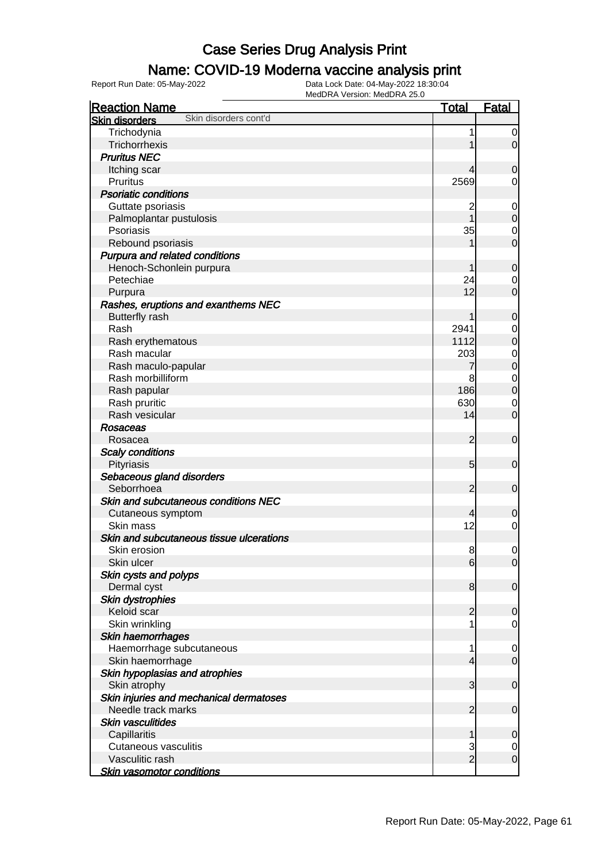### Name: COVID-19 Moderna vaccine analysis print

| <b>Reaction Name</b>                           | <u>Total</u>             | Fatal                         |
|------------------------------------------------|--------------------------|-------------------------------|
| Skin disorders cont'd<br><b>Skin disorders</b> |                          |                               |
| Trichodynia                                    | 1                        | $\overline{0}$                |
| Trichorrhexis                                  |                          | $\overline{0}$                |
| <b>Pruritus NEC</b>                            |                          |                               |
| Itching scar                                   |                          | $\mathbf 0$                   |
| <b>Pruritus</b>                                | 2569                     | 0                             |
| <b>Psoriatic conditions</b>                    |                          |                               |
| Guttate psoriasis                              |                          | $\mathbf 0$                   |
| Palmoplantar pustulosis                        | $\overline{\mathbf{c}}$  | $\mathbf 0$                   |
| Psoriasis                                      | 35                       | $\mathbf 0$                   |
| Rebound psoriasis                              |                          | $\mathbf 0$                   |
|                                                |                          |                               |
| Purpura and related conditions                 |                          | $\mathbf 0$                   |
| Henoch-Schonlein purpura<br>Petechiae          | 24                       |                               |
|                                                | 12                       | $\mathbf 0$<br>$\overline{0}$ |
| Purpura                                        |                          |                               |
| Rashes, eruptions and exanthems NEC            |                          |                               |
| <b>Butterfly rash</b>                          | 1                        | $\boldsymbol{0}$              |
| Rash                                           | 2941                     | $\mathbf 0$                   |
| Rash erythematous                              | 1112                     | $\mathbf 0$                   |
| Rash macular                                   | 203                      | $\mathbf 0$                   |
| Rash maculo-papular                            | 7                        | $\mathbf 0$                   |
| Rash morbilliform                              | 8                        | $\mathbf 0$                   |
| Rash papular                                   | 186                      | $\overline{0}$                |
| Rash pruritic                                  | 630                      | $\mathbf 0$                   |
| Rash vesicular                                 | 14                       | $\overline{0}$                |
| Rosaceas                                       |                          |                               |
| Rosacea                                        | $\overline{2}$           | $\mathbf 0$                   |
| <b>Scaly conditions</b>                        |                          |                               |
| Pityriasis                                     | $5\overline{)}$          | $\mathbf 0$                   |
| Sebaceous gland disorders                      |                          |                               |
| Seborrhoea                                     | $\overline{2}$           | $\mathbf 0$                   |
| Skin and subcutaneous conditions NEC           |                          |                               |
| Cutaneous symptom                              | $\overline{4}$           | $\mathbf 0$                   |
| Skin mass                                      | 12                       | 0                             |
| Skin and subcutaneous tissue ulcerations       |                          |                               |
| Skin erosion                                   | 8                        | 0                             |
| Skin ulcer                                     | 6                        | $\overline{0}$                |
| Skin cysts and polyps                          |                          |                               |
| Dermal cyst                                    | 8                        | $\mathbf 0$                   |
| Skin dystrophies                               |                          |                               |
| Keloid scar                                    | $\overline{c}$           | $\mathbf 0$                   |
| Skin wrinkling                                 |                          | $\mathbf 0$                   |
| Skin haemorrhages                              |                          |                               |
| Haemorrhage subcutaneous                       | 1                        | $\mathbf 0$                   |
| Skin haemorrhage                               | $\overline{\mathcal{L}}$ | $\overline{0}$                |
| Skin hypoplasias and atrophies                 |                          |                               |
| Skin atrophy                                   | $\mathbf{3}$             | $\mathbf 0$                   |
| Skin injuries and mechanical dermatoses        |                          |                               |
| Needle track marks                             | $\overline{2}$           | $\mathbf 0$                   |
| <b>Skin vasculitides</b>                       |                          |                               |
| Capillaritis                                   | 1                        | $\mathbf 0$                   |
| <b>Cutaneous vasculitis</b>                    | 3<br>$\overline{2}$      | $\mathbf 0$                   |
| Vasculitic rash                                |                          | $\mathbf 0$                   |
| <b>Skin vasomotor conditions</b>               |                          |                               |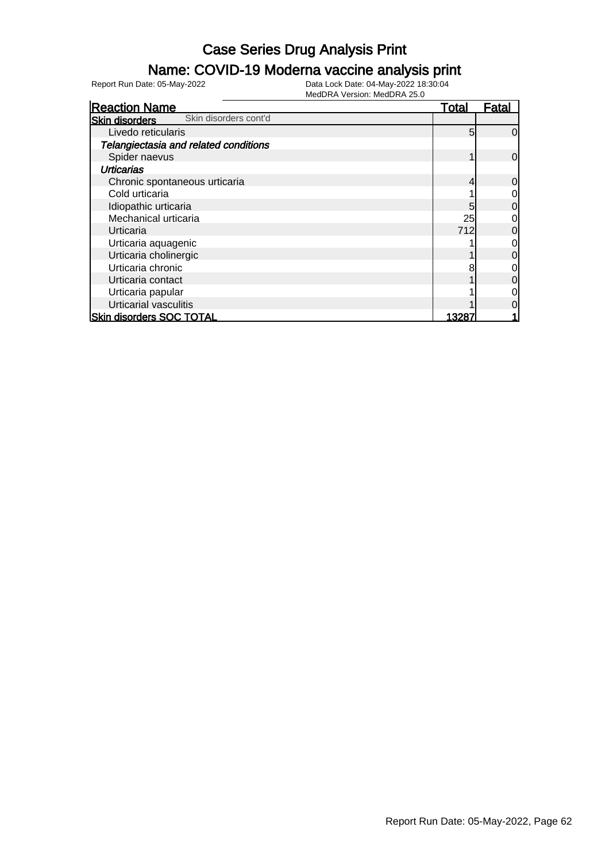### Name: COVID-19 Moderna vaccine analysis print

| <b>Reaction Name</b>                           | <b>Total</b> | Fatal          |
|------------------------------------------------|--------------|----------------|
| Skin disorders cont'd<br><b>Skin disorders</b> |              |                |
| Livedo reticularis                             | 5            | $\overline{0}$ |
| Telangiectasia and related conditions          |              |                |
| Spider naevus                                  |              | $\overline{0}$ |
| <b>Urticarias</b>                              |              |                |
| Chronic spontaneous urticaria                  |              | $\overline{0}$ |
| Cold urticaria                                 |              | $\overline{O}$ |
| Idiopathic urticaria                           | 5            | $\overline{0}$ |
| Mechanical urticaria                           | 25           | $\overline{0}$ |
| Urticaria                                      | 712          | $\overline{0}$ |
| Urticaria aquagenic                            |              | $\overline{0}$ |
| Urticaria cholinergic                          |              | $\overline{0}$ |
| Urticaria chronic                              |              | $\overline{0}$ |
| Urticaria contact                              |              | $\overline{0}$ |
| Urticaria papular                              |              | $\overline{0}$ |
| Urticarial vasculitis                          |              | $\overline{0}$ |
| <b>Skin disorders SOC TOTAL</b>                | 13287        |                |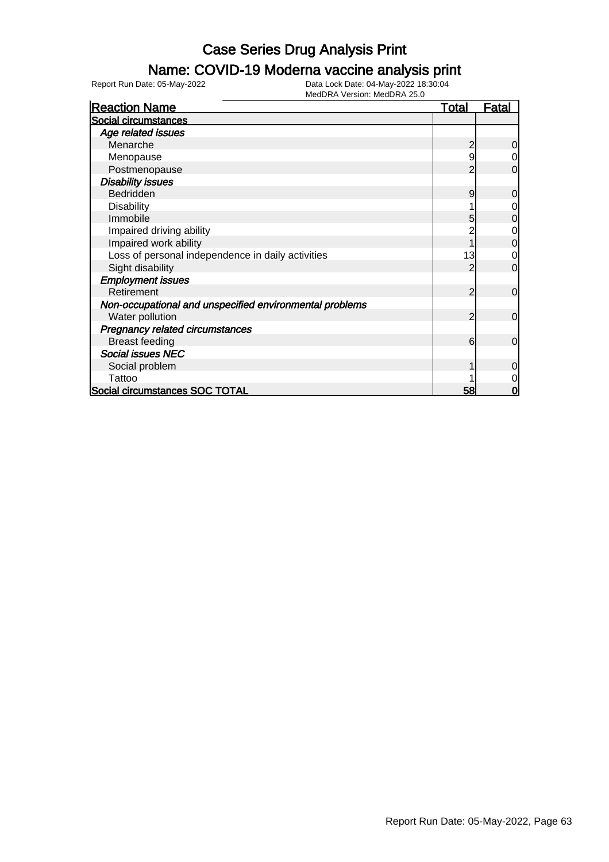### Name: COVID-19 Moderna vaccine analysis print

Report Run Date: 05-May-2022 Data Lock Date: 04-May-2022 18:30:04

| <b>Reaction Name</b>                                    | <u>Total</u> | <u>Fatal</u> |
|---------------------------------------------------------|--------------|--------------|
| Social circumstances                                    |              |              |
| Age related issues                                      |              |              |
| Menarche                                                | 2            | 0            |
| Menopause                                               | 9            | 0            |
| Postmenopause                                           |              | 0            |
| <b>Disability issues</b>                                |              |              |
| Bedridden                                               | 9            | 0            |
| <b>Disability</b>                                       |              | 0            |
| Immobile                                                | 5            | 0            |
| Impaired driving ability                                |              | 0            |
| Impaired work ability                                   |              | 0            |
| Loss of personal independence in daily activities       | 13           | 0            |
| Sight disability                                        |              | $\Omega$     |
| <b>Employment issues</b>                                |              |              |
| Retirement                                              | 2            | $\mathbf 0$  |
| Non-occupational and unspecified environmental problems |              |              |
| Water pollution                                         | 2            | $\mathbf 0$  |
| Pregnancy related circumstances                         |              |              |
| <b>Breast feeding</b>                                   | 6            | $\mathbf 0$  |
| <b>Social issues NEC</b>                                |              |              |
| Social problem                                          |              | $\Omega$     |
| Tattoo                                                  |              |              |
| Social circumstances SOC TOTAL                          | 58           | ŋ            |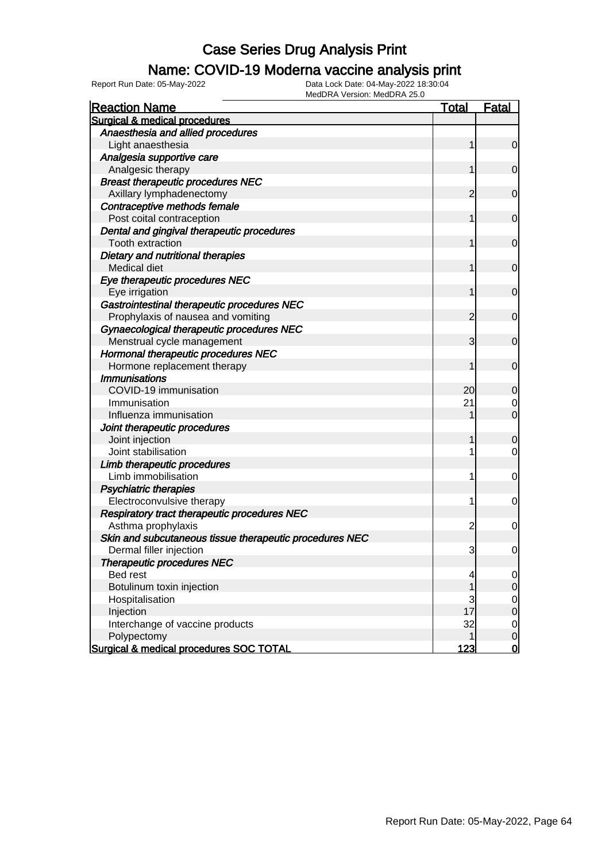### Name: COVID-19 Moderna vaccine analysis print

Report Run Date: 05-May-2022 Data Lock Date: 04-May-2022 18:30:04

| <b>Reaction Name</b>                                                  | <b>Total</b>   | <b>Fatal</b>     |
|-----------------------------------------------------------------------|----------------|------------------|
| Surgical & medical procedures                                         |                |                  |
| Anaesthesia and allied procedures                                     |                |                  |
| Light anaesthesia                                                     | 1              | $\mathbf 0$      |
| Analgesia supportive care                                             |                |                  |
| Analgesic therapy                                                     | 1              | $\mathbf 0$      |
| <b>Breast therapeutic procedures NEC</b>                              |                |                  |
| Axillary lymphadenectomy                                              | 2              | $\mathbf 0$      |
| Contraceptive methods female                                          |                |                  |
| Post coital contraception                                             | 1              | $\mathbf 0$      |
| Dental and gingival therapeutic procedures<br><b>Tooth extraction</b> | 1              | $\mathbf 0$      |
| Dietary and nutritional therapies                                     |                |                  |
| Medical diet                                                          | 1              | $\mathbf 0$      |
| Eye therapeutic procedures NEC                                        |                |                  |
| Eye irrigation                                                        | 1              | $\mathbf 0$      |
| Gastrointestinal therapeutic procedures NEC                           |                |                  |
| Prophylaxis of nausea and vomiting                                    | $\overline{c}$ | $\mathbf 0$      |
| Gynaecological therapeutic procedures NEC                             |                |                  |
| Menstrual cycle management                                            | 3              | $\mathbf 0$      |
| Hormonal therapeutic procedures NEC                                   |                |                  |
| Hormone replacement therapy                                           | 1              | $\mathbf 0$      |
| <b>Immunisations</b>                                                  |                |                  |
| COVID-19 immunisation                                                 | 20             | 0                |
| Immunisation                                                          | 21             | 0                |
| Influenza immunisation                                                |                | $\mathbf 0$      |
| Joint therapeutic procedures                                          |                |                  |
| Joint injection                                                       | 1              | $\mathbf 0$      |
| Joint stabilisation                                                   |                | $\mathbf 0$      |
| Limb therapeutic procedures                                           |                |                  |
| Limb immobilisation                                                   | 1              | 0                |
| <b>Psychiatric therapies</b>                                          |                |                  |
| Electroconvulsive therapy                                             | 1              | 0                |
| Respiratory tract therapeutic procedures NEC                          |                |                  |
| Asthma prophylaxis                                                    | $\overline{c}$ | 0                |
| Skin and subcutaneous tissue therapeutic procedures NEC               |                |                  |
| Dermal filler injection                                               | 3              | 0                |
| <b>Therapeutic procedures NEC</b>                                     |                |                  |
| Bed rest                                                              | 4              | $\overline{0}$   |
| Botulinum toxin injection                                             | 1              | $\mathbf 0$      |
| Hospitalisation                                                       | 3              | $\overline{0}$   |
| Injection                                                             | 17             | $\boldsymbol{0}$ |
| Interchange of vaccine products                                       | 32             | $\overline{0}$   |
| Polypectomy                                                           | 1              | $\mathbf 0$      |
| Surgical & medical procedures SOC TOTAL                               | <u>123</u>     | $\overline{0}$   |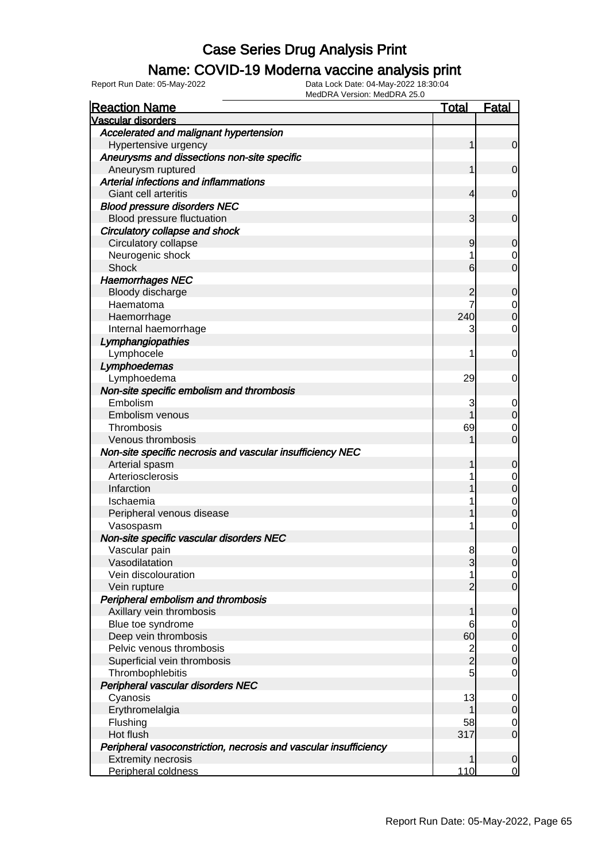### Name: COVID-19 Moderna vaccine analysis print

Report Run Date: 05-May-2022 Data Lock Date: 04-May-2022 18:30:04

| <b>Reaction Name</b>                                             | <u>Total</u>  | <b>Fatal</b>                         |
|------------------------------------------------------------------|---------------|--------------------------------------|
| <b>Vascular disorders</b>                                        |               |                                      |
| Accelerated and malignant hypertension                           |               |                                      |
| Hypertensive urgency                                             | 1             | $\overline{0}$                       |
| Aneurysms and dissections non-site specific                      |               |                                      |
| Aneurysm ruptured                                                |               | $\mathbf 0$                          |
| Arterial infections and inflammations                            |               |                                      |
| Giant cell arteritis                                             | 4             | $\mathbf 0$                          |
| <b>Blood pressure disorders NEC</b>                              |               |                                      |
| Blood pressure fluctuation                                       | 3             | 0                                    |
| Circulatory collapse and shock                                   |               |                                      |
| Circulatory collapse                                             | 9             | 0                                    |
| Neurogenic shock                                                 |               | $\mathbf 0$                          |
| <b>Shock</b>                                                     | 6             | $\overline{0}$                       |
| <b>Haemorrhages NEC</b>                                          |               |                                      |
| Bloody discharge                                                 | 2             | $\mathbf 0$                          |
| Haematoma                                                        |               | $\begin{matrix} 0 \\ 0 \end{matrix}$ |
| Haemorrhage                                                      | 240           |                                      |
| Internal haemorrhage                                             | 3             | 0                                    |
| Lymphangiopathies                                                |               |                                      |
| Lymphocele                                                       |               | 0                                    |
| Lymphoedemas                                                     |               |                                      |
| Lymphoedema                                                      | 29            | 0                                    |
| Non-site specific embolism and thrombosis                        |               |                                      |
| Embolism                                                         | 3             | 0                                    |
| Embolism venous                                                  |               | $\overline{0}$                       |
| Thrombosis                                                       | 69            | $\mathbf 0$                          |
| Venous thrombosis                                                |               | $\overline{0}$                       |
| Non-site specific necrosis and vascular insufficiency NEC        |               |                                      |
| Arterial spasm                                                   |               | $\mathbf 0$                          |
| Arteriosclerosis                                                 |               | $\begin{matrix}0\\0\end{matrix}$     |
| Infarction                                                       |               |                                      |
| Ischaemia                                                        |               | $\begin{matrix}0\\0\end{matrix}$     |
| Peripheral venous disease                                        |               |                                      |
| Vasospasm                                                        |               | $\mathbf 0$                          |
| Non-site specific vascular disorders NEC                         |               |                                      |
| Vascular pain                                                    | 8             | 0                                    |
| Vasodilatation                                                   | J             |                                      |
| Vein discolouration                                              | 1             | $\begin{matrix} 0 \\ 0 \end{matrix}$ |
| Vein rupture                                                     |               |                                      |
| Peripheral embolism and thrombosis                               |               |                                      |
| Axillary vein thrombosis                                         |               | $\overline{0}$                       |
| Blue toe syndrome                                                | 6             | $0\atop 0$                           |
| Deep vein thrombosis                                             | 60            |                                      |
| Pelvic venous thrombosis                                         | $\frac{2}{2}$ | $\begin{matrix} 0 \\ 0 \end{matrix}$ |
| Superficial vein thrombosis                                      |               |                                      |
| Thrombophlebitis                                                 | 5             | $\mathbf 0$                          |
| Peripheral vascular disorders NEC                                |               |                                      |
| Cyanosis                                                         | 13            | $\mathbf{0}$                         |
| Erythromelalgia                                                  |               | $\overline{0}$                       |
| Flushing                                                         | 58            | $\mathbf 0$                          |
| Hot flush                                                        | 317           | $\overline{0}$                       |
| Peripheral vasoconstriction, necrosis and vascular insufficiency |               |                                      |
| <b>Extremity necrosis</b>                                        | 1             | $\mathbf 0$                          |
| Peripheral coldness                                              | 110           | $\overline{0}$                       |